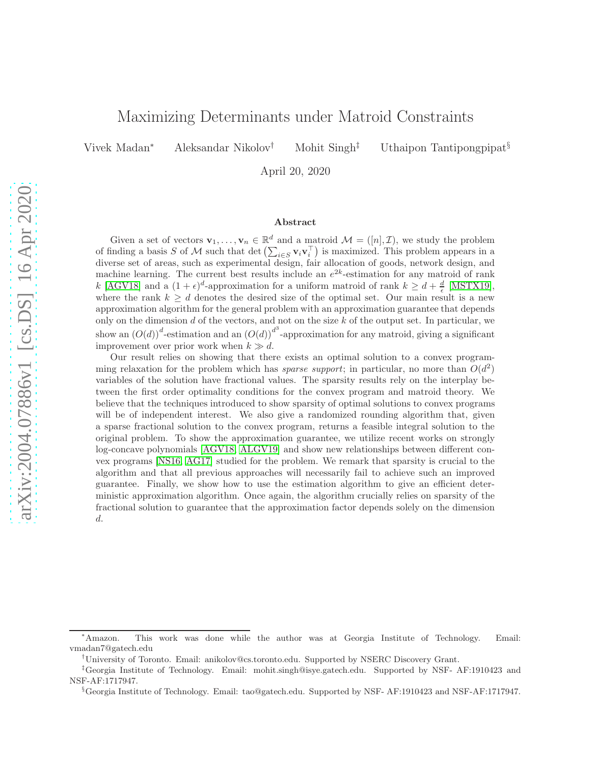# Maximizing Determinants under Matroid Constraints

Vivek Madan<sup>∗</sup> Aleksandar Nikolov† Mohit Singh‡ Uthaipon Tantipongpipat§

April 20, 2020

#### Abstract

Given a set of vectors  $\mathbf{v}_1, \ldots, \mathbf{v}_n \in \mathbb{R}^d$  and a matroid  $\mathcal{M} = ([n], \mathcal{I})$ , we study the problem of finding a basis S of M such that det  $(\sum_{i \in S} \mathbf{v}_i \mathbf{v}_i^{\top})$  is maximized. This problem appears in a diverse set of areas, such as experimental design, fair allocation of goods, network design, and machine learning. The current best results include an  $e^{2k}$ -estimation for any matroid of rank k [\[AGV18\]](#page-18-0) and a  $(1+\epsilon)^d$ -approximation for a uniform matroid of rank  $k \geq d + \frac{d}{\epsilon}$  [\[MSTX19\]](#page-21-0), where the rank  $k \geq d$  denotes the desired size of the optimal set. Our main result is a new approximation algorithm for the general problem with an approximation guarantee that depends only on the dimension  $d$  of the vectors, and not on the size  $k$  of the output set. In particular, we show an  $(O(d))^d$ -estimation and an  $(O(d))^{d^3}$ -approximation for any matroid, giving a significant improvement over prior work when  $k \gg d$ .

Our result relies on showing that there exists an optimal solution to a convex programming relaxation for the problem which has *sparse support*; in particular, no more than  $O(d^2)$ variables of the solution have fractional values. The sparsity results rely on the interplay between the first order optimality conditions for the convex program and matroid theory. We believe that the techniques introduced to show sparsity of optimal solutions to convex programs will be of independent interest. We also give a randomized rounding algorithm that, given a sparse fractional solution to the convex program, returns a feasible integral solution to the original problem. To show the approximation guarantee, we utilize recent works on strongly log-concave polynomials [\[AGV18,](#page-18-0) [ALGV19\]](#page-18-1) and show new relationships between different convex programs [\[NS16,](#page-21-1) [AG17\]](#page-18-2) studied for the problem. We remark that sparsity is crucial to the algorithm and that all previous approaches will necessarily fail to achieve such an improved guarantee. Finally, we show how to use the estimation algorithm to give an efficient deterministic approximation algorithm. Once again, the algorithm crucially relies on sparsity of the fractional solution to guarantee that the approximation factor depends solely on the dimension d.

<sup>∗</sup>Amazon. This work was done while the author was at Georgia Institute of Technology. Email: vmadan7@gatech.edu

<sup>†</sup>University of Toronto. Email: anikolov@cs.toronto.edu. Supported by NSERC Discovery Grant.

<sup>‡</sup>Georgia Institute of Technology. Email: mohit.singh@isye.gatech.edu. Supported by NSF- AF:1910423 and NSF-AF:1717947.

<sup>§</sup>Georgia Institute of Technology. Email: tao@gatech.edu. Supported by NSF- AF:1910423 and NSF-AF:1717947.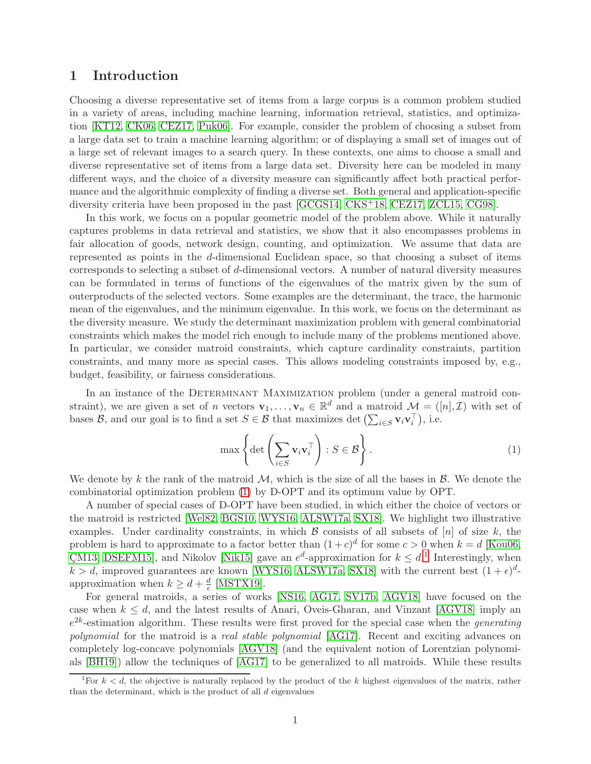# 1 Introduction

Choosing a diverse representative set of items from a large corpus is a common problem studied in a variety of areas, including machine learning, information retrieval, statistics, and optimization [\[KT12,](#page-21-2) [CK06,](#page-19-0) [CEZ17,](#page-19-1) [Puk06\]](#page-21-3). For example, consider the problem of choosing a subset from a large data set to train a machine learning algorithm; or of displaying a small set of images out of a large set of relevant images to a search query. In these contexts, one aims to choose a small and diverse representative set of items from a large data set. Diversity here can be modeled in many different ways, and the choice of a diversity measure can significantly affect both practical performance and the algorithmic complexity of finding a diverse set. Both general and application-specific diversity criteria have been proposed in the past [\[GCGS14,](#page-20-0) [CKS](#page-19-2)<sup>+</sup>18, [CEZ17,](#page-19-1) [ZCL15,](#page-22-0) [CG98\]](#page-19-3).

In this work, we focus on a popular geometric model of the problem above. While it naturally captures problems in data retrieval and statistics, we show that it also encompasses problems in fair allocation of goods, network design, counting, and optimization. We assume that data are represented as points in the d-dimensional Euclidean space, so that choosing a subset of items corresponds to selecting a subset of d-dimensional vectors. A number of natural diversity measures can be formulated in terms of functions of the eigenvalues of the matrix given by the sum of outerproducts of the selected vectors. Some examples are the determinant, the trace, the harmonic mean of the eigenvalues, and the minimum eigenvalue. In this work, we focus on the determinant as the diversity measure. We study the determinant maximization problem with general combinatorial constraints which makes the model rich enough to include many of the problems mentioned above. In particular, we consider matroid constraints, which capture cardinality constraints, partition constraints, and many more as special cases. This allows modeling constraints imposed by, e.g., budget, feasibility, or fairness considerations.

In an instance of the DETERMINANT MAXIMIZATION problem (under a general matroid constraint), we are given a set of n vectors  $\mathbf{v}_1, \ldots, \mathbf{v}_n \in \mathbb{R}^d$  and a matroid  $\mathcal{M} = ([n], \mathcal{I})$  with set of bases  $\mathcal{B}$ , and our goal is to find a set  $S \in \mathcal{B}$  that maximizes det  $\left(\sum_{i \in S} \mathbf{v}_i \mathbf{v}_i^{\top}\right)$ , i.e.

<span id="page-1-0"></span>
$$
\max \left\{ \det \left( \sum_{i \in S} \mathbf{v}_i \mathbf{v}_i^\top \right) : S \in \mathcal{B} \right\}.
$$
 (1)

We denote by k the rank of the matroid  $M$ , which is the size of all the bases in  $\mathcal{B}$ . We denote the combinatorial optimization problem [\(1\)](#page-1-0) by D-OPT and its optimum value by OPT.

A number of special cases of D-OPT have been studied, in which either the choice of vectors or the matroid is restricted [\[Wel82,](#page-22-1) [BGS10,](#page-18-3) [WYS16,](#page-22-2) [ALSW17a,](#page-18-4) [SX18\]](#page-22-3). We highlight two illustrative examples. Under cardinality constraints, in which  $\beta$  consists of all subsets of [n] of size k, the problem is hard to approximate to a factor better than  $(1+c)^d$  for some  $c > 0$  when  $k = d$  [\[Kou06,](#page-20-1) CM13, DSEFM15, and Nikolov [\[Nik15\]](#page-21-4) gave an  $e^d$ -approximation for  $k \leq d$ <sup>[1](#page-1-1)</sup>. Interestingly, when  $k > d$ , improved guarantees are known [\[WYS16,](#page-22-2) [ALSW17a,](#page-18-4) [SX18\]](#page-22-3) with the current best  $(1 + \epsilon)^{d}$ approximation when  $k \geq d + \frac{d}{\epsilon}$  $\frac{d}{\epsilon}$  [\[MSTX19\]](#page-21-0).

For general matroids, a series of works [\[NS16,](#page-21-1) [AG17,](#page-18-2) [SV17b,](#page-21-5) [AGV18\]](#page-18-0) have focused on the case when  $k \leq d$ , and the latest results of Anari, Oveis-Gharan, and Vinzant [\[AGV18\]](#page-18-0) imply an  $e^{2k}$ -estimation algorithm. These results were first proved for the special case when the *generating* polynomial for the matroid is a real stable polynomial [\[AG17\]](#page-18-2). Recent and exciting advances on completely log-concave polynomials [\[AGV18\]](#page-18-0) (and the equivalent notion of Lorentzian polynomials [\[BH19\]](#page-19-5)) allow the techniques of [\[AG17\]](#page-18-2) to be generalized to all matroids. While these results

<span id="page-1-1"></span><sup>&</sup>lt;sup>1</sup>For  $k < d$ , the objective is naturally replaced by the product of the k highest eigenvalues of the matrix, rather than the determinant, which is the product of all  $d$  eigenvalues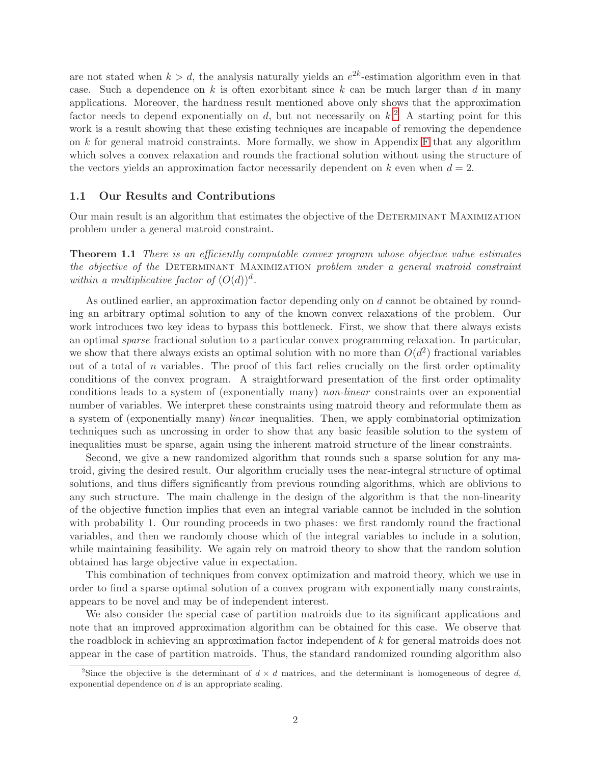are not stated when  $k > d$ , the analysis naturally yields an  $e^{2k}$ -estimation algorithm even in that case. Such a dependence on k is often exorbitant since k can be much larger than d in many applications. Moreover, the hardness result mentioned above only shows that the approximation factor needs to depend exponentially on d, but not necessarily on  $k^2$  $k^2$ . A starting point for this work is a result showing that these existing techniques are incapable of removing the dependence on  $k$  for general matroid constraints. More formally, we show in Appendix [F](#page-45-0) that any algorithm which solves a convex relaxation and rounds the fractional solution without using the structure of the vectors yields an approximation factor necessarily dependent on k even when  $d = 2$ .

## 1.1 Our Results and Contributions

<span id="page-2-1"></span>Our main result is an algorithm that estimates the objective of the DETERMINANT MAXIMIZATION problem under a general matroid constraint.

**Theorem 1.1** There is an efficiently computable convex program whose objective value estimates the objective of the DETERMINANT MAXIMIZATION problem under a general matroid constraint within a multiplicative factor of  $(O(d))^d$ .

As outlined earlier, an approximation factor depending only on  $d$  cannot be obtained by rounding an arbitrary optimal solution to any of the known convex relaxations of the problem. Our work introduces two key ideas to bypass this bottleneck. First, we show that there always exists an optimal sparse fractional solution to a particular convex programming relaxation. In particular, we show that there always exists an optimal solution with no more than  $O(d^2)$  fractional variables out of a total of  $n$  variables. The proof of this fact relies crucially on the first order optimality conditions of the convex program. A straightforward presentation of the first order optimality conditions leads to a system of (exponentially many) non-linear constraints over an exponential number of variables. We interpret these constraints using matroid theory and reformulate them as a system of (exponentially many) linear inequalities. Then, we apply combinatorial optimization techniques such as uncrossing in order to show that any basic feasible solution to the system of inequalities must be sparse, again using the inherent matroid structure of the linear constraints.

Second, we give a new randomized algorithm that rounds such a sparse solution for any matroid, giving the desired result. Our algorithm crucially uses the near-integral structure of optimal solutions, and thus differs significantly from previous rounding algorithms, which are oblivious to any such structure. The main challenge in the design of the algorithm is that the non-linearity of the objective function implies that even an integral variable cannot be included in the solution with probability 1. Our rounding proceeds in two phases: we first randomly round the fractional variables, and then we randomly choose which of the integral variables to include in a solution, while maintaining feasibility. We again rely on matroid theory to show that the random solution obtained has large objective value in expectation.

This combination of techniques from convex optimization and matroid theory, which we use in order to find a sparse optimal solution of a convex program with exponentially many constraints, appears to be novel and may be of independent interest.

We also consider the special case of partition matroids due to its significant applications and note that an improved approximation algorithm can be obtained for this case. We observe that the roadblock in achieving an approximation factor independent of k for general matroids does not appear in the case of partition matroids. Thus, the standard randomized rounding algorithm also

<span id="page-2-0"></span><sup>&</sup>lt;sup>2</sup>Since the objective is the determinant of  $d \times d$  matrices, and the determinant is homogeneous of degree d, exponential dependence on  $d$  is an appropriate scaling.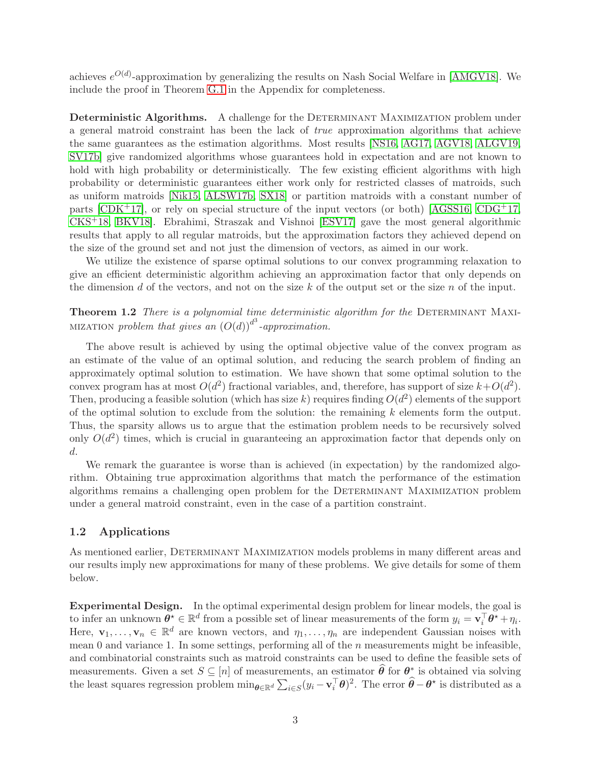achieves  $e^{O(d)}$ -approximation by generalizing the results on Nash Social Welfare in [\[AMGV18\]](#page-18-5). We include the proof in Theorem [G.1](#page-46-0) in the Appendix for completeness.

Deterministic Algorithms. A challenge for the DETERMINANT MAXIMIZATION problem under a general matroid constraint has been the lack of true approximation algorithms that achieve the same guarantees as the estimation algorithms. Most results [\[NS16,](#page-21-1) [AG17,](#page-18-2) [AGV18,](#page-18-0) [ALGV19,](#page-18-1) [SV17b\]](#page-21-5) give randomized algorithms whose guarantees hold in expectation and are not known to hold with high probability or deterministically. The few existing efficient algorithms with high probability or deterministic guarantees either work only for restricted classes of matroids, such as uniform matroids [\[Nik15,](#page-21-4) [ALSW17b,](#page-18-6) [SX18\]](#page-22-3) or partition matroids with a constant number of parts  $[CDK^+17]$ , or rely on special structure of the input vectors (or both)  $[AGSS16, CDG^+17]$  $[AGSS16, CDG^+17]$  $[AGSS16, CDG^+17]$ , [CKS](#page-19-2)+18, [BKV18\]](#page-19-8). Ebrahimi, Straszak and Vishnoi [\[ESV17\]](#page-20-3) gave the most general algorithmic results that apply to all regular matroids, but the approximation factors they achieved depend on the size of the ground set and not just the dimension of vectors, as aimed in our work.

<span id="page-3-0"></span>We utilize the existence of sparse optimal solutions to our convex programming relaxation to give an efficient deterministic algorithm achieving an approximation factor that only depends on the dimension d of the vectors, and not on the size k of the output set or the size n of the input.

Theorem 1.2 There is a polynomial time deterministic algorithm for the DETERMINANT MAXI-MIZATION problem that gives an  $(O(d))^{d^3}$ -approximation.

The above result is achieved by using the optimal objective value of the convex program as an estimate of the value of an optimal solution, and reducing the search problem of finding an approximately optimal solution to estimation. We have shown that some optimal solution to the convex program has at most  $O(d^2)$  fractional variables, and, therefore, has support of size  $k+O(d^2)$ . Then, producing a feasible solution (which has size k) requires finding  $O(d^2)$  elements of the support of the optimal solution to exclude from the solution: the remaining  $k$  elements form the output. Thus, the sparsity allows us to argue that the estimation problem needs to be recursively solved only  $O(d^2)$  times, which is crucial in guaranteeing an approximation factor that depends only on d.

We remark the guarantee is worse than is achieved (in expectation) by the randomized algorithm. Obtaining true approximation algorithms that match the performance of the estimation algorithms remains a challenging open problem for the DETERMINANT MAXIMIZATION problem under a general matroid constraint, even in the case of a partition constraint.

#### 1.2 Applications

As mentioned earlier, DETERMINANT MAXIMIZATION models problems in many different areas and our results imply new approximations for many of these problems. We give details for some of them below.

Experimental Design. In the optimal experimental design problem for linear models, the goal is to infer an unknown  $\boldsymbol{\theta}^{\star} \in \mathbb{R}^d$  from a possible set of linear measurements of the form  $y_i = \mathbf{v}_i^{\top} \boldsymbol{\theta}^{\star} + \eta_i$ . Here,  $\mathbf{v}_1,\ldots,\mathbf{v}_n \in \mathbb{R}^d$  are known vectors, and  $\eta_1,\ldots,\eta_n$  are independent Gaussian noises with mean 0 and variance 1. In some settings, performing all of the  $n$  measurements might be infeasible, and combinatorial constraints such as matroid constraints can be used to define the feasible sets of measurements. Given a set  $S \subseteq [n]$  of measurements, an estimator  $\hat{\theta}$  for  $\theta^*$  is obtained via solving the least squares regression problem  $\min_{\theta \in \mathbb{R}^d} \sum_{i \in S} (y_i - \mathbf{v}_i^{\top} \theta)^2$ . The error  $\widehat{\theta} - \theta^{\star}$  is distributed as a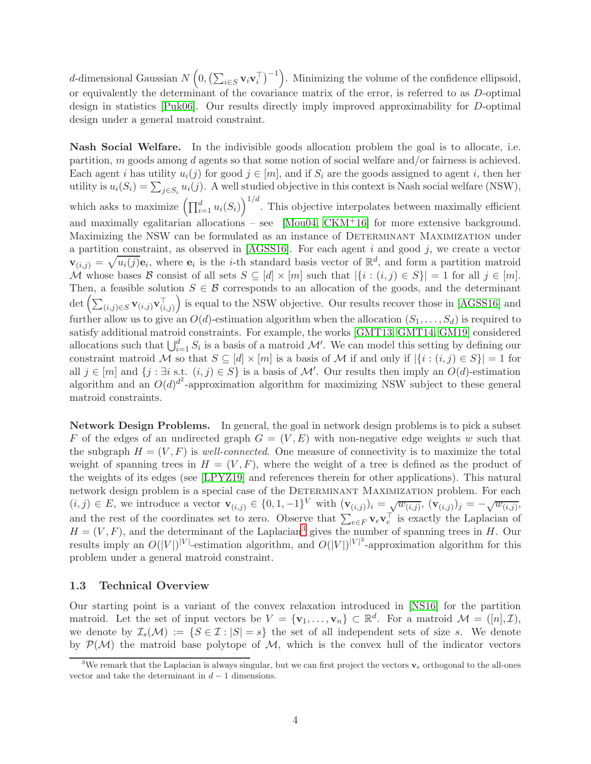*d*-dimensional Gaussian  $N\left(0, \left(\sum_{i \in S} \mathbf{v}_i \mathbf{v}_i^\top\right)^{-1}\right)$ . Minimizing the volume of the confidence ellipsoid, or equivalently the determinant of the covariance matrix of the error, is referred to as D-optimal design in statistics [\[Puk06\]](#page-21-3). Our results directly imply improved approximability for D-optimal design under a general matroid constraint.

Nash Social Welfare. In the indivisible goods allocation problem the goal is to allocate, i.e. partition, m goods among d agents so that some notion of social welfare and/or fairness is achieved. Each agent i has utility  $u_i(j)$  for good  $j \in [m]$ , and if  $S_i$  are the goods assigned to agent i, then her utility is  $u_i(S_i) = \sum_{j \in S_i} u_i(j)$ . A well studied objective in this context is Nash social welfare (NSW), which asks to maximize  $\left(\prod_{i=1}^d u_i(S_i)\right)^{1/d}$ . This objective interpolates between maximally efficient and maximally egalitarian allocations – see [\[Mou04,](#page-21-6)  $CKM+16$ ] for more extensive background. Maximizing the NSW can be formulated as an instance of DETERMINANT MAXIMIZATION under a partition constraint, as observed in  $[AGSS16]$ . For each agent i and good j, we create a vector  $\mathbf{v}_{(i,j)} = \sqrt{u_i(j)}\mathbf{e}_i$ , where  $\mathbf{e}_i$  is the *i*-th standard basis vector of  $\mathbb{R}^d$ , and form a partition matroid M whose bases B consist of all sets  $S \subseteq [d] \times [m]$  such that  $|\{i : (i,j) \in S\}| = 1$  for all  $j \in [m]$ . Then, a feasible solution  $S \in \mathcal{B}$  corresponds to an allocation of the goods, and the determinant  $\det \left( \sum_{(i,j) \in S} \mathbf{v}_{(i,j)} \mathbf{v}_{(i,j)}^\top \right)$  is equal to the NSW objective. Our results recover those in [\[AGSS16\]](#page-18-7) and further allow us to give an  $O(d)$ -estimation algorithm when the allocation  $(S_1, \ldots, S_d)$  is required to satisfy additional matroid constraints. For example, the works [\[GMT13,](#page-20-4) [GMT14,](#page-20-5) [GM19\]](#page-20-6) considered allocations such that  $\bigcup_{i=1}^d S_i$  is a basis of a matroid M'. We can model this setting by defining our constraint matroid M so that  $S \subseteq [d] \times [m]$  is a basis of M if and only if  $|\{i : (i,j) \in S\}| = 1$  for all  $j \in [m]$  and  $\{j : \exists i \text{ s.t. } (i, j) \in S\}$  is a basis of M'. Our results then imply an  $O(d)$ -estimation algorithm and an  $O(d)^{d^2}$ -approximation algorithm for maximizing NSW subject to these general matroid constraints.

Network Design Problems. In general, the goal in network design problems is to pick a subset F of the edges of an undirected graph  $G = (V, E)$  with non-negative edge weights w such that the subgraph  $H = (V, F)$  is well-connected. One measure of connectivity is to maximize the total weight of spanning trees in  $H = (V, F)$ , where the weight of a tree is defined as the product of the weights of its edges (see [\[LPYZ19\]](#page-21-7) and references therein for other applications). This natural network design problem is a special case of the DETERMINANT MAXIMIZATION problem. For each  $(i, j) \in E$ , we introduce a vector  $\mathbf{v}_{(i,j)} \in \{0, 1, -1\}^V$  with  $(\mathbf{v}_{(i,j)})_i = \sqrt{w_{(i,j)}}, (\mathbf{v}_{(i,j)})_j = -\sqrt{w_{(i,j)}},$ and the rest of the coordinates set to zero. Observe that  $\sum_{e \in F} \mathbf{v}_e \mathbf{v}_e^{\top}$  is exactly the Laplacian of  $H = (V, F)$ , and the determinant of the Laplacian<sup>[3](#page-4-0)</sup> gives the number of spanning trees in H. Our results imply an  $O(|V|)^{|V|}$ -estimation algorithm, and  $O(|V|)^{|V|^3}$ -approximation algorithm for this problem under a general matroid constraint.

### 1.3 Technical Overview

Our starting point is a variant of the convex relaxation introduced in [\[NS16\]](#page-21-1) for the partition matroid. Let the set of input vectors be  $V = {\mathbf{v}_1, \dots, \mathbf{v}_n} \subset \mathbb{R}^d$ . For a matroid  $\mathcal{M} = ([n], \mathcal{I})$ , we denote by  $\mathcal{I}_s(\mathcal{M}) := \{ S \in \mathcal{I} : |S| = s \}$  the set of all independent sets of size s. We denote by  $\mathcal{P}(\mathcal{M})$  the matroid base polytope of  $\mathcal{M}$ , which is the convex hull of the indicator vectors

<span id="page-4-0"></span><sup>&</sup>lt;sup>3</sup>We remark that the Laplacian is always singular, but we can first project the vectors  $v_e$  orthogonal to the all-ones vector and take the determinant in  $d-1$  dimensions.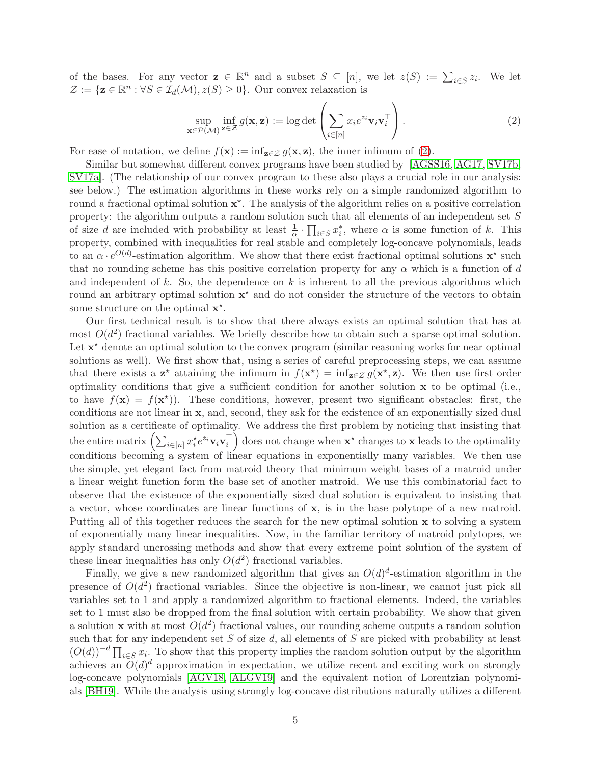of the bases. For any vector  $z \in \mathbb{R}^n$  and a subset  $S \subseteq [n]$ , we let  $z(S) := \sum_{i \in S} z_i$ . We let  $\mathcal{Z} := \{ \mathbf{z} \in \mathbb{R}^n : \forall S \in \mathcal{I}_d(\mathcal{M}), z(S) \geq 0 \}.$  Our convex relaxation is

<span id="page-5-0"></span>
$$
\sup_{\mathbf{x}\in\mathcal{P}(\mathcal{M})} \inf_{\mathbf{z}\in\mathcal{Z}} g(\mathbf{x}, \mathbf{z}) := \log \det \left( \sum_{i\in[n]} x_i e^{z_i} \mathbf{v}_i \mathbf{v}_i^\top \right). \tag{2}
$$

For ease of notation, we define  $f(\mathbf{x}) := \inf_{\mathbf{z} \in \mathcal{Z}} g(\mathbf{x}, \mathbf{z})$ , the inner infimum of [\(2\)](#page-5-0).

Similar but somewhat different convex programs have been studied by [\[AGSS16,](#page-18-7) [AG17,](#page-18-2) [SV17b,](#page-21-5) [SV17a\]](#page-21-8). (The relationship of our convex program to these also plays a crucial role in our analysis: see below.) The estimation algorithms in these works rely on a simple randomized algorithm to round a fractional optimal solution  $x^*$ . The analysis of the algorithm relies on a positive correlation property: the algorithm outputs a random solution such that all elements of an independent set S of size d are included with probability at least  $\frac{1}{\alpha} \cdot \prod_{i \in S} x_i^*$ , where  $\alpha$  is some function of k. This property, combined with inequalities for real stable and completely log-concave polynomials, leads to an  $\alpha \cdot e^{O(d)}$ -estimation algorithm. We show that there exist fractional optimal solutions  $\mathbf{x}^*$  such that no rounding scheme has this positive correlation property for any  $\alpha$  which is a function of d and independent of k. So, the dependence on k is inherent to all the previous algorithms which round an arbitrary optimal solution  $x^*$  and do not consider the structure of the vectors to obtain some structure on the optimal  $\mathbf{x}^*$ .

Our first technical result is to show that there always exists an optimal solution that has at most  $O(d^2)$  fractional variables. We briefly describe how to obtain such a sparse optimal solution. Let  $x^*$  denote an optimal solution to the convex program (similar reasoning works for near optimal solutions as well). We first show that, using a series of careful preprocessing steps, we can assume that there exists a  $z^*$  attaining the infimum in  $f(x^*) = \inf_{z \in \mathcal{Z}} g(x^*, z)$ . We then use first order optimality conditions that give a sufficient condition for another solution  $x$  to be optimal (i.e., to have  $f(\mathbf{x}) = f(\mathbf{x}^*)$ . These conditions, however, present two significant obstacles: first, the conditions are not linear in x, and, second, they ask for the existence of an exponentially sized dual solution as a certificate of optimality. We address the first problem by noticing that insisting that the entire matrix  $\left( \sum_{i \in [n]} x_i^{\star} e^{z_i} \mathbf{v}_i \mathbf{v}_i^{\top} \right)$  $\big)$  does not change when  $\mathbf{x}^*$  changes to  $\mathbf{x}$  leads to the optimality conditions becoming a system of linear equations in exponentially many variables. We then use the simple, yet elegant fact from matroid theory that minimum weight bases of a matroid under a linear weight function form the base set of another matroid. We use this combinatorial fact to observe that the existence of the exponentially sized dual solution is equivalent to insisting that a vector, whose coordinates are linear functions of x, is in the base polytope of a new matroid. Putting all of this together reduces the search for the new optimal solution x to solving a system of exponentially many linear inequalities. Now, in the familiar territory of matroid polytopes, we apply standard uncrossing methods and show that every extreme point solution of the system of these linear inequalities has only  $O(d^2)$  fractional variables.

Finally, we give a new randomized algorithm that gives an  $O(d)^d$ -estimation algorithm in the presence of  $O(d^2)$  fractional variables. Since the objective is non-linear, we cannot just pick all variables set to 1 and apply a randomized algorithm to fractional elements. Indeed, the variables set to 1 must also be dropped from the final solution with certain probability. We show that given a solution **x** with at most  $O(d^2)$  fractional values, our rounding scheme outputs a random solution such that for any independent set  $S$  of size  $d$ , all elements of  $S$  are picked with probability at least  $(O(d))^{-d} \prod_{i \in S} x_i$ . To show that this property implies the random solution output by the algorithm achieves an  $O(d)^d$  approximation in expectation, we utilize recent and exciting work on strongly log-concave polynomials [\[AGV18,](#page-18-0) [ALGV19\]](#page-18-1) and the equivalent notion of Lorentzian polynomials [\[BH19\]](#page-19-5). While the analysis using strongly log-concave distributions naturally utilizes a different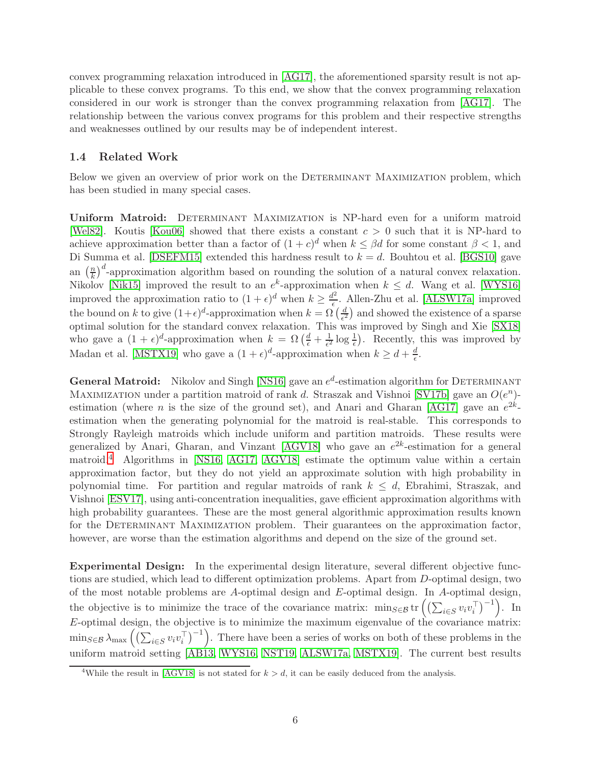convex programming relaxation introduced in [\[AG17\]](#page-18-2), the aforementioned sparsity result is not applicable to these convex programs. To this end, we show that the convex programming relaxation considered in our work is stronger than the convex programming relaxation from [\[AG17\]](#page-18-2). The relationship between the various convex programs for this problem and their respective strengths and weaknesses outlined by our results may be of independent interest.

# 1.4 Related Work

Below we given an overview of prior work on the DETERMINANT MAXIMIZATION problem, which has been studied in many special cases.

Uniform Matroid: DETERMINANT MAXIMIZATION is NP-hard even for a uniform matroid [\[Wel82\]](#page-22-1). Koutis [\[Kou06\]](#page-20-1) showed that there exists a constant  $c > 0$  such that it is NP-hard to achieve approximation better than a factor of  $(1+c)^d$  when  $k \leq \beta d$  for some constant  $\beta < 1$ , and Di Summa et al. [\[DSEFM15\]](#page-20-2) extended this hardness result to  $k = d$ . Bouhtou et al. [\[BGS10\]](#page-18-3) gave an  $\left(\frac{n}{k}\right)^d$ -approximation algorithm based on rounding the solution of a natural convex relaxation.  $\lim_{k \to \infty} \frac{1}{k}$  -approximation algorithm based on rounding the solution of a hattiral convex relaxation.<br>Nikolov [\[Nik15\]](#page-21-4) improved the result to an  $e^k$ -approximation when  $k \leq d$ . Wang et al. [\[WYS16\]](#page-22-2) improved the approximation ratio to  $(1 + \epsilon)^d$  when  $k \geq \frac{d^2}{\epsilon}$  $\frac{t^2}{\epsilon}$ . Allen-Zhu et al. [\[ALSW17a\]](#page-18-4) improved the bound on k to give  $(1+\epsilon)^d$ -approximation when  $k = \Omega\left(\frac{d}{\epsilon^2}\right)$  $\frac{d}{\epsilon^2}$  and showed the existence of a sparse optimal solution for the standard convex relaxation. This was improved by Singh and Xie [\[SX18\]](#page-22-3) who gave a  $(1 + \epsilon)^d$ -approximation when  $k = \Omega \left( \frac{d}{\epsilon} + \frac{1}{\epsilon^2} \right)$  $\frac{1}{\epsilon^2} \log \frac{1}{\epsilon}$ . Recently, this was improved by Madan et al. [\[MSTX19\]](#page-21-0) who gave a  $(1 + \epsilon)^d$ -approximation when  $k \geq d + \frac{d}{\epsilon}$  $\frac{d}{\epsilon}$ .

**General Matroid:** Nikolov and Singh [\[NS16\]](#page-21-1) gave an  $e^d$ -estimation algorithm for DETERMINANT MAXIMIZATION under a partition matroid of rank d. Straszak and Vishnoi [\[SV17b\]](#page-21-5) gave an  $O(e^n)$ estimation (where *n* is the size of the ground set), and Anari and Gharan [\[AG17\]](#page-18-2) gave an  $e^{2k}$ estimation when the generating polynomial for the matroid is real-stable. This corresponds to Strongly Rayleigh matroids which include uniform and partition matroids. These results were generalized by Anari, Gharan, and Vinzant [\[AGV18\]](#page-18-0) who gave an  $e^{2k}$ -estimation for a general matroid.<sup>[4](#page-6-0)</sup> Algorithms in [\[NS16,](#page-21-1) [AG17,](#page-18-2) [AGV18\]](#page-18-0) estimate the optimum value within a certain approximation factor, but they do not yield an approximate solution with high probability in polynomial time. For partition and regular matroids of rank  $k \leq d$ , Ebrahimi, Straszak, and Vishnoi [\[ESV17\]](#page-20-3), using anti-concentration inequalities, gave efficient approximation algorithms with high probability guarantees. These are the most general algorithmic approximation results known for the DETERMINANT MAXIMIZATION problem. Their guarantees on the approximation factor, however, are worse than the estimation algorithms and depend on the size of the ground set.

Experimental Design: In the experimental design literature, several different objective functions are studied, which lead to different optimization problems. Apart from D-optimal design, two of the most notable problems are A-optimal design and E-optimal design. In A-optimal design, the objective is to minimize the trace of the covariance matrix:  $\min_{S \in \mathcal{B}} \text{tr}\left(\left(\sum_{i \in S} v_i v_i^{\top}\right)^{-1}\right)$ . In E-optimal design, the objective is to minimize the maximum eigenvalue of the covariance matrix:  $\min_{S \in \mathcal{B}} \lambda_{\max} \left( \left( \sum_{i \in S} v_i v_i^{\top} \right)^{-1} \right)$ . There have been a series of works on both of these problems in the uniform matroid setting [\[AB13,](#page-18-8) [WYS16,](#page-22-2) [NST19,](#page-21-9) [ALSW17a,](#page-18-4) [MSTX19\]](#page-21-0). The current best results

<span id="page-6-0"></span><sup>&</sup>lt;sup>4</sup>While the result in [\[AGV18\]](#page-18-0) is not stated for  $k > d$ , it can be easily deduced from the analysis.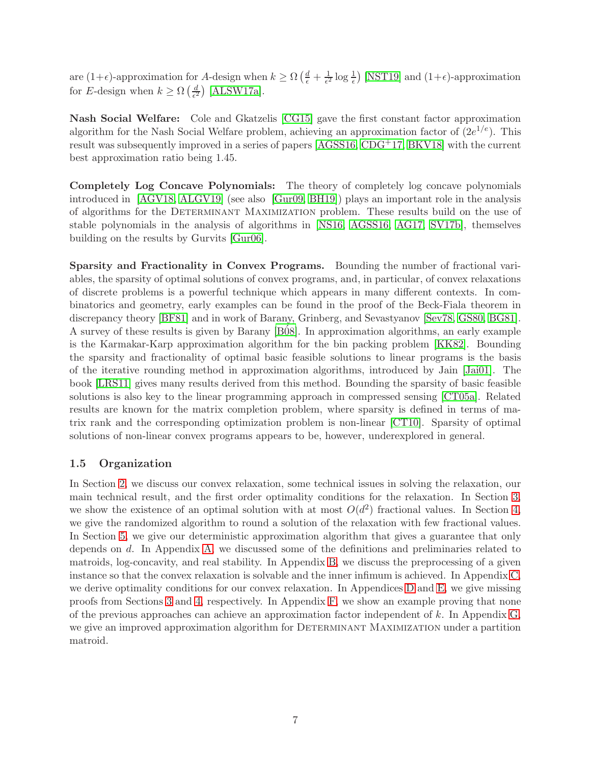are  $(1+\epsilon)$ -approximation for A-design when  $k \geq \Omega \left(\frac{d}{\epsilon} + \frac{1}{\epsilon^2} \log \frac{1}{\epsilon}\right)$  [\[NST19\]](#page-21-9) and  $(1+\epsilon)$ -approximation for E-design when  $k \geq \Omega \left( \frac{d}{\epsilon^2} \right)$  $\frac{d}{\epsilon^2}$ ) [\[ALSW17a\]](#page-18-4).

Nash Social Welfare: Cole and Gkatzelis [\[CG15\]](#page-19-10) gave the first constant factor approximation algorithm for the Nash Social Welfare problem, achieving an approximation factor of  $(2e^{1/e})$ . This result was subsequently improved in a series of papers [\[AGSS16,](#page-18-7) [CDG](#page-19-7)+17, [BKV18\]](#page-19-8) with the current best approximation ratio being 1.45.

Completely Log Concave Polynomials: The theory of completely log concave polynomials introduced in [\[AGV18,](#page-18-0) [ALGV19\]](#page-18-1) (see also [\[Gur09,](#page-20-7) [BH19\]](#page-19-5)) plays an important role in the analysis of algorithms for the DETERMINANT MAXIMIZATION problem. These results build on the use of stable polynomials in the analysis of algorithms in [\[NS16,](#page-21-1) [AGSS16,](#page-18-7) [AG17,](#page-18-2) [SV17b\]](#page-21-5), themselves building on the results by Gurvits [\[Gur06\]](#page-20-8).

Sparsity and Fractionality in Convex Programs. Bounding the number of fractional variables, the sparsity of optimal solutions of convex programs, and, in particular, of convex relaxations of discrete problems is a powerful technique which appears in many different contexts. In combinatorics and geometry, early examples can be found in the proof of the Beck-Fiala theorem in discrepancy theory [\[BF81\]](#page-18-9) and in work of Barany, Grinberg, and Sevastyanov [\[Sev78,](#page-21-10) [GS80,](#page-20-9) [BG81\]](#page-18-10). A survey of these results is given by Barany [\[B´08\]](#page-18-11). In approximation algorithms, an early example is the Karmakar-Karp approximation algorithm for the bin packing problem [\[KK82\]](#page-20-10). Bounding the sparsity and fractionality of optimal basic feasible solutions to linear programs is the basis of the iterative rounding method in approximation algorithms, introduced by Jain [\[Jai01\]](#page-20-11). The book [\[LRS11\]](#page-21-11) gives many results derived from this method. Bounding the sparsity of basic feasible solutions is also key to the linear programming approach in compressed sensing [\[CT05a\]](#page-19-11). Related results are known for the matrix completion problem, where sparsity is defined in terms of matrix rank and the corresponding optimization problem is non-linear [\[CT10\]](#page-20-12). Sparsity of optimal solutions of non-linear convex programs appears to be, however, underexplored in general.

## 1.5 Organization

In Section [2,](#page-8-0) we discuss our convex relaxation, some technical issues in solving the relaxation, our main technical result, and the first order optimality conditions for the relaxation. In Section [3,](#page-10-0) we show the existence of an optimal solution with at most  $O(d^2)$  fractional values. In Section [4,](#page-12-0) we give the randomized algorithm to round a solution of the relaxation with few fractional values. In Section [5,](#page-17-0) we give our deterministic approximation algorithm that gives a guarantee that only depends on d. In Appendix [A,](#page-22-4) we discussed some of the definitions and preliminaries related to matroids, log-concavity, and real stability. In Appendix [B,](#page-26-0) we discuss the preprocessing of a given instance so that the convex relaxation is solvable and the inner infimum is achieved. In Appendix [C,](#page-38-0) we derive optimality conditions for our convex relaxation. In Appendices [D](#page-39-0) and [E,](#page-41-0) we give missing proofs from Sections [3](#page-10-0) and [4,](#page-12-0) respectively. In Appendix [F,](#page-45-0) we show an example proving that none of the previous approaches can achieve an approximation factor independent of k. In Appendix [G,](#page-46-1) we give an improved approximation algorithm for DETERMINANT MAXIMIZATION under a partition matroid.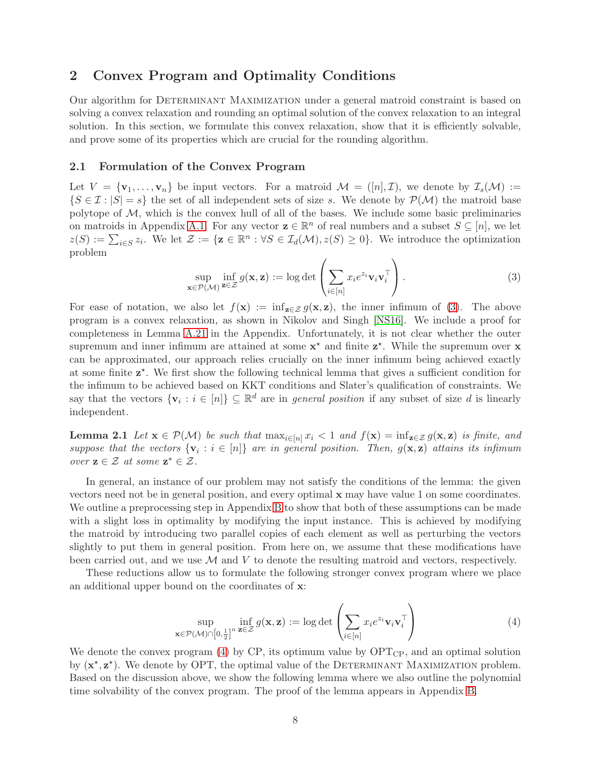# <span id="page-8-0"></span>2 Convex Program and Optimality Conditions

Our algorithm for Determinant Maximization under a general matroid constraint is based on solving a convex relaxation and rounding an optimal solution of the convex relaxation to an integral solution. In this section, we formulate this convex relaxation, show that it is efficiently solvable, and prove some of its properties which are crucial for the rounding algorithm.

### 2.1 Formulation of the Convex Program

Let  $V = {\bf{v}_1,\ldots,\bf{v}_n}$  be input vectors. For a matroid  $\mathcal{M} = ([n], \mathcal{I})$ , we denote by  $\mathcal{I}_s(\mathcal{M}) :=$  $\{S \in \mathcal{I}: |S| = s\}$  the set of all independent sets of size s. We denote by  $\mathcal{P}(\mathcal{M})$  the matroid base polytope of  $M$ , which is the convex hull of all of the bases. We include some basic preliminaries on matroids in Appendix [A.1.](#page-22-5) For any vector  $\mathbf{z} \in \mathbb{R}^n$  of real numbers and a subset  $S \subseteq [n]$ , we let  $z(S) := \sum_{i \in S} z_i$ . We let  $\mathcal{Z} := \{ \mathbf{z} \in \mathbb{R}^n : \forall S \in \mathcal{I}_d(\mathcal{M}), z(S) \geq 0 \}.$  We introduce the optimization problem

<span id="page-8-1"></span>
$$
\sup_{\mathbf{x}\in\mathcal{P}(\mathcal{M})} \inf_{\mathbf{z}\in\mathcal{Z}} g(\mathbf{x}, \mathbf{z}) := \log \det \left( \sum_{i\in[n]} x_i e^{z_i} \mathbf{v}_i \mathbf{v}_i^\top \right). \tag{3}
$$

For ease of notation, we also let  $f(\mathbf{x}) := \inf_{\mathbf{z} \in \mathcal{Z}} g(\mathbf{x}, \mathbf{z})$ , the inner infimum of [\(3\)](#page-8-1). The above program is a convex relaxation, as shown in Nikolov and Singh [\[NS16\]](#page-21-1). We include a proof for completeness in Lemma [A.21](#page-25-0) in the Appendix. Unfortunately, it is not clear whether the outer supremum and inner infimum are attained at some  $x^*$  and finite  $z^*$ . While the supremum over x can be approximated, our approach relies crucially on the inner infimum being achieved exactly at some finite  $z^*$ . We first show the following technical lemma that gives a sufficient condition for the infimum to be achieved based on KKT conditions and Slater's qualification of constraints. We say that the vectors  $\{v_i : i \in [n]\} \subseteq \mathbb{R}^d$  are in *general position* if any subset of size d is linearly independent.

<span id="page-8-4"></span>**Lemma 2.1** Let  $\mathbf{x} \in \mathcal{P}(\mathcal{M})$  be such that  $\max_{i \in [n]} x_i < 1$  and  $f(\mathbf{x}) = \inf_{\mathbf{z} \in \mathcal{Z}} g(\mathbf{x}, \mathbf{z})$  is finite, and suppose that the vectors  $\{v_i : i \in [n]\}$  are in general position. Then,  $g(x, z)$  attains its infimum over  $\mathbf{z} \in \mathcal{Z}$  at some  $\mathbf{z}^* \in \mathcal{Z}$ .

In general, an instance of our problem may not satisfy the conditions of the lemma: the given vectors need not be in general position, and every optimal x may have value 1 on some coordinates. We outline a preprocessing step in Appendix [B](#page-26-0) to show that both of these assumptions can be made with a slight loss in optimality by modifying the input instance. This is achieved by modifying the matroid by introducing two parallel copies of each element as well as perturbing the vectors slightly to put them in general position. From here on, we assume that these modifications have been carried out, and we use  $\mathcal M$  and  $V$  to denote the resulting matroid and vectors, respectively.

These reductions allow us to formulate the following stronger convex program where we place an additional upper bound on the coordinates of x:

<span id="page-8-2"></span>
$$
\sup_{\mathbf{x}\in\mathcal{P}(\mathcal{M})\cap\left[0,\frac{1}{2}\right]^{n}}\inf_{\mathbf{z}\in\mathcal{Z}}g(\mathbf{x},\mathbf{z}) := \log\det\left(\sum_{i\in[n]}x_{i}e^{z_{i}}\mathbf{v}_{i}\mathbf{v}_{i}^{\top}\right)
$$
(4)

<span id="page-8-3"></span>We denote the convex program  $(4)$  by CP, its optimum value by  $\text{OPT}_{\text{CP}}$ , and an optimal solution by  $(x^*, z^*)$ . We denote by OPT, the optimal value of the DETERMINANT MAXIMIZATION problem. Based on the discussion above, we show the following lemma where we also outline the polynomial time solvability of the convex program. The proof of the lemma appears in Appendix [B.](#page-26-0)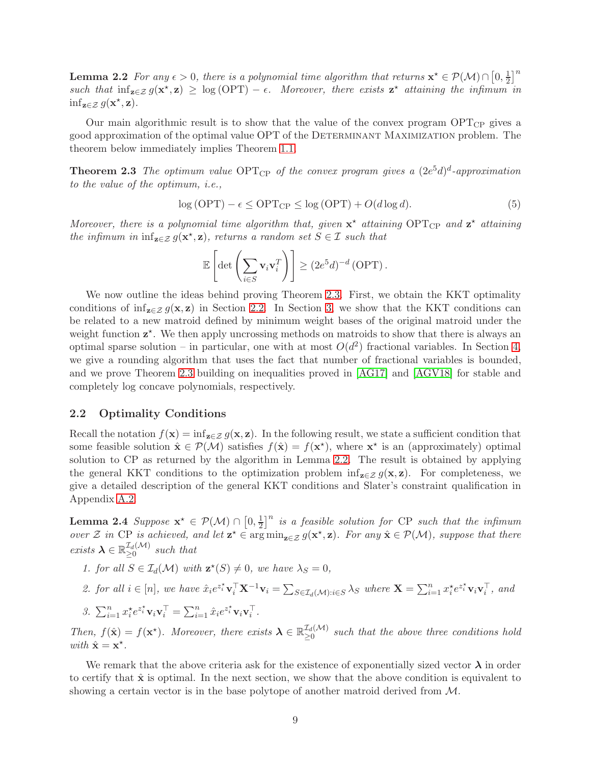**Lemma 2.2** For any  $\epsilon > 0$ , there is a polynomial time algorithm that returns  $\mathbf{x}^* \in \mathcal{P}(\mathcal{M}) \cap [0, \frac{1}{2}]^n$ such that  $\inf_{z \in \mathcal{Z}} g(x^*, z) \geq \log \text{(OPT)} - \epsilon$ . Moreover, there exists  $z^*$  attaining the infimum in  $\inf_{\mathbf{z}\in\mathcal{Z}} g(\mathbf{x}^*, \mathbf{z}).$ 

Our main algorithmic result is to show that the value of the convex program  $\text{OPT}_{\text{CP}}$  gives a good approximation of the optimal value OPT of the DETERMINANT MAXIMIZATION problem. The theorem below immediately implies Theorem [1.1.](#page-2-1)

<span id="page-9-0"></span>**Theorem 2.3** The optimum value  $\text{OPT}_{\text{CP}}$  of the convex program gives a  $(2e^5d)^d$ -approximation to the value of the optimum, i.e.,

$$
\log \left( \text{OPT} \right) - \epsilon \le \text{OPT}_{\text{CP}} \le \log \left( \text{OPT} \right) + O(d \log d). \tag{5}
$$

Moreover, there is a polynomial time algorithm that, given  $\mathbf{x}^*$  attaining OPT<sub>CP</sub> and  $\mathbf{z}^*$  attaining the infimum in  $\inf_{\mathbf{z}\in\mathcal{Z}} g(\mathbf{x}^*, \mathbf{z})$ , returns a random set  $S \in \mathcal{I}$  such that

<span id="page-9-3"></span>
$$
\mathbb{E}\left[\det\left(\sum_{i\in S} \mathbf{v}_i \mathbf{v}_i^T\right)\right] \geq (2e^5d)^{-d} \left(\text{OPT}\right).
$$

We now outline the ideas behind proving Theorem [2.3.](#page-9-0) First, we obtain the KKT optimality conditions of  $\inf_{z\in\mathcal{Z}} g(x, z)$  in Section [2.2.](#page-9-1) In Section [3,](#page-10-0) we show that the KKT conditions can be related to a new matroid defined by minimum weight bases of the original matroid under the weight function  $z^*$ . We then apply uncrossing methods on matroids to show that there is always an optimal sparse solution – in particular, one with at most  $O(d^2)$  fractional variables. In Section [4,](#page-12-0) we give a rounding algorithm that uses the fact that number of fractional variables is bounded, and we prove Theorem [2.3](#page-9-0) building on inequalities proved in [\[AG17\]](#page-18-2) and [\[AGV18\]](#page-18-0) for stable and completely log concave polynomials, respectively.

#### <span id="page-9-1"></span>2.2 Optimality Conditions

Recall the notation  $f(\mathbf{x}) = \inf_{\mathbf{z} \in \mathcal{Z}} g(\mathbf{x}, \mathbf{z})$ . In the following result, we state a sufficient condition that some feasible solution  $\hat{\mathbf{x}} \in \mathcal{P}(\mathcal{M})$  satisfies  $f(\hat{\mathbf{x}}) = f(\mathbf{x}^*)$ , where  $\mathbf{x}^*$  is an (approximately) optimal solution to CP as returned by the algorithm in Lemma [2.2.](#page-8-3) The result is obtained by applying the general KKT conditions to the optimization problem  $\inf_{z \in \mathcal{Z}} g(x, z)$ . For completeness, we give a detailed description of the general KKT conditions and Slater's constraint qualification in Appendix [A.2.](#page-23-0)

<span id="page-9-2"></span>**Lemma 2.4** Suppose  $\mathbf{x}^* \in \mathcal{P}(\mathcal{M}) \cap [0, \frac{1}{2}]^n$  is a feasible solution for CP such that the infimum over  $\mathcal Z$  in CP is achieved, and let  $\mathbf z^* \in \argmin_{\mathbf z \in \mathcal Z} g(\mathbf x^*, \mathbf z)$ . For any  $\hat{\mathbf x} \in \mathcal P(\mathcal M)$ , suppose that there exists  $\boldsymbol{\lambda} \in \mathbb{R}_{\geq 0}^{\mathcal{I}_d(\mathcal{M})}$  $\geq 0$  such that

- <span id="page-9-6"></span><span id="page-9-5"></span>1. for all  $S \in \mathcal{I}_d(\mathcal{M})$  with  $\mathbf{z}^*(S) \neq 0$ , we have  $\lambda_S = 0$ ,
- <span id="page-9-4"></span>2. for all  $i \in [n]$ , we have  $\hat{x}_i e^{z_i^*} \mathbf{v}_i^\top \mathbf{X}^{-1} \mathbf{v}_i = \sum_{S \in \mathcal{I}_d(\mathcal{M}): i \in S} \lambda_S$  where  $\mathbf{X} = \sum_{i=1}^n x_i^* e^{z_i^*} \mathbf{v}_i \mathbf{v}_i^\top$ , and 3.  $\sum_{i=1}^n x_i^{\star} e^{z_i^{\star}} \mathbf{v}_i \mathbf{v}_i^{\top} = \sum_{i=1}^n \hat{x}_i e^{z_i^{\star}} \mathbf{v}_i \mathbf{v}_i^{\top}$ .

Then,  $f(\hat{\mathbf{x}}) = f(\mathbf{x}^{\star})$ . Moreover, there exists  $\boldsymbol{\lambda} \in \mathbb{R}_{\geq 0}^{\mathcal{I}_d(\mathcal{M})}$  $\sum_{n=0}^{\infty}$  such that the above three conditions hold with  $\hat{\mathbf{x}} = \mathbf{x}^*$ .

We remark that the above criteria ask for the existence of exponentially sized vector  $\lambda$  in order to certify that  $\hat{\mathbf{x}}$  is optimal. In the next section, we show that the above condition is equivalent to showing a certain vector is in the base polytope of another matroid derived from M.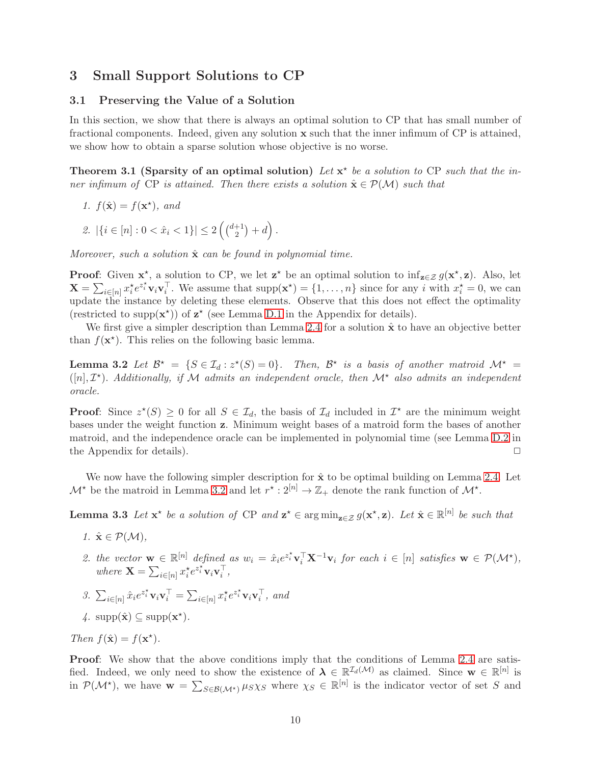# <span id="page-10-0"></span>3 Small Support Solutions to CP

## 3.1 Preserving the Value of a Solution

<span id="page-10-2"></span>In this section, we show that there is always an optimal solution to CP that has small number of fractional components. Indeed, given any solution  $x$  such that the inner infimum of CP is attained, we show how to obtain a sparse solution whose objective is no worse.

Theorem 3.1 (Sparsity of an optimal solution) Let  $x^*$  be a solution to CP such that the inner infimum of CP is attained. Then there exists a solution  $\hat{\mathbf{x}} \in \mathcal{P}(\mathcal{M})$  such that

1. 
$$
f(\hat{\mathbf{x}}) = f(\mathbf{x}^{\star}), \text{ and}
$$

2.  $|\{i \in [n]: 0 < \hat{x}_i < 1\}| \leq 2\left(\binom{d+1}{2}\right)$  $_{2}^{+1})+d\Big)$ .

Moreover, such a solution  $\hat{\mathbf{x}}$  can be found in polynomial time.

**Proof:** Given  $x^*$ , a solution to CP, we let  $z^*$  be an optimal solution to  $\inf_{z \in \mathcal{Z}} g(x^*, z)$ . Also, let  $\mathbf{X} = \sum_{i \in [n]} x_i^* e^{z_i^*} \mathbf{v}_i \mathbf{v}_i^\top$ . We assume that  $\text{supp}(\mathbf{x}^*) = \{1, \dots, n\}$  since for any i with  $x_i^* = 0$ , we can update the instance by deleting these elements. Observe that this does not effect the optimality (restricted to supp $(x^*)$ ) of  $z^*$  (see Lemma [D.1](#page-39-1) in the Appendix for details).

<span id="page-10-1"></span>We first give a simpler description than Lemma [2.4](#page-9-2) for a solution  $\hat{\mathbf{x}}$  to have an objective better than  $f(\mathbf{x}^*)$ . This relies on the following basic lemma.

**Lemma 3.2** Let  $\mathcal{B}^* = \{S \in \mathcal{I}_d : z^*(S) = 0\}$ . Then,  $\mathcal{B}^*$  is a basis of another matroid  $\mathcal{M}^* = \{S \in \mathcal{I}_d : z^*(S) = 0\}$ .  $([n], \mathcal{I}^*)$ . Additionally, if M admits an independent oracle, then  $\mathcal{M}^*$  also admits an independent oracle.

**Proof:** Since  $z^*(S) \geq 0$  for all  $S \in \mathcal{I}_d$ , the basis of  $\mathcal{I}_d$  included in  $\mathcal{I}^*$  are the minimum weight bases under the weight function z. Minimum weight bases of a matroid form the bases of another matroid, and the independence oracle can be implemented in polynomial time (see Lemma [D.2](#page-40-0) in the Appendix for details).  $\Box$ 

We now have the following simpler description for  $\hat{\mathbf{x}}$  to be optimal building on Lemma [2.4.](#page-9-2) Let  $\mathcal{M}^*$  be the matroid in Lemma [3.2](#page-10-1) and let  $r^*: 2^{[n]} \to \mathbb{Z}_+$  denote the rank function of  $\mathcal{M}^*$ .

**Lemma 3.3** Let  $\mathbf{x}^*$  be a solution of CP and  $\mathbf{z}^* \in \arg \min_{\mathbf{z} \in \mathcal{Z}} g(\mathbf{x}^*, \mathbf{z})$ . Let  $\hat{\mathbf{x}} \in \mathbb{R}^{[n]}$  be such that

- 1.  $\hat{\mathbf{x}} \in \mathcal{P}(\mathcal{M}),$
- 2. the vector  $\mathbf{w} \in \mathbb{R}^{[n]}$  defined as  $w_i = \hat{x}_i e^{z_i^*} \mathbf{v}_i^\top \mathbf{X}^{-1} \mathbf{v}_i$  for each  $i \in [n]$  satisfies  $\mathbf{w} \in \mathcal{P}(\mathcal{M}^*)$ , where  $\mathbf{X} = \sum_{i \in [n]} x_i^{\star} e^{z_i^{\star}} \mathbf{v}_i \mathbf{v}_i^{\top}$ ,
- 3.  $\sum_{i \in [n]} \hat{x}_i e^{z_i^*} \mathbf{v}_i \mathbf{v}_i^\top = \sum_{i \in [n]} x_i^* e^{z_i^*} \mathbf{v}_i \mathbf{v}_i^\top$ , and
- 4.  $supp(\hat{\mathbf{x}}) \subseteq supp(\mathbf{x}^*)$ .

Then  $f(\hat{\mathbf{x}}) = f(\mathbf{x}^*)$ .

Proof: We show that the above conditions imply that the conditions of Lemma [2.4](#page-9-2) are satisfied. Indeed, we only need to show the existence of  $\lambda \in \mathbb{R}^{\mathcal{I}_d(\mathcal{M})}$  as claimed. Since  $\mathbf{w} \in \mathbb{R}^{[n]}$  is in  $\mathcal{P}(\mathcal{M}^*)$ , we have  $\mathbf{w} = \sum_{S \in \mathcal{B}(\mathcal{M}^*)} \mu_S \chi_S$  where  $\chi_S \in \mathbb{R}^{[n]}$  is the indicator vector of set S and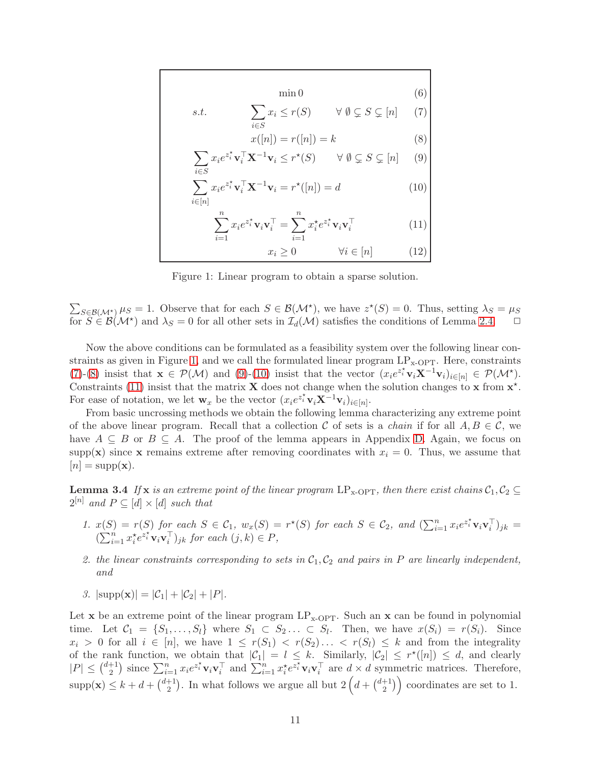<span id="page-11-3"></span><span id="page-11-2"></span><span id="page-11-1"></span>
$$
\min 0 \qquad (6)
$$
\n
$$
s.t. \qquad \sum_{i \in S} x_i \le r(S) \qquad \forall \emptyset \subsetneq S \subsetneq [n] \qquad (7)
$$
\n
$$
x([n]) = r([n]) = k \qquad (8)
$$
\n
$$
\sum_{i \in S} x_i e^{z_i^*} \mathbf{v}_i^{\top} \mathbf{X}^{-1} \mathbf{v}_i \le r^*(S) \qquad \forall \emptyset \subsetneq S \subsetneq [n] \qquad (9)
$$
\n
$$
\sum_{i \in [n]} x_i e^{z_i^*} \mathbf{v}_i^{\top} \mathbf{X}^{-1} \mathbf{v}_i = r^*([n]) = d \qquad (10)
$$
\n
$$
\sum_{i=1}^n x_i e^{z_i^*} \mathbf{v}_i \mathbf{v}_i^{\top} = \sum_{i=1}^n x_i^* e^{z_i^*} \mathbf{v}_i \mathbf{v}_i^{\top} \qquad (11)
$$
\n
$$
x_i \ge 0 \qquad \forall i \in [n] \qquad (12)
$$

<span id="page-11-7"></span><span id="page-11-5"></span><span id="page-11-4"></span><span id="page-11-0"></span>Figure 1: Linear program to obtain a sparse solution.

 $\sum_{S \in \mathcal{B}(\mathcal{M}^*)} \mu_S = 1$ . Observe that for each  $S \in \mathcal{B}(\mathcal{M}^*)$ , we have  $z^*(S) = 0$ . Thus, setting  $\lambda_S = \mu_S$ for  $S \in \mathcal{B}(\mathcal{M}^*)$  and  $\lambda_S = 0$  for all other sets in  $\mathcal{I}_d(\mathcal{M})$  satisfies the conditions of Lemma [2.4.](#page-9-2)  $\Box$ 

Now the above conditions can be formulated as a feasibility system over the following linear con-straints as given in Figure [1,](#page-11-0) and we call the formulated linear program  $LP_{x\text{-}OPT}$ . Here, constraints [\(7\)](#page-11-1)-[\(8\)](#page-11-2) insist that  $\mathbf{x} \in \mathcal{P}(\mathcal{M})$  and [\(9\)](#page-11-3)-[\(10\)](#page-11-4) insist that the vector  $(x_i e^{z_i^*} \mathbf{v}_i \mathbf{X}^{-1} \mathbf{v}_i)_{i \in [n]} \in \mathcal{P}(\mathcal{M}^*)$ . Constraints [\(11\)](#page-11-5) insist that the matrix **X** does not change when the solution changes to **x** from  $x^*$ . For ease of notation, we let  $\mathbf{w}_x$  be the vector  $(x_i e^{z_i^*} \mathbf{v}_i \mathbf{X}^{-1} \mathbf{v}_i)_{i \in [n]}$ .

From basic uncrossing methods we obtain the following lemma characterizing any extreme point of the above linear program. Recall that a collection C of sets is a *chain* if for all  $A, B \in \mathcal{C}$ , we have  $A \subseteq B$  or  $B \subseteq A$ . The proof of the lemma appears in Appendix [D.](#page-39-0) Again, we focus on supp(x) since x remains extreme after removing coordinates with  $x_i = 0$ . Thus, we assume that  $[n] = \text{supp}(\mathbf{x}).$ 

<span id="page-11-6"></span>**Lemma 3.4** If x is an extreme point of the linear program LP<sub>x-OPT</sub>, then there exist chains  $C_1, C_2 \subseteq$  $2^{[n]}$  and  $P \subseteq [d] \times [d]$  such that

- 1.  $x(S) = r(S)$  for each  $S \in C_1$ ,  $w_x(S) = r^*(S)$  for each  $S \in C_2$ , and  $(\sum_{i=1}^n x_i e^{z_i^*} \mathbf{v}_i \mathbf{v}_i^\top)_{jk} =$  $(\sum_{i=1}^n x_i^* e^{z_i^*} \mathbf{v}_i \mathbf{v}_i^{\top})_{jk}$  for each  $(j,k) \in P$ ,
- 2. the linear constraints corresponding to sets in  $C_1, C_2$  and pairs in P are linearly independent, and
- 3.  $|\text{supp}(\mathbf{x})| = |\mathcal{C}_1| + |\mathcal{C}_2| + |P|.$

Let x be an extreme point of the linear program  $LP_{x\text{-}OPT}$ . Such an x can be found in polynomial time. Let  $C_1 = \{S_1, \ldots, S_l\}$  where  $S_1 \subset S_2 \ldots \subset S_l$ . Then, we have  $x(S_i) = r(S_i)$ . Since  $x_i > 0$  for all  $i \in [n]$ , we have  $1 \leq r(S_1) < r(S_2) \ldots < r(S_l) \leq k$  and from the integrality of the rank function, we obtain that  $|\mathcal{C}_1| = l \leq k$ . Similarly,  $|\mathcal{C}_2| \leq r^{\star}([n]) \leq d$ , and clearly  $|P| \leq {d+1 \choose 2}$ <sup>+1</sup>) since  $\sum_{i=1}^n x_i e^{z_i^*} \mathbf{v}_i \mathbf{v}_i^\top$  and  $\sum_{i=1}^n x_i^* e^{z_i^*} \mathbf{v}_i \mathbf{v}_i^\top$  are  $d \times d$  symmetric matrices. Therefore,  $supp(x) \leq k + d + {d+1 \choose 2}$  $\binom{+1}{2}$ . In what follows we argue all but  $2\left(d+\binom{d+1}{2}\right)$  $\binom{+1}{2}$  coordinates are set to 1.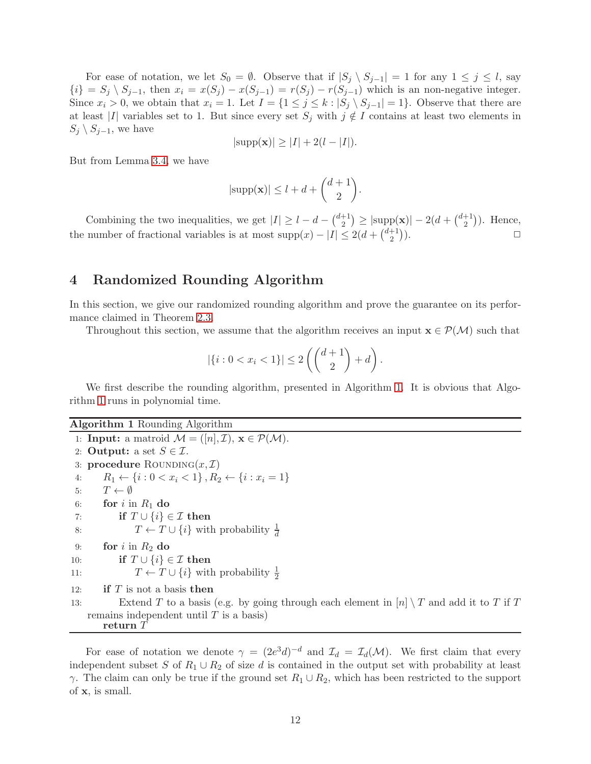For ease of notation, we let  $S_0 = \emptyset$ . Observe that if  $|S_j \setminus S_{j-1}| = 1$  for any  $1 \leq j \leq l$ , say  ${i} = S_j \ S_{j-1}$ , then  $x_i = x(S_j) - x(S_{j-1}) = r(S_j) - r(S_{j-1})$  which is an non-negative integer. Since  $x_i > 0$ , we obtain that  $x_i = 1$ . Let  $I = \{1 \leq j \leq k : |S_j \setminus S_{j-1}| = 1\}$ . Observe that there are at least |I| variables set to 1. But since every set  $S_i$  with  $j \notin I$  contains at least two elements in  $S_i \setminus S_{i-1}$ , we have

$$
|\text{supp}(\mathbf{x})| \ge |I| + 2(l - |I|).
$$

But from Lemma [3.4,](#page-11-6) we have

$$
|\text{supp}(\mathbf{x})| \le l + d + \binom{d+1}{2}.
$$

Combining the two inequalities, we get  $|I| \geq l - d - \binom{d+1}{2}$  $\binom{+1}{2} \ge |\text{supp}(\mathbf{x})| - 2(d + \binom{d+1}{2})$  $\binom{+1}{2}$ ). Hence, the number of fractional variables is at most  $\text{supp}(x) - |I| \leq 2(d + \binom{d+1}{2})$  $_{2}^{+1})$  $\Box$ 

# <span id="page-12-0"></span>4 Randomized Rounding Algorithm

In this section, we give our randomized rounding algorithm and prove the guarantee on its performance claimed in Theorem [2.3.](#page-9-0)

Throughout this section, we assume that the algorithm receives an input  $\mathbf{x} \in \mathcal{P}(\mathcal{M})$  such that

$$
|\{i: 0 < x_i < 1\}| \le 2\left(\binom{d+1}{2} + d\right).
$$

We first describe the rounding algorithm, presented in Algorithm [1.](#page-12-1) It is obvious that Algorithm [1](#page-12-1) runs in polynomial time.

#### <span id="page-12-1"></span>Algorithm 1 Rounding Algorithm

1: **Input:** a matroid  $\mathcal{M} = (\overline{n}, \mathcal{I}), \mathbf{x} \in \mathcal{P}(\mathcal{M}).$ 2: Output: a set  $S \in \mathcal{I}$ . 3: **procedure** ROUNDING $(x, \mathcal{I})$ <br>4:  $R_1 \leftarrow \{i : 0 < x_i < 1\}$ ,  $R_2$  $R_1 \leftarrow \{i : 0 < x_i < 1\}, R_2 \leftarrow \{i : x_i = 1\}$ 5:  $T \leftarrow \emptyset$ 6: for  $i$  in  $R_1$  do 7: if  $T \cup \{i\} \in \mathcal{I}$  then 8:  $T \leftarrow T \cup \{i\}$  with probability  $\frac{1}{d}$ 9: for i in  $R_2$  do 10: if  $T \cup \{i\} \in \mathcal{I}$  then 11:  $T \leftarrow T \cup \{i\}$  with probability  $\frac{1}{2}$ 12: **if**  $T$  is not a basis **then** 13: Extend T to a basis (e.g. by going through each element in  $[n] \setminus T$  and add it to T if T remains independent until  $T$  is a basis) return T

<span id="page-12-2"></span>For ease of notation we denote  $\gamma = (2e^3d)^{-d}$  and  $\mathcal{I}_d = \mathcal{I}_d(\mathcal{M})$ . We first claim that every independent subset S of  $R_1 \cup R_2$  of size d is contained in the output set with probability at least γ. The claim can only be true if the ground set  $R_1 \cup R_2$ , which has been restricted to the support of x, is small.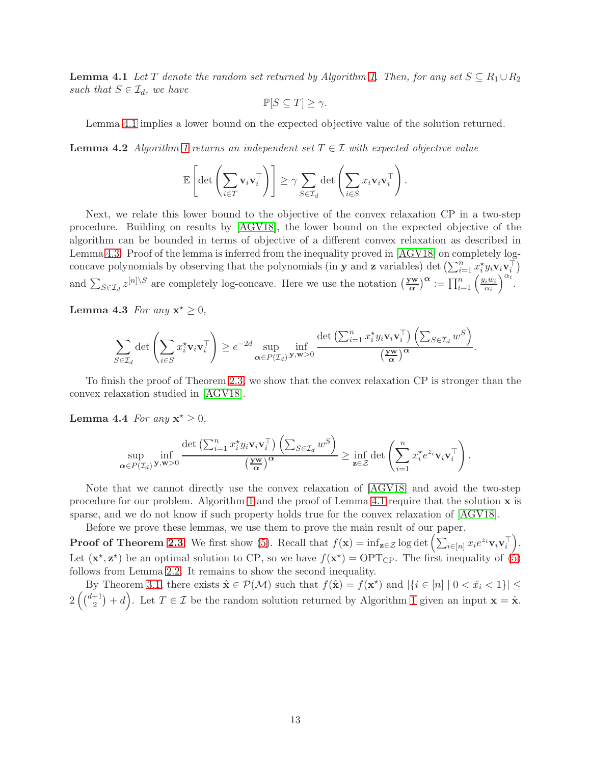**Lemma 4.1** Let T denote the random set returned by Algorithm [1.](#page-12-1) Then, for any set  $S \subseteq R_1 \cup R_2$ such that  $S \in \mathcal{I}_d$ , we have

<span id="page-13-1"></span>
$$
\mathbb{P}[S \subseteq T] \ge \gamma.
$$

Lemma [4.1](#page-12-2) implies a lower bound on the expected objective value of the solution returned.

**Lemma 4.2** Algorithm [1](#page-12-1) returns an independent set  $T \in \mathcal{I}$  with expected objective value

$$
\mathbb{E}\left[\det\left(\sum_{i\in T} \mathbf{v}_i \mathbf{v}_i^\top\right)\right] \geq \gamma \sum_{S\in\mathcal{I}_d} \det\left(\sum_{i\in S} x_i \mathbf{v}_i \mathbf{v}_i^\top\right).
$$

Next, we relate this lower bound to the objective of the convex relaxation CP in a two-step procedure. Building on results by [\[AGV18\]](#page-18-0), the lower bound on the expected objective of the algorithm can be bounded in terms of objective of a different convex relaxation as described in Lemma [4.3.](#page-13-0) Proof of the lemma is inferred from the inequality proved in [\[AGV18\]](#page-18-0) on completely logconcave polynomials by observing that the polynomials (in y and z variables) det  $\left(\sum_{i=1}^n x_i^* y_i \mathbf{v}_i \mathbf{v}_i^\top\right)$ and  $\sum_{S \in \mathcal{I}_d} z^{[n] \setminus S}$  are completely log-concave. Here we use the notation  $\left(\frac{\mathbf{y} \mathbf{w}}{\alpha}\right)$  $\left(\frac{\partial w}{\partial \alpha}\right)^{\bm{\alpha}}:=\prod_{i=1}^n\left(\frac{y_iw_i}{\alpha_i}\right)$ αi  $\int^{\alpha_i}$ .

<span id="page-13-0"></span>**Lemma 4.3** For any  $\mathbf{x}^* \geq 0$ ,

$$
\sum_{S\in\mathcal{I}_d}\det\left(\sum_{i\in S}x_i^{\star}\mathbf{v}_i\mathbf{v}_i^{\top}\right)\geq e^{-2d}\sup_{\alpha\in P(\mathcal{I}_d)}\inf_{\mathbf{y},\mathbf{w}>0}\frac{\det\left(\sum_{i=1}^nx_i^{\star}y_i\mathbf{v}_i\mathbf{v}_i^{\top}\right)\left(\sum_{S\in\mathcal{I}_d}w^S\right)}{\left(\frac{\mathbf{y}\mathbf{w}}{\alpha}\right)^{\alpha}}.
$$

To finish the proof of Theorem [2.3,](#page-9-0) we show that the convex relaxation CP is stronger than the convex relaxation studied in [\[AGV18\]](#page-18-0).

# **Lemma 4.4** For any  $\mathbf{x}^* \geq 0$ ,

<span id="page-13-2"></span>
$$
\sup_{\alpha \in P(\mathcal{I}_d)} \inf_{\mathbf{y}, \mathbf{w} > 0} \frac{\det \left( \sum_{i=1}^n x_i^* y_i \mathbf{v}_i \mathbf{v}_i^\top \right) \left( \sum_{S \in \mathcal{I}_d} w^S \right)}{\left( \frac{\mathbf{y} \mathbf{w}}{\alpha} \right)^{\alpha}} \ge \inf_{\mathbf{z} \in \mathcal{Z}} \det \left( \sum_{i=1}^n x_i^* e^{z_i} \mathbf{v}_i \mathbf{v}_i^\top \right).
$$

Note that we cannot directly use the convex relaxation of [\[AGV18\]](#page-18-0) and avoid the two-step procedure for our problem. Algorithm [1](#page-12-1) and the proof of Lemma [4.1](#page-12-2) require that the solution  $x$  is sparse, and we do not know if such property holds true for the convex relaxation of [\[AGV18\]](#page-18-0).

Before we prove these lemmas, we use them to prove the main result of our paper.

**Proof of Theorem [2.3](#page-9-0)**: We first show [\(5\)](#page-9-3). Recall that  $f(\mathbf{x}) = \inf_{\mathbf{z} \in \mathcal{Z}} \log \det \left( \sum_{i \in [n]} x_i e^{z_i} \mathbf{v}_i \mathbf{v}_i^{\top} \right)$  . Let  $(\mathbf{x}^*, \mathbf{z}^*)$  be an optimal solution to CP, so we have  $f(\mathbf{x}^*) = \text{OPT}_{\text{CP}}$ . The first inequality of [\(5\)](#page-9-3) follows from Lemma [2.2.](#page-8-3) It remains to show the second inequality.

By Theorem [3.1,](#page-10-2) there exists  $\hat{\mathbf{x}} \in \mathcal{P}(\mathcal{M})$  such that  $f(\hat{\mathbf{x}}) = f(\mathbf{x}^*)$  and  $|\{i \in [n] \mid 0 < \hat{x_i} < 1\}| \leq$  $2\left(\binom{d+1}{2}\right)$  $\left(\frac{1}{2}+d\right)$ . Let  $T \in \mathcal{I}$  be the random solution returned by Algorithm [1](#page-12-1) given an input  $\mathbf{x} = \hat{\mathbf{x}}$ .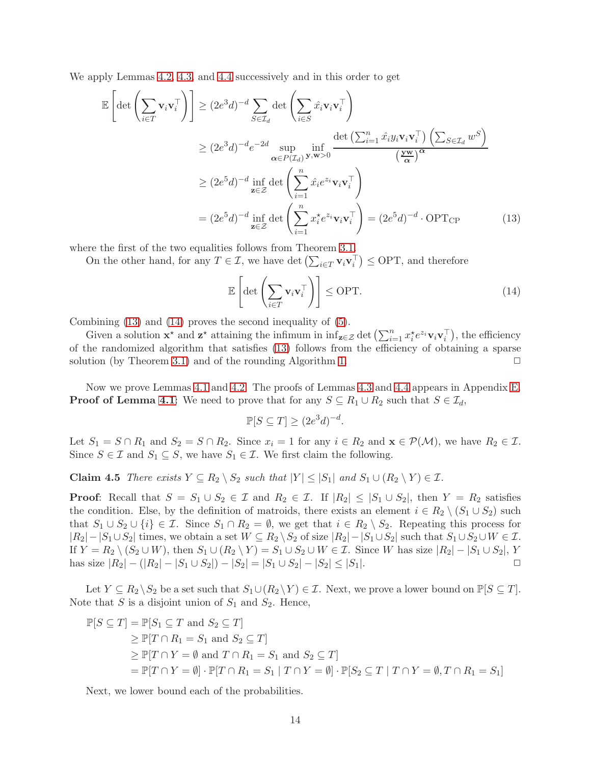We apply Lemmas [4.2,](#page-13-1) [4.3,](#page-13-0) and [4.4](#page-13-2) successively and in this order to get

$$
\mathbb{E}\left[\det\left(\sum_{i\in T} \mathbf{v}_{i}\mathbf{v}_{i}^{\top}\right)\right] \geq (2e^{3}d)^{-d} \sum_{S\in\mathcal{I}_{d}} \det\left(\sum_{i\in S} \hat{x}_{i}\mathbf{v}_{i}\mathbf{v}_{i}^{\top}\right)
$$
\n
$$
\geq (2e^{3}d)^{-d}e^{-2d} \sup_{\mathbf{\alpha}\in P(\mathcal{I}_{d})} \inf_{\mathbf{y}, \mathbf{w}>0} \frac{\det\left(\sum_{i=1}^{n} \hat{x}_{i}y_{i}\mathbf{v}_{i}\mathbf{v}_{i}^{\top}\right)\left(\sum_{S\in\mathcal{I}_{d}} w^{S}\right)}{\left(\frac{\mathbf{y}\mathbf{w}}{\mathbf{\alpha}}\right)^{\alpha}}
$$
\n
$$
\geq (2e^{5}d)^{-d} \inf_{\mathbf{z}\in\mathcal{Z}} \det\left(\sum_{i=1}^{n} \hat{x}_{i}e^{z_{i}}\mathbf{v}_{i}\mathbf{v}_{i}^{\top}\right)
$$
\n
$$
= (2e^{5}d)^{-d} \inf_{\mathbf{z}\in\mathcal{Z}} \det\left(\sum_{i=1}^{n} x_{i}^{*}e^{z_{i}}\mathbf{v}_{i}\mathbf{v}_{i}^{\top}\right) = (2e^{5}d)^{-d} \cdot \text{OPT}_{\text{CP}} \tag{13}
$$

where the first of the two equalities follows from Theorem [3.1.](#page-10-2)

On the other hand, for any  $T \in \mathcal{I}$ , we have det  $\left( \sum_{i \in T} \mathbf{v}_i \mathbf{v}_i^{\top} \right) \leq \text{OPT}$ , and therefore

<span id="page-14-1"></span><span id="page-14-0"></span>
$$
\mathbb{E}\left[\det\left(\sum_{i\in T} \mathbf{v}_i \mathbf{v}_i^\top\right)\right] \le \text{OPT}.\tag{14}
$$

Combining [\(13\)](#page-14-0) and [\(14\)](#page-14-1) proves the second inequality of [\(5\)](#page-9-3).

Given a solution  $\mathbf{x}^*$  and  $\mathbf{z}^*$  attaining the infimum in  $\inf_{\mathbf{z}\in\mathcal{Z}}\det\left(\sum_{i=1}^nx_i^*e^{z_i}\mathbf{v}_i\mathbf{v}_i^{\top}\right)$ , the efficiency of the randomized algorithm that satisfies [\(13\)](#page-14-0) follows from the efficiency of obtaining a sparse solution (by Theorem [3.1\)](#page-10-2) and of the rounding Algorithm [1.](#page-12-1)  $\Box$ 

Now we prove Lemmas [4.1](#page-12-2) and [4.2.](#page-13-1) The proofs of Lemmas [4.3](#page-13-0) and [4.4](#page-13-2) appears in Appendix [E.](#page-41-0) **Proof of Lemma [4.1](#page-12-2)**: We need to prove that for any  $S \subseteq R_1 \cup R_2$  such that  $S \in \mathcal{I}_d$ ,

$$
\mathbb{P}[S \subseteq T] \ge (2e^3d)^{-d}.
$$

<span id="page-14-2"></span>Let  $S_1 = S \cap R_1$  and  $S_2 = S \cap R_2$ . Since  $x_i = 1$  for any  $i \in R_2$  and  $\mathbf{x} \in \mathcal{P}(\mathcal{M})$ , we have  $R_2 \in \mathcal{I}$ . Since  $S \in \mathcal{I}$  and  $S_1 \subseteq S$ , we have  $S_1 \in \mathcal{I}$ . We first claim the following.

Claim 4.5 There exists  $Y \subseteq R_2 \setminus S_2$  such that  $|Y| \leq |S_1|$  and  $S_1 \cup (R_2 \setminus Y) \in \mathcal{I}$ .

**Proof:** Recall that  $S = S_1 \cup S_2 \in \mathcal{I}$  and  $R_2 \in \mathcal{I}$ . If  $|R_2| \leq |S_1 \cup S_2|$ , then  $Y = R_2$  satisfies the condition. Else, by the definition of matroids, there exists an element  $i \in R_2 \setminus (S_1 \cup S_2)$  such that  $S_1 \cup S_2 \cup \{i\} \in \mathcal{I}$ . Since  $S_1 \cap R_2 = \emptyset$ , we get that  $i \in R_2 \setminus S_2$ . Repeating this process for  $|R_2|-|S_1\cup S_2|$  times, we obtain a set  $W\subseteq R_2\setminus S_2$  of size  $|R_2|-|S_1\cup S_2|$  such that  $S_1\cup S_2\cup W\in\mathcal{I}$ . If  $Y = R_2 \setminus (S_2 \cup W)$ , then  $S_1 \cup (R_2 \setminus Y) = S_1 \cup S_2 \cup W \in \mathcal{I}$ . Since W has size  $|R_2| - |S_1 \cup S_2|$ , Y has size  $|R_2| - (|R_2| - |S_1 \cup S_2|) - |S_2| = |S_1 \cup S_2| - |S_2| \leq |S_1|$ . □ has size  $|R_2| - (|R_2| - |S_1 \cup S_2|) - |S_2| = |S_1 \cup S_2| - |S_2| \leq |S_1|$ .

Let  $Y \subseteq R_2 \backslash S_2$  be a set such that  $S_1 \cup (R_2 \backslash Y) \in \mathcal{I}$ . Next, we prove a lower bound on  $\mathbb{P}[S \subseteq T]$ . Note that S is a disjoint union of  $S_1$  and  $S_2$ . Hence,

$$
\mathbb{P}[S \subseteq T] = \mathbb{P}[S_1 \subseteq T \text{ and } S_2 \subseteq T]
$$
  
\n
$$
\geq \mathbb{P}[T \cap R_1 = S_1 \text{ and } S_2 \subseteq T]
$$
  
\n
$$
\geq \mathbb{P}[T \cap Y = \emptyset \text{ and } T \cap R_1 = S_1 \text{ and } S_2 \subseteq T]
$$
  
\n
$$
= \mathbb{P}[T \cap Y = \emptyset] \cdot \mathbb{P}[T \cap R_1 = S_1 | T \cap Y = \emptyset] \cdot \mathbb{P}[S_2 \subseteq T | T \cap Y = \emptyset, T \cap R_1 = S_1]
$$

Next, we lower bound each of the probabilities.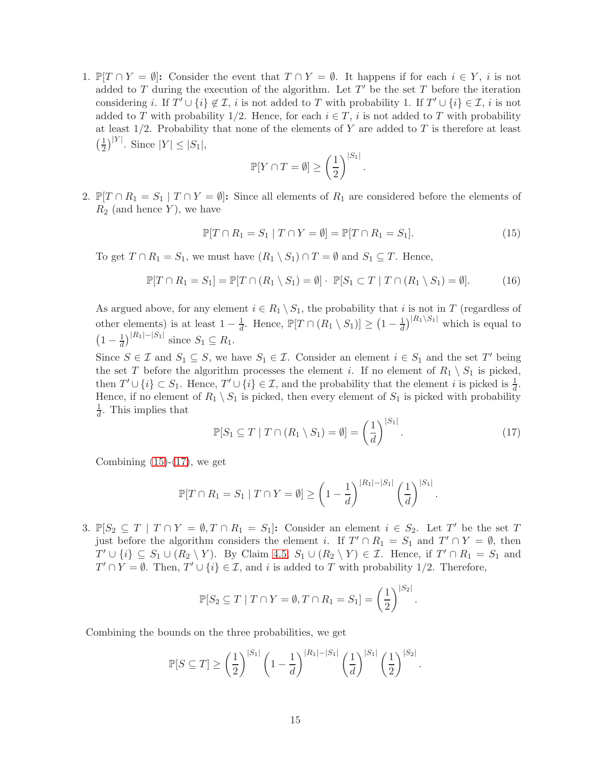1.  $\mathbb{P}[T \cap Y = \emptyset]$ : Consider the event that  $T \cap Y = \emptyset$ . It happens if for each  $i \in Y$ , i is not added to  $T$  during the execution of the algorithm. Let  $T'$  be the set  $T$  before the iteration considering *i*. If  $T' \cup \{i\} \notin \mathcal{I}$ , *i* is not added to T with probability 1. If  $T' \cup \{i\} \in \mathcal{I}$ , *i* is not added to T with probability 1/2. Hence, for each  $i \in T$ , i is not added to T with probability at least  $1/2$ . Probability that none of the elements of Y are added to T is therefore at least  $\left(\frac{1}{2}\right)$  $(\frac{1}{2})^{|Y|}$ . Since  $|Y| \leq |S_1|$ ,

$$
\mathbb{P}[Y \cap T = \emptyset] \ge \left(\frac{1}{2}\right)^{|S_1|}
$$

2.  $\mathbb{P}[T \cap R_1 = S_1 | T \cap Y = \emptyset]$ : Since all elements of  $R_1$  are considered before the elements of  $R_2$  (and hence Y), we have

<span id="page-15-0"></span>
$$
\mathbb{P}[T \cap R_1 = S_1 \mid T \cap Y = \emptyset] = \mathbb{P}[T \cap R_1 = S_1].\tag{15}
$$

.

To get  $T \cap R_1 = S_1$ , we must have  $(R_1 \setminus S_1) \cap T = \emptyset$  and  $S_1 \subseteq T$ . Hence,

$$
\mathbb{P}[T \cap R_1 = S_1] = \mathbb{P}[T \cap (R_1 \setminus S_1) = \emptyset] \cdot \mathbb{P}[S_1 \subset T \mid T \cap (R_1 \setminus S_1) = \emptyset]. \tag{16}
$$

As argued above, for any element  $i \in R_1 \setminus S_1$ , the probability that i is not in T (regardless of other elements) is at least  $1 - \frac{1}{d}$  $\frac{1}{d}$ . Hence,  $\mathbb{P}[T \cap (R_1 \setminus S_1)] \geq (1 - \frac{1}{d})$  $\frac{1}{d}\big)^{|R_1\setminus S_1|}$  which is equal to  $(1 - \frac{1}{d})^{|R_1| - |S_1|}$  since  $S_1 \subseteq R_1$ .

Since  $S \in \mathcal{I}$  and  $S_1 \subseteq S$ , we have  $S_1 \in \mathcal{I}$ . Consider an element  $i \in S_1$  and the set T' being the set T before the algorithm processes the element i. If no element of  $R_1 \setminus S_1$  is picked, then  $T' \cup \{i\} \subset S_1$ . Hence,  $T' \cup \{i\} \in \mathcal{I}$ , and the probability that the element i is picked is  $\frac{1}{d}$ . Hence, if no element of  $R_1 \setminus S_1$  is picked, then every element of  $S_1$  is picked with probability 1  $\frac{1}{d}$ . This implies that  $|C|$ 

<span id="page-15-1"></span>
$$
\mathbb{P}[S_1 \subseteq T \mid T \cap (R_1 \setminus S_1) = \emptyset] = \left(\frac{1}{d}\right)^{|S_1|}.\tag{17}
$$

Combining  $(15)-(17)$  $(15)-(17)$ , we get

$$
\mathbb{P}[T \cap R_1 = S_1 | T \cap Y = \emptyset] \ge \left(1 - \frac{1}{d}\right)^{|R_1| - |S_1|} \left(\frac{1}{d}\right)^{|S_1|}.
$$

3.  $\mathbb{P}[S_2 \subseteq T \mid T \cap Y = \emptyset, T \cap R_1 = S_1]$ : Consider an element  $i \in S_2$ . Let T' be the set T just before the algorithm considers the element i. If  $T' \cap R_1 = S_1$  and  $T' \cap Y = \emptyset$ , then  $T' \cup \{i\} \subseteq S_1 \cup (R_2 \setminus Y)$ . By Claim [4.5,](#page-14-2)  $S_1 \cup (R_2 \setminus Y) \in \mathcal{I}$ . Hence, if  $T' \cap R_1 = S_1$  and  $T' \cap Y = \emptyset$ . Then,  $T' \cup \{i\} \in \mathcal{I}$ , and i is added to T with probability 1/2. Therefore,

$$
\mathbb{P}[S_2 \subseteq T \mid T \cap Y = \emptyset, T \cap R_1 = S_1] = \left(\frac{1}{2}\right)^{|S_2|}.
$$

Combining the bounds on the three probabilities, we get

$$
\mathbb{P}[S \subseteq T] \ge \left(\frac{1}{2}\right)^{|S_1|} \left(1 - \frac{1}{d}\right)^{|R_1| - |S_1|} \left(\frac{1}{d}\right)^{|S_1|} \left(\frac{1}{2}\right)^{|S_2|}.
$$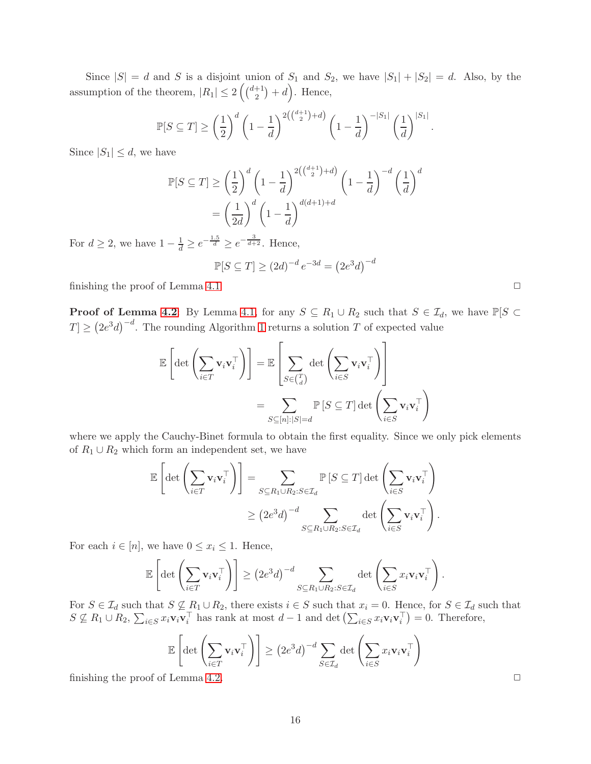Since  $|S| = d$  and S is a disjoint union of  $S_1$  and  $S_2$ , we have  $|S_1| + |S_2| = d$ . Also, by the assumption of the theorem,  $|R_1| \leq 2\left(\binom{d+1}{2}\right)$  $t_2^{+1}$  + d). Hence,

$$
\mathbb{P}[S \subseteq T] \ge \left(\frac{1}{2}\right)^d \left(1 - \frac{1}{d}\right)^{2\left(\binom{d+1}{2} + d\right)} \left(1 - \frac{1}{d}\right)^{-|S_1|} \left(\frac{1}{d}\right)^{|S_1|}
$$

Since  $|S_1| \leq d$ , we have

$$
\mathbb{P}[S \subseteq T] \ge \left(\frac{1}{2}\right)^d \left(1 - \frac{1}{d}\right)^{2\left(\binom{d+1}{2} + d\right)} \left(1 - \frac{1}{d}\right)^{-d} \left(\frac{1}{d}\right)^d
$$

$$
= \left(\frac{1}{2d}\right)^d \left(1 - \frac{1}{d}\right)^{d(d+1) + d}
$$

For  $d \ge 2$ , we have  $1 - \frac{1}{d} \ge e^{-\frac{1.5}{d}} \ge e^{-\frac{3}{d+2}}$ . Hence,

$$
\mathbb{P}[S \subseteq T] \ge (2d)^{-d} e^{-3d} = (2e^3d)^{-d}
$$

finishing the proof of Lemma  $4.1$ 

**Proof of Lemma [4.2](#page-13-1)**: By Lemma [4.1,](#page-12-2) for any  $S \subseteq R_1 \cup R_2$  such that  $S \in \mathcal{I}_d$ , we have  $\mathbb{P}[S \subset \mathcal{I}_d]$  $T \geq (2e^3d)^{-d}$ . The rounding Algorithm [1](#page-12-1) returns a solution T of expected value

$$
\mathbb{E}\left[\det\left(\sum_{i\in T} \mathbf{v}_i \mathbf{v}_i^\top\right)\right] = \mathbb{E}\left[\sum_{S\in\binom{T}{d}} \det\left(\sum_{i\in S} \mathbf{v}_i \mathbf{v}_i^\top\right)\right]
$$

$$
= \sum_{S\subseteq[n]:|S|=d} \mathbb{P}\left[S\subseteq T\right] \det\left(\sum_{i\in S} \mathbf{v}_i \mathbf{v}_i^\top\right)
$$

where we apply the Cauchy-Binet formula to obtain the first equality. Since we only pick elements of  $R_1 \cup R_2$  which form an independent set, we have

$$
\mathbb{E}\left[\det\left(\sum_{i\in T} \mathbf{v}_i \mathbf{v}_i^\top\right)\right] = \sum_{S \subseteq R_1 \cup R_2: S \in \mathcal{I}_d} \mathbb{P}\left[S \subseteq T\right] \det\left(\sum_{i\in S} \mathbf{v}_i \mathbf{v}_i^\top\right) \geq (2e^3d)^{-d} \sum_{S \subseteq R_1 \cup R_2: S \in \mathcal{I}_d} \det\left(\sum_{i\in S} \mathbf{v}_i \mathbf{v}_i^\top\right).
$$

For each  $i \in [n]$ , we have  $0 \leq x_i \leq 1$ . Hence,

$$
\mathbb{E}\left[\det\left(\sum_{i\in T} \mathbf{v}_i \mathbf{v}_i^\top\right)\right] \geq \left(2e^3d\right)^{-d} \sum_{S\subseteq R_1\cup R_2: S\in \mathcal{I}_d} \det\left(\sum_{i\in S} x_i \mathbf{v}_i \mathbf{v}_i^\top\right).
$$

For  $S \in \mathcal{I}_d$  such that  $S \nsubseteq R_1 \cup R_2$ , there exists  $i \in S$  such that  $x_i = 0$ . Hence, for  $S \in \mathcal{I}_d$  such that  $S \nsubseteq R_1 \cup R_2$ ,  $\sum_{i \in S} x_i \mathbf{v}_i \mathbf{v}_i^\top$  has rank at most  $d-1$  and  $\det \left( \sum_{i \in S} x_i \mathbf{v}_i \mathbf{v}_i^\top \right) = 0$ . Therefore,

$$
\mathbb{E}\left[\det\left(\sum_{i\in T} \mathbf{v}_i \mathbf{v}_i^\top\right)\right] \geq \left(2e^3 d\right)^{-d} \sum_{S\in\mathcal{I}_d} \det\left(\sum_{i\in S} x_i \mathbf{v}_i \mathbf{v}_i^\top\right)
$$
  
finishing the proof of Lemma 4.2.

.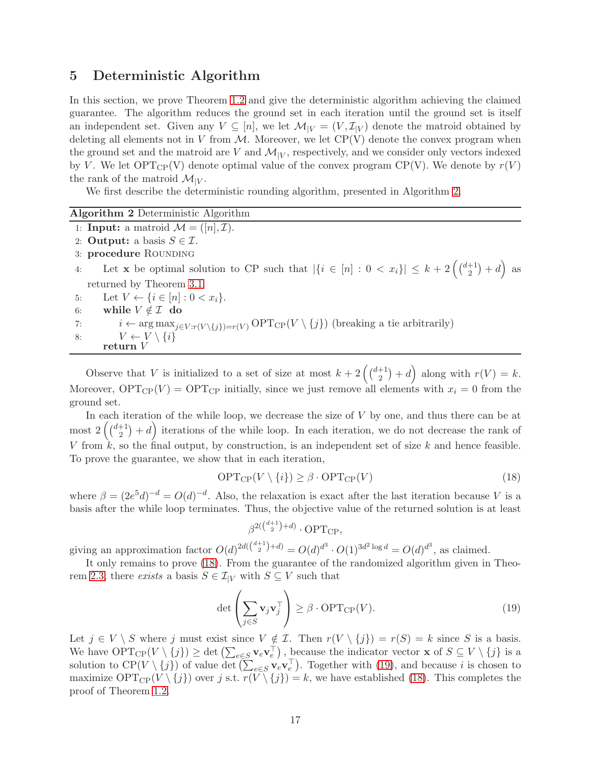# <span id="page-17-0"></span>5 Deterministic Algorithm

In this section, we prove Theorem [1.2](#page-3-0) and give the deterministic algorithm achieving the claimed guarantee. The algorithm reduces the ground set in each iteration until the ground set is itself an independent set. Given any  $V \subseteq [n]$ , we let  $\mathcal{M}_{|V} = (V, \mathcal{I}_{|V})$  denote the matroid obtained by deleting all elements not in V from  $M$ . Moreover, we let  $\mathbb{CP}(V)$  denote the convex program when the ground set and the matroid are V and  $\mathcal{M}_{|V}$ , respectively, and we consider only vectors indexed by V. We let  $\text{OPT}_{\text{CP}}(V)$  denote optimal value of the convex program  $\text{CP}(V)$ . We denote by  $r(V)$ the rank of the matroid  $\mathcal{M}_{|V}$ .

We first describe the deterministic rounding algorithm, presented in Algorithm [2.](#page-17-1)

<span id="page-17-1"></span>

| Algorithm 2 Deterministic Algorithm |  |  |
|-------------------------------------|--|--|
|-------------------------------------|--|--|

- 1: **Input:** a matroid  $\mathcal{M} = ([n], \mathcal{I}).$
- 2: **Output:** a basis  $S \in \mathcal{I}$ .
- 3: procedure ROUNDING
- 4: Let **x** be optimal solution to CP such that  $|\{i \in [n]: 0 < x_i\}| \leq k + 2\left(\binom{d+1}{2}\right)$  $\binom{+1}{2} + d$  as returned by Theorem [3.1.](#page-10-2)
- 5: Let  $V \leftarrow \{i \in [n] : 0 < x_i\}.$ <br>6: while  $V \notin \mathcal{I}$  do
- while  $V \notin \mathcal{I}$  do
- 7:  $i \leftarrow \arg \max_{j \in V : r(V \setminus \{j\})=r(V)} \text{OPT}_{\text{CP}}(V \setminus \{j\})$  (breaking a tie arbitrarily)
- 8:  $V \leftarrow V \setminus \{i\}$
- return V

Observe that V is initialized to a set of size at most  $k + 2\left(\binom{d+1}{2}\right)$  $x_2^{+1}$  + d) along with  $r(V) = k$ . Moreover,  $\text{OPT}_{\text{CP}}(V) = \text{OPT}_{\text{CP}}$  initially, since we just remove all elements with  $x_i = 0$  from the ground set.

In each iteration of the while loop, we decrease the size of V by one, and thus there can be at most  $2\left(\binom{d+1}{2}\right)$  $\binom{+1}{2}$  + d) iterations of the while loop. In each iteration, we do not decrease the rank of V from  $k$ , so the final output, by construction, is an independent set of size k and hence feasible. To prove the guarantee, we show that in each iteration,

<span id="page-17-2"></span>
$$
\text{OPT}_{\text{CP}}(V \setminus \{i\}) \ge \beta \cdot \text{OPT}_{\text{CP}}(V) \tag{18}
$$

where  $\beta = (2e^5d)^{-d} = O(d)^{-d}$ . Also, the relaxation is exact after the last iteration because V is a basis after the while loop terminates. Thus, the objective value of the returned solution is at least

$$
\beta^{2(\binom{d+1}{2}+d)}\cdot \text{OPT}_{\text{CP}},
$$

giving an approximation factor  $O(d)^{2d((\frac{d+1}{2})+d)} = O(d)^{d^3} \cdot O(1)^{3d^2 \log d} = O(d)^{d^3}$ , as claimed.

It only remains to prove [\(18\)](#page-17-2). From the guarantee of the randomized algorithm given in Theo-rem [2.3,](#page-9-0) there exists a basis  $S \in \mathcal{I}_{|V}$  with  $S \subseteq V$  such that

<span id="page-17-3"></span>
$$
\det\left(\sum_{j\in S} \mathbf{v}_j \mathbf{v}_j^\top\right) \ge \beta \cdot \text{OPT}_{\text{CP}}(V). \tag{19}
$$

Let  $j \in V \setminus S$  where j must exist since  $V \notin \mathcal{I}$ . Then  $r(V \setminus \{j\}) = r(S) = k$  since S is a basis. We have  $\text{OPT}_{\text{CP}}(V \setminus \{j\}) \ge \det \left( \sum_{e \in S} \mathbf{v}_e \mathbf{v}_e^{\top} \right),$  because the indicator vector  $\mathbf{x}$  of  $S \subseteq V \setminus \{j\}$  is a solution to  $\text{CP}(V \setminus \{j\})$  of value  $\det \left(\sum_{e \in S} \mathbf{v}_e \mathbf{v}_e^{\top}\right)$ . Together with [\(19\)](#page-17-3), and because i is chosen to maximize  $\text{OPT}_{\text{CP}}(V \setminus \{j\})$  over j s.t.  $r(V \setminus \{j\}) = k$ , we have established [\(18\)](#page-17-2). This completes the proof of Theorem [1.2.](#page-3-0)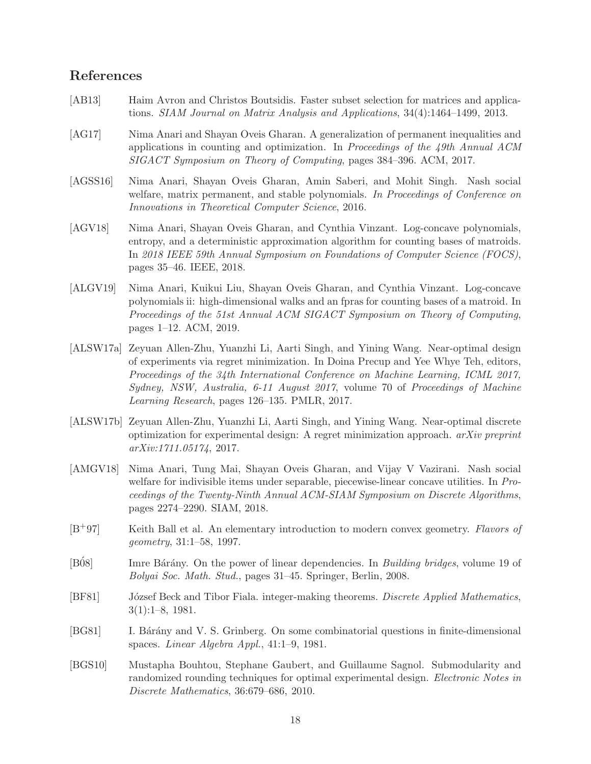# References

- <span id="page-18-8"></span>[AB13] Haim Avron and Christos Boutsidis. Faster subset selection for matrices and applications. SIAM Journal on Matrix Analysis and Applications, 34(4):1464–1499, 2013.
- <span id="page-18-2"></span>[AG17] Nima Anari and Shayan Oveis Gharan. A generalization of permanent inequalities and applications in counting and optimization. In Proceedings of the 49th Annual ACM SIGACT Symposium on Theory of Computing, pages 384–396. ACM, 2017.
- <span id="page-18-7"></span>[AGSS16] Nima Anari, Shayan Oveis Gharan, Amin Saberi, and Mohit Singh. Nash social welfare, matrix permanent, and stable polynomials. In Proceedings of Conference on Innovations in Theoretical Computer Science, 2016.
- <span id="page-18-0"></span>[AGV18] Nima Anari, Shayan Oveis Gharan, and Cynthia Vinzant. Log-concave polynomials, entropy, and a deterministic approximation algorithm for counting bases of matroids. In 2018 IEEE 59th Annual Symposium on Foundations of Computer Science (FOCS), pages 35–46. IEEE, 2018.
- <span id="page-18-1"></span>[ALGV19] Nima Anari, Kuikui Liu, Shayan Oveis Gharan, and Cynthia Vinzant. Log-concave polynomials ii: high-dimensional walks and an fpras for counting bases of a matroid. In Proceedings of the 51st Annual ACM SIGACT Symposium on Theory of Computing, pages 1–12. ACM, 2019.
- <span id="page-18-4"></span>[ALSW17a] Zeyuan Allen-Zhu, Yuanzhi Li, Aarti Singh, and Yining Wang. Near-optimal design of experiments via regret minimization. In Doina Precup and Yee Whye Teh, editors, Proceedings of the 34th International Conference on Machine Learning, ICML 2017, Sydney, NSW, Australia, 6-11 August 2017, volume 70 of Proceedings of Machine Learning Research, pages 126–135. PMLR, 2017.
- <span id="page-18-6"></span>[ALSW17b] Zeyuan Allen-Zhu, Yuanzhi Li, Aarti Singh, and Yining Wang. Near-optimal discrete optimization for experimental design: A regret minimization approach.  $arXiv$  preprint arXiv:1711.05174, 2017.
- <span id="page-18-5"></span>[AMGV18] Nima Anari, Tung Mai, Shayan Oveis Gharan, and Vijay V Vazirani. Nash social welfare for indivisible items under separable, piecewise-linear concave utilities. In Proceedings of the Twenty-Ninth Annual ACM-SIAM Symposium on Discrete Algorithms, pages 2274–2290. SIAM, 2018.
- <span id="page-18-12"></span> $[B<sup>+</sup>97]$  Keith Ball et al. An elementary introduction to modern convex geometry. Flavors of geometry, 31:1–58, 1997.
- <span id="page-18-11"></span>[BÔ8] Imre Bárány. On the power of linear dependencies. In Building bridges, volume 19 of Bolyai Soc. Math. Stud., pages 31–45. Springer, Berlin, 2008.
- <span id="page-18-9"></span>[BF81] József Beck and Tibor Fiala. integer-making theorems. Discrete Applied Mathematics, 3(1):1–8, 1981.
- <span id="page-18-10"></span>[BG81] I. Bárány and V. S. Grinberg. On some combinatorial questions in finite-dimensional spaces. Linear Algebra Appl., 41:1–9, 1981.
- <span id="page-18-3"></span>[BGS10] Mustapha Bouhtou, Stephane Gaubert, and Guillaume Sagnol. Submodularity and randomized rounding techniques for optimal experimental design. Electronic Notes in Discrete Mathematics, 36:679–686, 2010.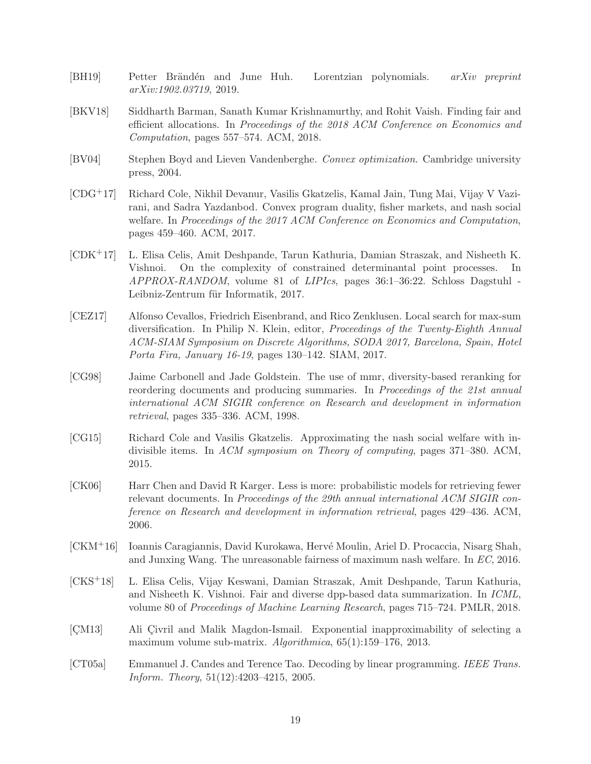- <span id="page-19-5"></span>[BH19] Petter Brändén and June Huh. Lorentzian polynomials. arXiv preprint arXiv:1902.03719, 2019.
- <span id="page-19-8"></span>[BKV18] Siddharth Barman, Sanath Kumar Krishnamurthy, and Rohit Vaish. Finding fair and efficient allocations. In Proceedings of the 2018 ACM Conference on Economics and Computation, pages 557–574. ACM, 2018.
- <span id="page-19-12"></span>[BV04] Stephen Boyd and Lieven Vandenberghe. Convex optimization. Cambridge university press, 2004.
- <span id="page-19-7"></span>[CDG+17] Richard Cole, Nikhil Devanur, Vasilis Gkatzelis, Kamal Jain, Tung Mai, Vijay V Vazirani, and Sadra Yazdanbod. Convex program duality, fisher markets, and nash social welfare. In Proceedings of the 2017 ACM Conference on Economics and Computation, pages 459–460. ACM, 2017.
- <span id="page-19-6"></span>[CDK+17] L. Elisa Celis, Amit Deshpande, Tarun Kathuria, Damian Straszak, and Nisheeth K. Vishnoi. On the complexity of constrained determinantal point processes. In APPROX-RANDOM, volume 81 of LIPIcs, pages 36:1–36:22. Schloss Dagstuhl - Leibniz-Zentrum für Informatik, 2017.
- <span id="page-19-1"></span>[CEZ17] Alfonso Cevallos, Friedrich Eisenbrand, and Rico Zenklusen. Local search for max-sum diversification. In Philip N. Klein, editor, Proceedings of the Twenty-Eighth Annual ACM-SIAM Symposium on Discrete Algorithms, SODA 2017, Barcelona, Spain, Hotel Porta Fira, January 16-19, pages 130–142. SIAM, 2017.
- <span id="page-19-3"></span>[CG98] Jaime Carbonell and Jade Goldstein. The use of mmr, diversity-based reranking for reordering documents and producing summaries. In *Proceedings of the 21st annual* international ACM SIGIR conference on Research and development in information retrieval, pages 335–336. ACM, 1998.
- <span id="page-19-10"></span>[CG15] Richard Cole and Vasilis Gkatzelis. Approximating the nash social welfare with indivisible items. In ACM symposium on Theory of computing, pages 371–380. ACM, 2015.
- <span id="page-19-0"></span>[CK06] Harr Chen and David R Karger. Less is more: probabilistic models for retrieving fewer relevant documents. In Proceedings of the 29th annual international ACM SIGIR conference on Research and development in information retrieval, pages 429–436. ACM, 2006.
- <span id="page-19-9"></span>[CKM+16] Ioannis Caragiannis, David Kurokawa, Herv´e Moulin, Ariel D. Procaccia, Nisarg Shah, and Junxing Wang. The unreasonable fairness of maximum nash welfare. In EC, 2016.
- <span id="page-19-2"></span>[CKS+18] L. Elisa Celis, Vijay Keswani, Damian Straszak, Amit Deshpande, Tarun Kathuria, and Nisheeth K. Vishnoi. Fair and diverse dpp-based data summarization. In ICML, volume 80 of Proceedings of Machine Learning Research, pages 715–724. PMLR, 2018.
- <span id="page-19-4"></span>[CM13] Ali Civril and Malik Magdon-Ismail. Exponential inapproximability of selecting a maximum volume sub-matrix. Algorithmica, 65(1):159–176, 2013.
- <span id="page-19-11"></span>[CT05a] Emmanuel J. Candes and Terence Tao. Decoding by linear programming. IEEE Trans. Inform. Theory, 51(12):4203–4215, 2005.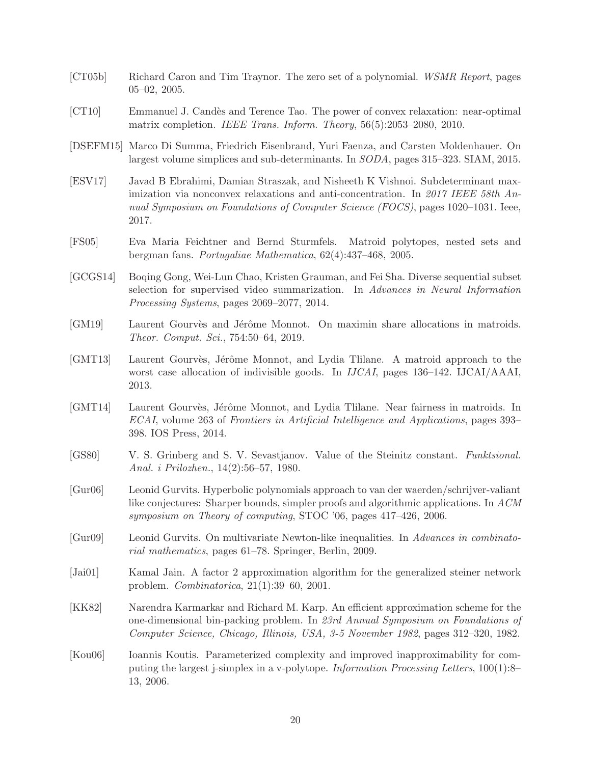- <span id="page-20-13"></span>[CT05b] Richard Caron and Tim Traynor. The zero set of a polynomial. WSMR Report, pages 05–02, 2005.
- <span id="page-20-12"></span>[CT10] Emmanuel J. Cand`es and Terence Tao. The power of convex relaxation: near-optimal matrix completion. IEEE Trans. Inform. Theory, 56(5):2053–2080, 2010.
- <span id="page-20-2"></span>[DSEFM15] Marco Di Summa, Friedrich Eisenbrand, Yuri Faenza, and Carsten Moldenhauer. On largest volume simplices and sub-determinants. In SODA, pages 315–323. SIAM, 2015.
- <span id="page-20-3"></span>[ESV17] Javad B Ebrahimi, Damian Straszak, and Nisheeth K Vishnoi. Subdeterminant maximization via nonconvex relaxations and anti-concentration. In 2017 IEEE 58th Annual Symposium on Foundations of Computer Science (FOCS), pages 1020–1031. Ieee, 2017.
- <span id="page-20-14"></span>[FS05] Eva Maria Feichtner and Bernd Sturmfels. Matroid polytopes, nested sets and bergman fans. Portugaliae Mathematica, 62(4):437–468, 2005.
- <span id="page-20-0"></span>[GCGS14] Boqing Gong, Wei-Lun Chao, Kristen Grauman, and Fei Sha. Diverse sequential subset selection for supervised video summarization. In Advances in Neural Information Processing Systems, pages 2069–2077, 2014.
- <span id="page-20-6"></span>[GM19] Laurent Gourvès and Jérôme Monnot. On maximin share allocations in matroids. Theor. Comput. Sci., 754:50–64, 2019.
- <span id="page-20-4"></span>[GMT13] Laurent Gourvès, Jérôme Monnot, and Lydia Tlilane. A matroid approach to the worst case allocation of indivisible goods. In *IJCAI*, pages 136–142. IJCAI/AAAI, 2013.
- <span id="page-20-5"></span>[GMT14] Laurent Gourvès, Jérôme Monnot, and Lydia Tlilane. Near fairness in matroids. In ECAI, volume 263 of Frontiers in Artificial Intelligence and Applications, pages 393– 398. IOS Press, 2014.
- <span id="page-20-9"></span>[GS80] V. S. Grinberg and S. V. Sevastjanov. Value of the Steinitz constant. Funktsional. Anal. i Prilozhen., 14(2):56–57, 1980.
- <span id="page-20-8"></span>[Gur06] Leonid Gurvits. Hyperbolic polynomials approach to van der waerden/schrijver-valiant like conjectures: Sharper bounds, simpler proofs and algorithmic applications. In ACM symposium on Theory of computing, STOC '06, pages 417–426, 2006.
- <span id="page-20-7"></span>[Gur09] Leonid Gurvits. On multivariate Newton-like inequalities. In Advances in combinatorial mathematics, pages 61–78. Springer, Berlin, 2009.
- <span id="page-20-11"></span>[Jai01] Kamal Jain. A factor 2 approximation algorithm for the generalized steiner network problem. Combinatorica, 21(1):39–60, 2001.
- <span id="page-20-10"></span>[KK82] Narendra Karmarkar and Richard M. Karp. An efficient approximation scheme for the one-dimensional bin-packing problem. In 23rd Annual Symposium on Foundations of Computer Science, Chicago, Illinois, USA, 3-5 November 1982, pages 312–320, 1982.
- <span id="page-20-1"></span>[Kou06] Ioannis Koutis. Parameterized complexity and improved inapproximability for computing the largest j-simplex in a v-polytope. Information Processing Letters, 100(1):8– 13, 2006.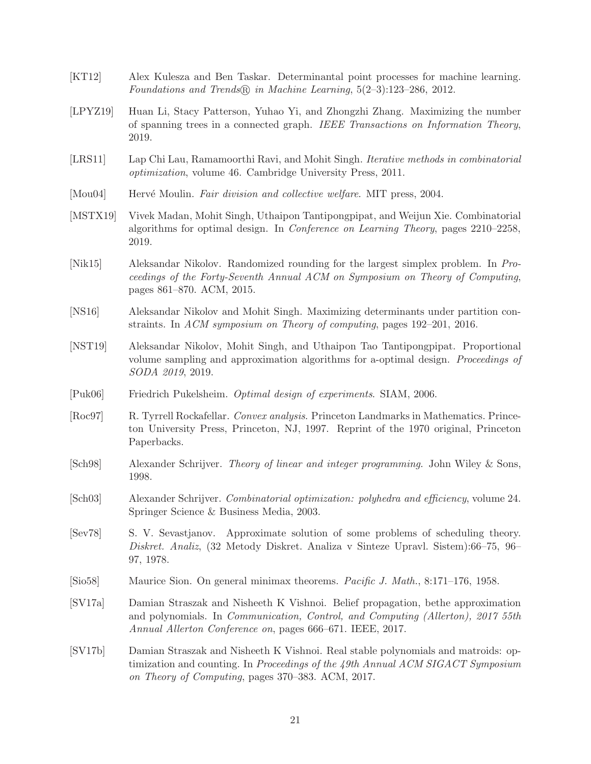- <span id="page-21-2"></span>[KT12] Alex Kulesza and Ben Taskar. Determinantal point processes for machine learning. Foundations and Trends® in Machine Learning,  $5(2-3):123-286$ , 2012.
- <span id="page-21-7"></span>[LPYZ19] Huan Li, Stacy Patterson, Yuhao Yi, and Zhongzhi Zhang. Maximizing the number of spanning trees in a connected graph. IEEE Transactions on Information Theory, 2019.
- <span id="page-21-11"></span>[LRS11] Lap Chi Lau, Ramamoorthi Ravi, and Mohit Singh. Iterative methods in combinatorial optimization, volume 46. Cambridge University Press, 2011.
- <span id="page-21-6"></span>[Mou04] Hervé Moulin. Fair division and collective welfare. MIT press, 2004.
- <span id="page-21-0"></span>[MSTX19] Vivek Madan, Mohit Singh, Uthaipon Tantipongpipat, and Weijun Xie. Combinatorial algorithms for optimal design. In Conference on Learning Theory, pages 2210–2258, 2019.
- <span id="page-21-4"></span>[Nik15] Aleksandar Nikolov. Randomized rounding for the largest simplex problem. In Proceedings of the Forty-Seventh Annual ACM on Symposium on Theory of Computing, pages 861–870. ACM, 2015.
- <span id="page-21-1"></span>[NS16] Aleksandar Nikolov and Mohit Singh. Maximizing determinants under partition constraints. In ACM symposium on Theory of computing, pages 192–201, 2016.
- <span id="page-21-9"></span>[NST19] Aleksandar Nikolov, Mohit Singh, and Uthaipon Tao Tantipongpipat. Proportional volume sampling and approximation algorithms for a-optimal design. Proceedings of SODA 2019, 2019.
- <span id="page-21-3"></span>[Puk06] Friedrich Pukelsheim. Optimal design of experiments. SIAM, 2006.
- <span id="page-21-13"></span>[Roc97] R. Tyrrell Rockafellar. Convex analysis. Princeton Landmarks in Mathematics. Princeton University Press, Princeton, NJ, 1997. Reprint of the 1970 original, Princeton Paperbacks.
- <span id="page-21-14"></span>[Sch98] Alexander Schrijver. Theory of linear and integer programming. John Wiley & Sons, 1998.
- <span id="page-21-12"></span>[Sch03] Alexander Schrijver. Combinatorial optimization: polyhedra and efficiency, volume 24. Springer Science & Business Media, 2003.
- <span id="page-21-10"></span>[Sev78] S. V. Sevastjanov. Approximate solution of some problems of scheduling theory. Diskret. Analiz, (32 Metody Diskret. Analiza v Sinteze Upravl. Sistem):66–75, 96– 97, 1978.
- <span id="page-21-15"></span>[Sio58] Maurice Sion. On general minimax theorems. Pacific J. Math., 8:171–176, 1958.
- <span id="page-21-8"></span>[SV17a] Damian Straszak and Nisheeth K Vishnoi. Belief propagation, bethe approximation and polynomials. In Communication, Control, and Computing (Allerton), 2017 55th Annual Allerton Conference on, pages 666–671. IEEE, 2017.
- <span id="page-21-5"></span>[SV17b] Damian Straszak and Nisheeth K Vishnoi. Real stable polynomials and matroids: optimization and counting. In Proceedings of the 49th Annual ACM SIGACT Symposium on Theory of Computing, pages 370–383. ACM, 2017.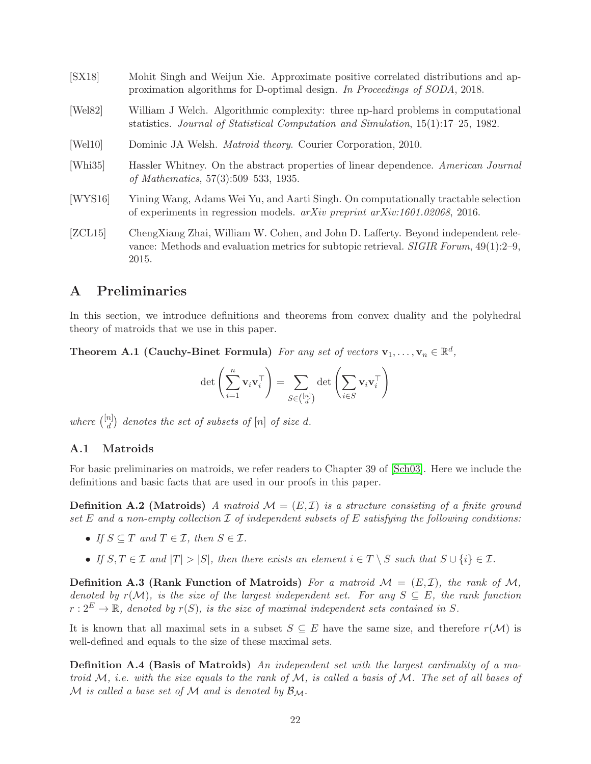<span id="page-22-7"></span><span id="page-22-6"></span><span id="page-22-3"></span><span id="page-22-1"></span>

| [SX18]  | Mohit Singh and Weijun Xie. Approximate positive correlated distributions and ap-<br>proximation algorithms for D-optimal design. In Proceedings of SODA, 2018.                 |
|---------|---------------------------------------------------------------------------------------------------------------------------------------------------------------------------------|
| [Wel82] | William J Welch. Algorithmic complexity: three np-hard problems in computational<br>statistics. Journal of Statistical Computation and Simulation, $15(1):17-25$ , 1982.        |
| [Wel10] | Dominic JA Welsh. <i>Matroid theory</i> . Courier Corporation, 2010.                                                                                                            |
| [Whi35] | Hassler Whitney. On the abstract properties of linear dependence. American Journal<br>of Mathematics, 57(3):509-533, 1935.                                                      |
| [WYS16] | Yining Wang, Adams Wei Yu, and Aarti Singh. On computationally tractable selection<br>of experiments in regression models. arXiv preprint arXiv:1601.02068, 2016.               |
| [ZCL15] | ChengXiang Zhai, William W. Cohen, and John D. Lafferty. Beyond independent rele-<br>vance: Methods and evaluation metrics for subtopic retrieval. $SIGIR$ Forum, $49(1):2-9$ , |

# <span id="page-22-4"></span><span id="page-22-0"></span>A Preliminaries

<span id="page-22-2"></span>2015.

In this section, we introduce definitions and theorems from convex duality and the polyhedral theory of matroids that we use in this paper.

Theorem A.1 (Cauchy-Binet Formula) For any set of vectors  $\mathbf{v}_1, \ldots, \mathbf{v}_n \in \mathbb{R}^d$ ,

$$
\det\left(\sum_{i=1}^n \mathbf{v}_i \mathbf{v}_i^\top\right) = \sum_{S \in \binom{[n]}{d}} \det\left(\sum_{i \in S} \mathbf{v}_i \mathbf{v}_i^\top\right)
$$

where  $\binom{[n]}{d}$  $\binom{[n]}{d}$  denotes the set of subsets of  $[n]$  of size d.

## <span id="page-22-5"></span>A.1 Matroids

For basic preliminaries on matroids, we refer readers to Chapter 39 of [\[Sch03\]](#page-21-12). Here we include the definitions and basic facts that are used in our proofs in this paper.

**Definition A.2 (Matroids)** A matroid  $\mathcal{M} = (E, \mathcal{I})$  is a structure consisting of a finite ground set E and a non-empty collection  $\mathcal I$  of independent subsets of E satisfying the following conditions:

- If  $S \subseteq T$  and  $T \in \mathcal{I}$ , then  $S \in \mathcal{I}$ .
- If  $S, T \in \mathcal{I}$  and  $|T| > |S|$ , then there exists an element  $i \in T \setminus S$  such that  $S \cup \{i\} \in \mathcal{I}$ .

**Definition A.3 (Rank Function of Matroids)** For a matroid  $\mathcal{M} = (E, \mathcal{I})$ , the rank of  $\mathcal{M}$ , denoted by  $r(\mathcal{M})$ , is the size of the largest independent set. For any  $S \subseteq E$ , the rank function  $r: 2^E \to \mathbb{R}$ , denoted by  $r(S)$ , is the size of maximal independent sets contained in S.

It is known that all maximal sets in a subset  $S \subseteq E$  have the same size, and therefore  $r(\mathcal{M})$  is well-defined and equals to the size of these maximal sets.

Definition A.4 (Basis of Matroids) An independent set with the largest cardinality of a matroid M, i.e. with the size equals to the rank of M, is called a basis of M. The set of all bases of M is called a base set of M and is denoted by  $\mathcal{B}_{\mathcal{M}}$ .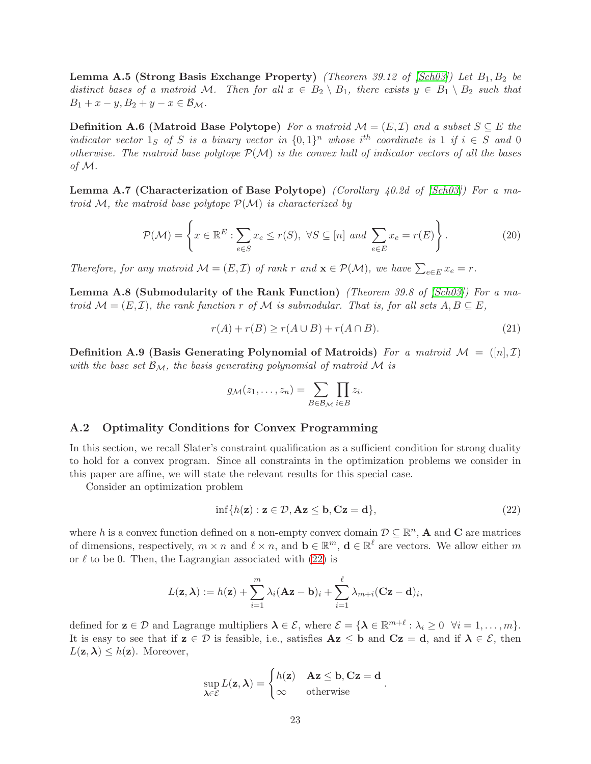**Lemma A.5 (Strong Basis Exchange Property)** (Theorem 39.12 of  $|Sch03|$ ) Let  $B_1, B_2$  be distinct bases of a matroid M. Then for all  $x \in B_2 \setminus B_1$ , there exists  $y \in B_1 \setminus B_2$  such that  $B_1 + x - y$ ,  $B_2 + y - x \in \mathcal{B}_{\mathcal{M}}$ .

**Definition A.6 (Matroid Base Polytope)** For a matroid  $\mathcal{M} = (E, \mathcal{I})$  and a subset  $S \subseteq E$  the indicator vector  $1_S$  of S is a binary vector in  $\{0,1\}^n$  whose i<sup>th</sup> coordinate is 1 if  $i \in S$  and 0 otherwise. The matroid base polytope  $\mathcal{P}(\mathcal{M})$  is the convex hull of indicator vectors of all the bases of M.

Lemma A.7 (Characterization of Base Polytope) (Corollary 40.2d of  $|Sch03|$ ) For a matroid M, the matroid base polytope  $\mathcal{P}(\mathcal{M})$  is characterized by

$$
\mathcal{P}(\mathcal{M}) = \left\{ x \in \mathbb{R}^E : \sum_{e \in S} x_e \le r(S), \ \forall S \subseteq [n] \ and \ \sum_{e \in E} x_e = r(E) \right\}.
$$
 (20)

Therefore, for any matroid  $\mathcal{M} = (E, \mathcal{I})$  of rank r and  $\mathbf{x} \in \mathcal{P}(\mathcal{M})$ , we have  $\sum_{e \in E} x_e = r$ .

Lemma A.8 (Submodularity of the Rank Function) *(Theorem 39.8 of [\[Sch03\]](#page-21-12))* For a matroid  $\mathcal{M} = (E, \mathcal{I})$ , the rank function r of  $\mathcal{M}$  is submodular. That is, for all sets  $A, B \subseteq E$ ,

$$
r(A) + r(B) \ge r(A \cup B) + r(A \cap B). \tag{21}
$$

Definition A.9 (Basis Generating Polynomial of Matroids) For a matroid  $\mathcal{M} = ([n], \mathcal{I})$ with the base set  $\mathcal{B}_{\mathcal{M}}$ , the basis generating polynomial of matroid  $\mathcal M$  is

$$
g_{\mathcal{M}}(z_1,\ldots,z_n)=\sum_{B\in\mathcal{B}_{\mathcal{M}}}\prod_{i\in B}z_i.
$$

#### <span id="page-23-0"></span>A.2 Optimality Conditions for Convex Programming

In this section, we recall Slater's constraint qualification as a sufficient condition for strong duality to hold for a convex program. Since all constraints in the optimization problems we consider in this paper are affine, we will state the relevant results for this special case.

Consider an optimization problem

<span id="page-23-1"></span>
$$
\inf\{h(\mathbf{z}) : \mathbf{z} \in \mathcal{D}, \mathbf{A}\mathbf{z} \le \mathbf{b}, \mathbf{C}\mathbf{z} = \mathbf{d}\},\tag{22}
$$

.

where h is a convex function defined on a non-empty convex domain  $D \subseteq \mathbb{R}^n$ , **A** and **C** are matrices of dimensions, respectively,  $m \times n$  and  $\ell \times n$ , and  $\mathbf{b} \in \mathbb{R}^m$ ,  $\mathbf{d} \in \mathbb{R}^{\ell}$  are vectors. We allow either m or  $\ell$  to be 0. Then, the Lagrangian associated with  $(22)$  is

$$
L(\mathbf{z}, \boldsymbol{\lambda}) := h(\mathbf{z}) + \sum_{i=1}^{m} \lambda_i (\mathbf{A} \mathbf{z} - \mathbf{b})_i + \sum_{i=1}^{\ell} \lambda_{m+i} (\mathbf{C} \mathbf{z} - \mathbf{d})_i,
$$

defined for  $\mathbf{z} \in \mathcal{D}$  and Lagrange multipliers  $\boldsymbol{\lambda} \in \mathcal{E}$ , where  $\mathcal{E} = {\boldsymbol{\lambda} \in \mathbb{R}^{m+\ell} : \lambda_i \geq 0 \ \forall i = 1, ..., m}.$ It is easy to see that if  $z \in \mathcal{D}$  is feasible, i.e., satisfies  $Az \leq b$  and  $Cz = d$ , and if  $\lambda \in \mathcal{E}$ , then  $L(\mathbf{z},\boldsymbol{\lambda}) \leq h(\mathbf{z})$ . Moreover,

$$
\sup_{\lambda \in \mathcal{E}} L(\mathbf{z}, \lambda) = \begin{cases} h(\mathbf{z}) & \mathbf{A}\mathbf{z} \leq \mathbf{b}, \mathbf{C}\mathbf{z} = \mathbf{d} \\ \infty & \text{otherwise} \end{cases}
$$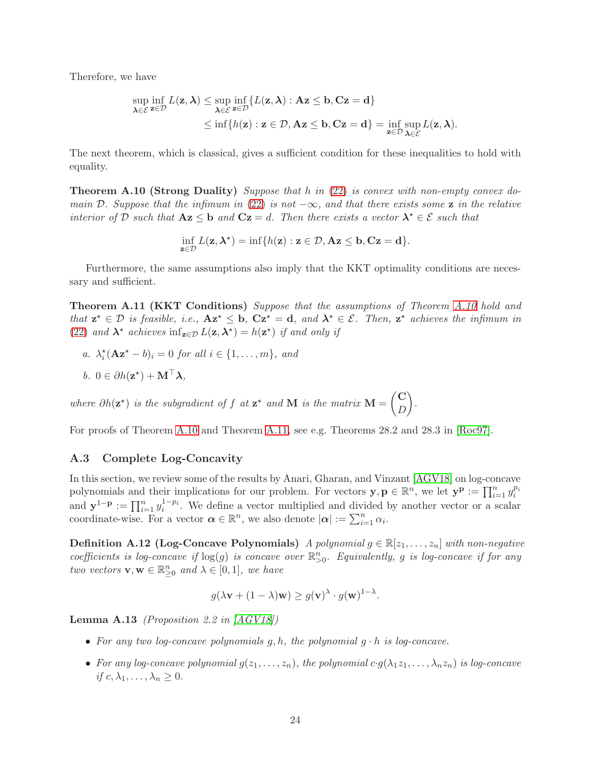Therefore, we have

$$
\sup_{\lambda \in \mathcal{E}} \inf_{\mathbf{z} \in \mathcal{D}} L(\mathbf{z}, \lambda) \leq \sup_{\lambda \in \mathcal{E}} \inf_{\mathbf{z} \in \mathcal{D}} \{ L(\mathbf{z}, \lambda) : \mathbf{A} \mathbf{z} \leq \mathbf{b}, \mathbf{C} \mathbf{z} = \mathbf{d} \}
$$
  
 
$$
\leq \inf \{ h(\mathbf{z}) : \mathbf{z} \in \mathcal{D}, \mathbf{A} \mathbf{z} \leq \mathbf{b}, \mathbf{C} \mathbf{z} = \mathbf{d} \} = \inf_{\mathbf{z} \in \mathcal{D}} \sup_{\lambda \in \mathcal{E}} L(\mathbf{z}, \lambda).
$$

<span id="page-24-0"></span>The next theorem, which is classical, gives a sufficient condition for these inequalities to hold with equality.

Theorem A.10 (Strong Duality) Suppose that h in [\(22\)](#page-23-1) is convex with non-empty convex do-main D. Suppose that the infimum in [\(22\)](#page-23-1) is not  $-\infty$ , and that there exists some **z** in the relative interior of D such that  $Az \leq b$  and  $Cz = d$ . Then there exists a vector  $\lambda^* \in \mathcal{E}$  such that

$$
\inf_{\mathbf{z}\in\mathcal{D}} L(\mathbf{z},\boldsymbol{\lambda}^*)=\inf\{h(\mathbf{z}): \mathbf{z}\in\mathcal{D}, \mathbf{A}\mathbf{z}\leq \mathbf{b}, \mathbf{C}\mathbf{z}=\mathbf{d}\}.
$$

<span id="page-24-1"></span>Furthermore, the same assumptions also imply that the KKT optimality conditions are necessary and sufficient.

**Theorem A.11 (KKT Conditions)** Suppose that the assumptions of Theorem [A.10](#page-24-0) hold and that  $z^* \in \mathcal{D}$  is feasible, i.e.,  $Az^* \leq b$ ,  $Cz^* = d$ , and  $\lambda^* \in \mathcal{E}$ . Then,  $z^*$  achieves the infimum in [\(22\)](#page-23-1) and  $\lambda^*$  achieves  $\inf_{\mathbf{z}\in\mathcal{D}} L(\mathbf{z}, \lambda^*) = h(\mathbf{z}^*)$  if and only if

- <span id="page-24-3"></span><span id="page-24-2"></span>a.  $\lambda_i^{\star}(\mathbf{A}\mathbf{z}^{\star} - b)_i = 0$  for all  $i \in \{1, ..., m\}$ , and
- b.  $0 \in \partial h(\mathbf{z}^*) + \mathbf{M}^\top \boldsymbol{\lambda},$

where  $\partial h(\mathbf{z}^*)$  is the subgradient of f at  $\mathbf{z}^*$  and **M** is the matrix  $\mathbf{M} = \begin{pmatrix} \mathbf{C} \\ \mathbf{D} \end{pmatrix}$ D  $\overline{ }$ .

For proofs of Theorem [A.10](#page-24-0) and Theorem [A.11,](#page-24-1) see e.g. Theorems 28.2 and 28.3 in [\[Roc97\]](#page-21-13).

### A.3 Complete Log-Concavity

In this section, we review some of the results by Anari, Gharan, and Vinzant [\[AGV18\]](#page-18-0) on log-concave polynomials and their implications for our problem. For vectors  $y, p \in \mathbb{R}^n$ , we let  $y^p := \prod_{i=1}^n y_i^{p_i}$ and  $\mathbf{y}^{1-\mathbf{p}} := \prod_{i=1}^n y_i^{1-p_i}$ . We define a vector multiplied and divided by another vector or a scalar coordinate-wise. For a vector  $\boldsymbol{\alpha} \in \mathbb{R}^n$ , we also denote  $|\boldsymbol{\alpha}| := \sum_{i=1}^n \alpha_i$ .

**Definition A.12 (Log-Concave Polynomials)** A polynomial  $g \in \mathbb{R}[z_1, \ldots, z_n]$  with non-negative coefficients is log-concave if  $log(g)$  is concave over  $\mathbb{R}^n_{>0}$ . Equivalently, g is log-concave if for any two vectors  $\mathbf{v}, \mathbf{w} \in \mathbb{R}_{\geq 0}^n$  and  $\lambda \in [0, 1]$ , we have

$$
g(\lambda \mathbf{v} + (1 - \lambda)\mathbf{w}) \ge g(\mathbf{v})^{\lambda} \cdot g(\mathbf{w})^{1 - \lambda}.
$$

<span id="page-24-4"></span>**Lemma A.13** (Proposition 2.2 in  $[AGV18]$ )

- For any two log-concave polynomials g, h, the polynomial  $g \cdot h$  is log-concave.
- For any log-concave polynomial  $g(z_1, \ldots, z_n)$ , the polynomial  $c \cdot g(\lambda_1 z_1, \ldots, \lambda_n z_n)$  is log-concave if  $c, \lambda_1, \ldots, \lambda_n \geq 0$ .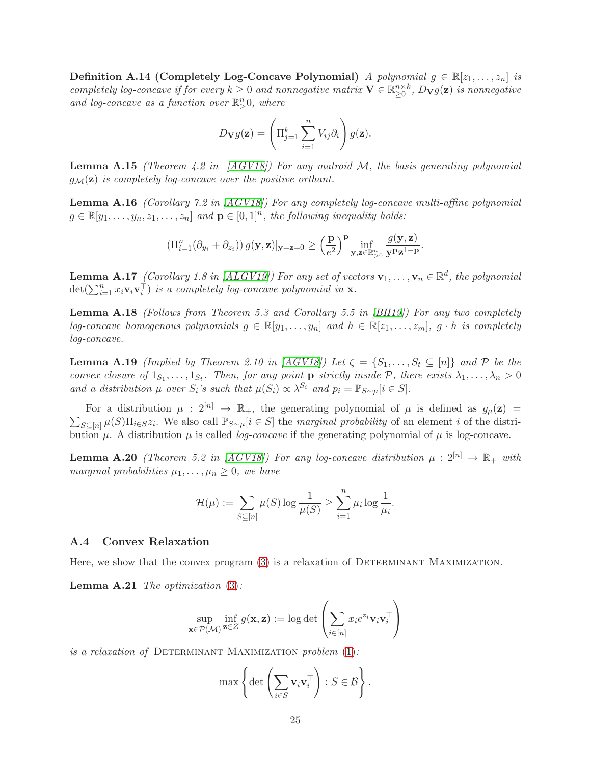Definition A.14 (Completely Log-Concave Polynomial) A polynomial  $g \in \mathbb{R}[z_1, \ldots, z_n]$  is completely log-concave if for every  $k \geq 0$  and nonnegative matrix  $\mathbf{V} \in \mathbb{R}_{\geq 0}^{n \times k}$ ,  $D_{\mathbf{V}}g(\mathbf{z})$  is nonnegative and log-concave as a function over  $\mathbb{R}^n_{>0}$ , where

$$
D_{\mathbf{V}}g(\mathbf{z}) = \left(\Pi_{j=1}^k \sum_{i=1}^n V_{ij}\partial_i\right)g(\mathbf{z}).
$$

<span id="page-25-2"></span>**Lemma A.15** (Theorem 4.2 in  $[AGV18]$ ) For any matroid M, the basis generating polynomial  $g_{\mathcal{M}}(\mathbf{z})$  is completely log-concave over the positive orthant.

<span id="page-25-1"></span>**Lemma A.16** (Corollary 7.2 in  $[AGV18]$ ) For any completely log-concave multi-affine polynomial  $g \in \mathbb{R}[y_1, \ldots, y_n, z_1, \ldots, z_n]$  and  $\mathbf{p} \in [0, 1]^n$ , the following inequality holds:

$$
\left(\Pi_{i=1}^n(\partial_{y_i}+\partial_{z_i})\right)g(\mathbf{y},\mathbf{z})|_{\mathbf{y}=\mathbf{z}=0}\geq \left(\frac{\mathbf{p}}{e^2}\right)^{\mathbf{p}}\inf_{\mathbf{y},\mathbf{z}\in\mathbb{R}_{>0}^n}\frac{g(\mathbf{y},\mathbf{z})}{\mathbf{y}^{\mathbf{p}}\mathbf{z}^{1-\mathbf{p}}}.
$$

<span id="page-25-3"></span>**Lemma A.17** (Corollary 1.8 in [\[ALGV19\]](#page-18-1)) For any set of vectors  $\mathbf{v}_1, \ldots, \mathbf{v}_n \in \mathbb{R}^d$ , the polynomial  $\det(\sum_{i=1}^n x_i \mathbf{v}_i \mathbf{v}_i^{\top})$  is a completely log-concave polynomial in **x**.

<span id="page-25-4"></span>Lemma A.18 (Follows from Theorem 5.3 and Corollary 5.5 in [\[BH19\]](#page-19-5)) For any two completely log-concave homogenous polynomials  $g \in \mathbb{R}[y_1,\ldots,y_n]$  and  $h \in \mathbb{R}[z_1,\ldots,z_m]$ ,  $g \cdot h$  is completely log-concave.

<span id="page-25-5"></span>**Lemma A.19** (Implied by Theorem 2.10 in [\[AGV18\]](#page-18-0)) Let  $\zeta = \{S_1, \ldots, S_t \subseteq [n]\}\$  and P be the convex closure of  $1_{S_1},\ldots,1_{S_t}$ . Then, for any point **p** strictly inside P, there exists  $\lambda_1,\ldots,\lambda_n>0$ and a distribution  $\mu$  over  $S_i$ 's such that  $\mu(S_i) \propto \lambda^{S_i}$  and  $p_i = \mathbb{P}_{S \sim \mu}[i \in S].$ 

For a distribution  $\mu : 2^{[n]} \to \mathbb{R}_+$ , the generating polynomial of  $\mu$  is defined as  $g_{\mu}(z) =$  $\sum_{S\subseteq[n]}\mu(S)\Pi_{i\in S}z_i$ . We also call  $\mathbb{P}_{S\sim\mu}[i\in S]$  the *marginal probability* of an element *i* of the distribution  $\mu$ . A distribution  $\mu$  is called *log-concave* if the generating polynomial of  $\mu$  is log-concave.

<span id="page-25-6"></span>**Lemma A.20** (Theorem 5.2 in [\[AGV18\]](#page-18-0)) For any log-concave distribution  $\mu : 2^{[n]} \to \mathbb{R}_+$  with marginal probabilities  $\mu_1, \ldots, \mu_n \geq 0$ , we have

$$
\mathcal{H}(\mu) := \sum_{S \subseteq [n]} \mu(S) \log \frac{1}{\mu(S)} \ge \sum_{i=1}^n \mu_i \log \frac{1}{\mu_i}.
$$

#### A.4 Convex Relaxation

<span id="page-25-0"></span>Here, we show that the convex program  $(3)$  is a relaxation of DETERMINANT MAXIMIZATION.

**Lemma A.21** The optimization  $(3)$ :

$$
\sup_{\mathbf{x}\in\mathcal{P}(\mathcal{M})} \inf_{\mathbf{z}\in\mathcal{Z}} g(\mathbf{x}, \mathbf{z}) := \log \det \left( \sum_{i\in[n]} x_i e^{z_i} \mathbf{v}_i \mathbf{v}_i^\top \right)
$$

is a relaxation of DETERMINANT MAXIMIZATION problem  $(1)$ :

$$
\max \left\{ \det \left( \sum_{i \in S} \mathbf{v}_i \mathbf{v}_i^\top \right) : S \in \mathcal{B} \right\}.
$$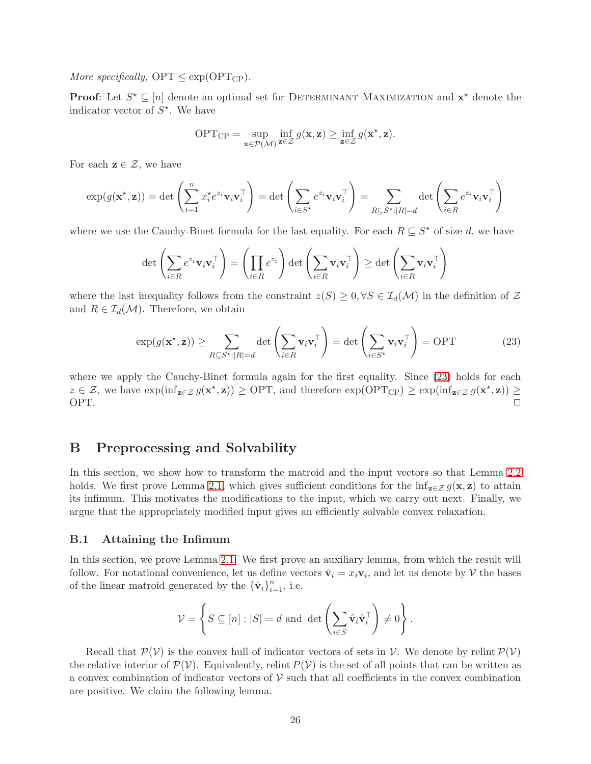More specifically,  $OPT \leq \exp(OPT_{CP})$ .

**Proof:** Let  $S^* \subseteq [n]$  denote an optimal set for DETERMINANT MAXIMIZATION and  $\mathbf{x}^*$  denote the indicator vector of  $S^*$ . We have

$$
\text{OPT}_{\text{CP}} = \sup_{\mathbf{x} \in \mathcal{P}(\mathcal{M})} \inf_{\mathbf{z} \in \mathcal{Z}} g(\mathbf{x}, \mathbf{z}) \ge \inf_{\mathbf{z} \in \mathcal{Z}} g(\mathbf{x}^*, \mathbf{z}).
$$

For each  $z \in \mathcal{Z}$ , we have

$$
\exp(g(\mathbf{x}^{\star}, \mathbf{z})) = \det \left( \sum_{i=1}^{n} x_i^{\star} e^{z_i} \mathbf{v}_i \mathbf{v}_i^{\top} \right) = \det \left( \sum_{i \in S^{\star}} e^{z_i} \mathbf{v}_i \mathbf{v}_i^{\top} \right) = \sum_{R \subseteq S^{\star} : |R| = d} \det \left( \sum_{i \in R} e^{z_i} \mathbf{v}_i \mathbf{v}_i^{\top} \right)
$$

where we use the Cauchy-Binet formula for the last equality. For each  $R \subseteq S^*$  of size d, we have

$$
\det\left(\sum_{i\in R} e^{z_i} \mathbf{v}_i \mathbf{v}_i^\top\right) = \left(\prod_{i\in R} e^{z_i}\right) \det\left(\sum_{i\in R} \mathbf{v}_i \mathbf{v}_i^\top\right) \ge \det\left(\sum_{i\in R} \mathbf{v}_i \mathbf{v}_i^\top\right)
$$

where the last inequality follows from the constraint  $z(S) \geq 0, \forall S \in I_d(\mathcal{M})$  in the definition of Z and  $R \in \mathcal{I}_d(\mathcal{M})$ . Therefore, we obtain

<span id="page-26-1"></span>
$$
\exp(g(\mathbf{x}^*, \mathbf{z})) \ge \sum_{R \subseteq S^* : |R| = d} \det \left( \sum_{i \in R} \mathbf{v}_i \mathbf{v}_i^\top \right) = \det \left( \sum_{i \in S^*} \mathbf{v}_i \mathbf{v}_i^\top \right) = \text{OPT} \tag{23}
$$

where we apply the Cauchy-Binet formula again for the first equality. Since  $(23)$  holds for each  $z \in \mathcal{Z}$ , we have  $\exp(\inf_{\mathbf{z} \in \mathcal{Z}} g(\mathbf{x}^*, \mathbf{z})) \ge \text{OPT}$ , and therefore  $\exp(\text{OPT}_{\text{CP}}) \ge \exp(\inf_{\mathbf{z} \in \mathcal{Z}} g(\mathbf{x}^*, \mathbf{z})) \ge$  $OPT.$ 

## <span id="page-26-0"></span>B Preprocessing and Solvability

In this section, we show how to transform the matroid and the input vectors so that Lemma [2.2](#page-8-3) holds. We first prove Lemma [2.1,](#page-8-4) which gives sufficient conditions for the inf<sub>z∈Z</sub>  $g(x, z)$  to attain its infimum. This motivates the modifications to the input, which we carry out next. Finally, we argue that the appropriately modified input gives an efficiently solvable convex relaxation.

### B.1 Attaining the Infimum

In this section, we prove Lemma [2.1.](#page-8-4) We first prove an auxiliary lemma, from which the result will follow. For notational convenience, let us define vectors  $\hat{\mathbf{v}}_i = x_i \mathbf{v}_i$ , and let us denote by  $\mathcal V$  the bases of the linear matroid generated by the  $\{\hat{\mathbf{v}}_i\}_{i=1}^n$ , i.e.

$$
\mathcal{V} = \left\{ S \subseteq [n] : |S| = d \text{ and } \det \left( \sum_{i \in S} \hat{\mathbf{v}}_i \hat{\mathbf{v}}_i^\top \right) \neq 0 \right\}.
$$

<span id="page-26-2"></span>Recall that  $\mathcal{P}(\mathcal{V})$  is the convex hull of indicator vectors of sets in  $\mathcal{V}$ . We denote by relint  $\mathcal{P}(\mathcal{V})$ the relative interior of  $\mathcal{P}(\mathcal{V})$ . Equivalently, relint  $P(\mathcal{V})$  is the set of all points that can be written as a convex combination of indicator vectors of  $\mathcal V$  such that all coefficients in the convex combination are positive. We claim the following lemma.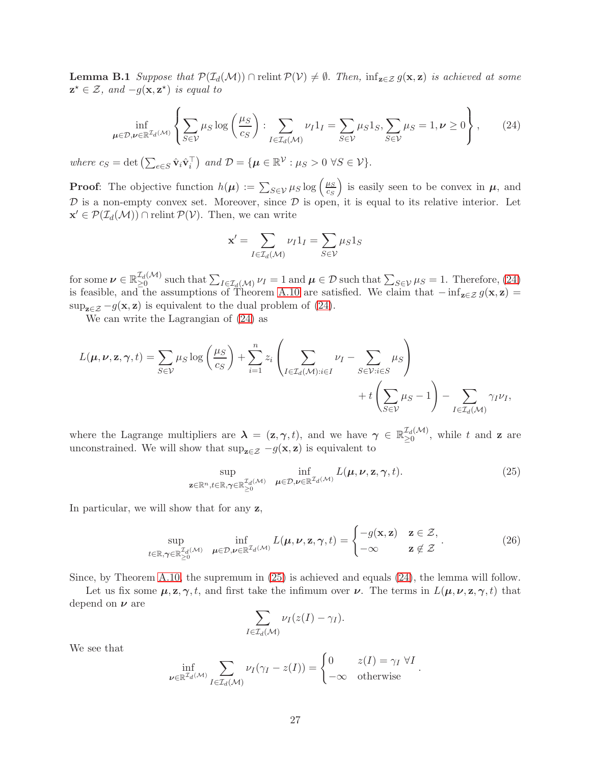**Lemma B.1** Suppose that  $\mathcal{P}(\mathcal{I}_d(\mathcal{M})) \cap$  relint  $\mathcal{P}(\mathcal{V}) \neq \emptyset$ . Then,  $\inf_{\mathbf{z} \in \mathcal{Z}} g(\mathbf{x}, \mathbf{z})$  is achieved at some  $\mathbf{z}^{\star} \in \mathcal{Z}$ , and  $-g(\mathbf{x}, \mathbf{z}^{\star})$  is equal to

<span id="page-27-0"></span>
$$
\inf_{\mu \in \mathcal{D}, \nu \in \mathbb{R}^{\mathcal{I}_{d}(\mathcal{M})}} \left\{ \sum_{S \in \mathcal{V}} \mu_{S} \log \left( \frac{\mu_{S}}{c_{S}} \right) : \sum_{I \in \mathcal{I}_{d}(\mathcal{M})} \nu_{I} 1_{I} = \sum_{S \in \mathcal{V}} \mu_{S} 1_{S}, \sum_{S \in \mathcal{V}} \mu_{S} = 1, \nu \ge 0 \right\},\tag{24}
$$

where  $c_S = \det \left( \sum_{e \in S} \hat{\mathbf{v}}_i \hat{\mathbf{v}}_i^\top \right)$  and  $\mathcal{D} = \{ \boldsymbol{\mu} \in \mathbb{R}^\mathcal{V} : \mu_S > 0 \ \forall S \in \mathcal{V} \}.$ 

**Proof:** The objective function  $h(\mu) := \sum_{S \in \mathcal{V}} \mu_S \log \left( \frac{\mu_S}{c_S} \right)$  $c_S$ ) is easily seen to be convex in  $\mu$ , and  $D$  is a non-empty convex set. Moreover, since  $D$  is open, it is equal to its relative interior. Let  $\mathbf{x}' \in \mathcal{P}(\mathcal{I}_d(\mathcal{M})) \cap \mathrm{relint} \mathcal{P}(\mathcal{V})$ . Then, we can write

$$
\mathbf{x}' = \sum_{I \in \mathcal{I}_d(\mathcal{M})} \nu_I \mathbf{1}_I = \sum_{S \in \mathcal{V}} \mu_S \mathbf{1}_S
$$

for some  $\boldsymbol{\nu} \in \mathbb{R}_{\geq 0}^{\mathcal{I}_d(\mathcal{M})}$  $\sum_{l\in\mathcal{I}}\mathcal{L}_d(\mathcal{M})$  such that  $\sum_{I\in\mathcal{I}_d(\mathcal{M})}\nu_I=1$  and  $\mu\in\mathcal{D}$  such that  $\sum_{S\in\mathcal{V}}\mu_S=1$ . Therefore, [\(24\)](#page-27-0) is feasible, and the assumptions of Theorem [A.10](#page-24-0) are satisfied. We claim that  $-\inf_{z\in\mathcal{Z}} g(x, z) =$  $\sup_{\mathbf{z}\in\mathcal{Z}}-g(\mathbf{x},\mathbf{z})$  is equivalent to the dual problem of [\(24\)](#page-27-0).

We can write the Lagrangian of [\(24\)](#page-27-0) as

$$
L(\boldsymbol{\mu}, \boldsymbol{\nu}, \mathbf{z}, \boldsymbol{\gamma}, t) = \sum_{S \in \mathcal{V}} \mu_S \log \left(\frac{\mu_S}{c_S}\right) + \sum_{i=1}^n z_i \left(\sum_{I \in \mathcal{I}_d(\mathcal{M}): i \in I} \nu_I - \sum_{S \in \mathcal{V}: i \in S} \mu_S\right) + t \left(\sum_{S \in \mathcal{V}} \mu_S - 1\right) - \sum_{I \in \mathcal{I}_d(\mathcal{M})} \gamma_I \nu_I,
$$

where the Lagrange multipliers are  $\boldsymbol{\lambda} = (\mathbf{z}, \boldsymbol{\gamma}, t)$ , and we have  $\boldsymbol{\gamma} \in \mathbb{R}_{\geq 0}^{\mathcal{I}_d(\mathcal{M})}$  $\geq 0$ , while t and **z** are unconstrained. We will show that  $\sup_{z\in\mathcal{Z}} -g(x, z)$  is equivalent to

<span id="page-27-1"></span>
$$
\sup_{\mathbf{z}\in\mathbb{R}^n,t\in\mathbb{R},\boldsymbol{\gamma}\in\mathbb{R}_{\geq0}^{\mathcal{I}_d(\mathcal{M})}}\inf_{\boldsymbol{\mu}\in\mathcal{D},\boldsymbol{\nu}\in\mathbb{R}^{\mathcal{I}_d(\mathcal{M})}}L(\boldsymbol{\mu},\boldsymbol{\nu},\mathbf{z},\boldsymbol{\gamma},t).
$$
\n(25)

.

In particular, we will show that for any z,

<span id="page-27-2"></span>
$$
\sup_{t \in \mathbb{R}, \boldsymbol{\gamma} \in \mathbb{R}_{\geq 0}^{\mathcal{I}_d(\mathcal{M})}} \inf_{\boldsymbol{\mu} \in \mathcal{D}, \boldsymbol{\nu} \in \mathbb{R}^{\mathcal{I}_d(\mathcal{M})}} L(\boldsymbol{\mu}, \boldsymbol{\nu}, \mathbf{z}, \boldsymbol{\gamma}, t) = \begin{cases} -g(\mathbf{x}, \mathbf{z}) & \mathbf{z} \in \mathcal{Z}, \\ -\infty & \mathbf{z} \notin \mathcal{Z} \end{cases} . \tag{26}
$$

Since, by Theorem [A.10,](#page-24-0) the supremum in [\(25\)](#page-27-1) is achieved and equals [\(24\)](#page-27-0), the lemma will follow.

Let us fix some  $\mu$ ,  $\mathbf{z}$ ,  $\gamma$ ,  $t$ , and first take the infimum over  $\nu$ . The terms in  $L(\mu, \nu, \mathbf{z}, \gamma, t)$  that depend on  $\nu$  are

$$
\sum_{I\in\mathcal{I}_d(\mathcal{M})}\nu_I(z(I)-\gamma_I).
$$

We see that

$$
\inf_{\nu \in \mathbb{R}^{\mathcal{I}_{d}(\mathcal{M})}} \sum_{I \in \mathcal{I}_{d}(\mathcal{M})} \nu_{I}(\gamma_{I} - z(I)) = \begin{cases} 0 & z(I) = \gamma_{I} \ \forall I \\ -\infty & \text{otherwise} \end{cases}
$$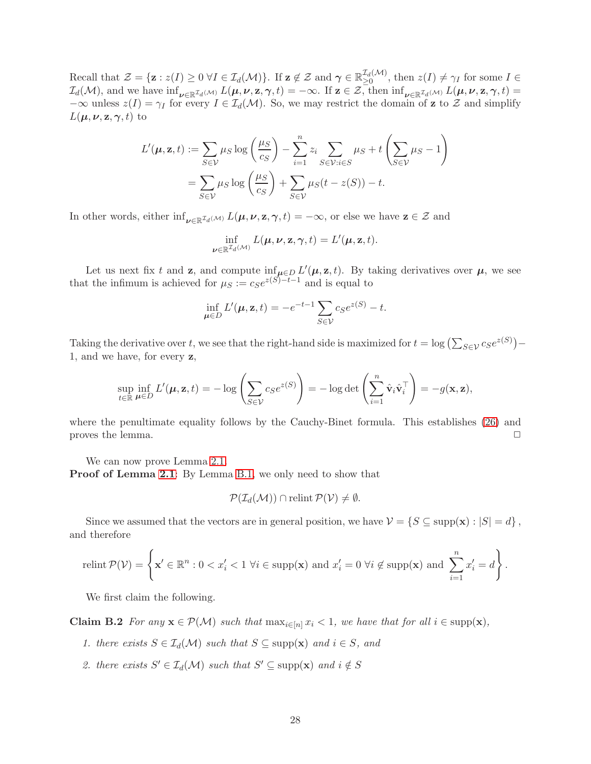Recall that  $\mathcal{Z} = {\mathbf{z} : z(I) \geq 0 \; \forall I \in \mathcal{I}_d(\mathcal{M}) }$ . If  $\mathbf{z} \notin \mathcal{Z}$  and  $\boldsymbol{\gamma} \in \mathbb{R}_{\geq 0}^{\mathcal{I}_d(\mathcal{M})}$  $\mathcal{Z}_d^{(N)}$ , then  $z(I) \neq \gamma_I$  for some  $I \in$  $\mathcal{I}_d(\mathcal{M})$ , and we have  $\inf_{\boldsymbol{\nu} \in \mathbb{R}^{\mathcal{I}_d(\mathcal{M})}} L(\boldsymbol{\mu}, \boldsymbol{\nu}, \mathbf{z}, \boldsymbol{\gamma}, t) = -\infty$ . If  $\mathbf{z} \in \mathcal{Z}$ , then  $\inf_{\boldsymbol{\nu} \in \mathbb{R}^{\mathcal{I}_d(\mathcal{M})}} L(\boldsymbol{\mu}, \boldsymbol{\nu}, \mathbf{z}, \boldsymbol{\gamma}, t) =$  $-\infty$  unless  $z(I) = \gamma_I$  for every  $I \in \mathcal{I}_d(\mathcal{M})$ . So, we may restrict the domain of **z** to  $\mathcal Z$  and simplify  $L(\boldsymbol{\mu}, \boldsymbol{\nu}, \mathbf{z}, \boldsymbol{\gamma}, t)$  to

$$
L'(\boldsymbol{\mu}, \mathbf{z}, t) := \sum_{S \in \mathcal{V}} \mu_S \log \left( \frac{\mu_S}{c_S} \right) - \sum_{i=1}^n z_i \sum_{S \in \mathcal{V}: i \in S} \mu_S + t \left( \sum_{S \in \mathcal{V}} \mu_S - 1 \right)
$$
  
= 
$$
\sum_{S \in \mathcal{V}} \mu_S \log \left( \frac{\mu_S}{c_S} \right) + \sum_{S \in \mathcal{V}} \mu_S (t - z(S)) - t.
$$

In other words, either  $\inf_{\nu \in \mathbb{R}^{T_d(\mathcal{M})}} L(\mu, \nu, \mathbf{z}, \gamma, t) = -\infty$ , or else we have  $\mathbf{z} \in \mathcal{Z}$  and

$$
\inf_{\boldsymbol{\nu}\in\mathbb{R}^{\mathcal{I}_d(\mathcal{M})}}L(\boldsymbol{\mu},\boldsymbol{\nu},\mathbf{z},\boldsymbol{\gamma},t)=L'(\boldsymbol{\mu},\mathbf{z},t).
$$

Let us next fix t and z, and compute  $\inf_{\mu \in D} L'(\mu, \mathbf{z}, t)$ . By taking derivatives over  $\mu$ , we see that the infimum is achieved for  $\mu_S := c_S e^{z(S)-t-1}$  and is equal to

$$
\inf_{\mu \in D} L'(\mu, \mathbf{z}, t) = -e^{-t-1} \sum_{S \in \mathcal{V}} c_S e^{z(S)} - t.
$$

Taking the derivative over t, we see that the right-hand side is maximized for  $t = \log (\sum_{S \in \mathcal{V}} c_S e^{z(S)}) -$ 1, and we have, for every z,

$$
\sup_{t \in \mathbb{R}} \inf_{\mu \in D} L'(\mu, \mathbf{z}, t) = -\log \left( \sum_{S \in \mathcal{V}} c_S e^{z(S)} \right) = -\log \det \left( \sum_{i=1}^n \hat{\mathbf{v}}_i \hat{\mathbf{v}}_i^\top \right) = -g(\mathbf{x}, \mathbf{z}),
$$

where the penultimate equality follows by the Cauchy-Binet formula. This establishes [\(26\)](#page-27-2) and proves the lemma.  $\Box$ 

We can now prove Lemma [2.1.](#page-8-4)

Proof of Lemma [2.1](#page-8-4): By Lemma [B.1,](#page-26-2) we only need to show that

<span id="page-28-0"></span>
$$
\mathcal{P}(\mathcal{I}_d(\mathcal{M})) \cap \mathrm{relint}\,\mathcal{P}(\mathcal{V}) \neq \emptyset.
$$

Since we assumed that the vectors are in general position, we have  $V = \{S \subseteq \text{supp}(\mathbf{x}) : |S| = d\},\$ and therefore

$$
\text{relint}\,\mathcal{P}(\mathcal{V}) = \left\{ \mathbf{x}' \in \mathbb{R}^n : 0 < x'_i < 1 \,\,\forall i \in \text{supp}(\mathbf{x}) \text{ and } x'_i = 0 \,\,\forall i \notin \text{supp}(\mathbf{x}) \text{ and } \sum_{i=1}^n x'_i = d \right\}.
$$

We first claim the following.

Claim B.2 For any  $\mathbf{x} \in \mathcal{P}(\mathcal{M})$  such that  $\max_{i \in [n]} x_i < 1$ , we have that for all  $i \in \text{supp}(\mathbf{x})$ ,

- 1. there exists  $S \in \mathcal{I}_d(\mathcal{M})$  such that  $S \subseteq \text{supp}(\mathbf{x})$  and  $i \in S$ , and
- 2. there exists  $S' \in \mathcal{I}_d(\mathcal{M})$  such that  $S' \subseteq \text{supp}(\mathbf{x})$  and  $i \notin S$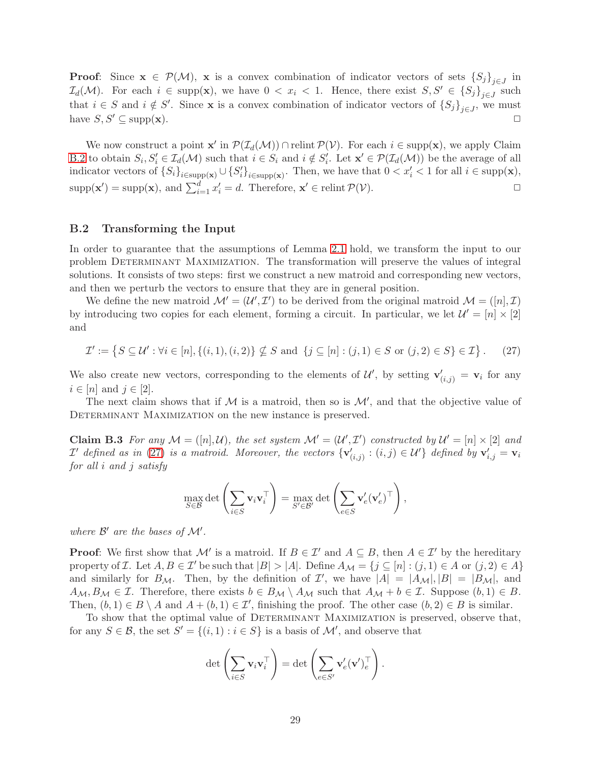**Proof:** Since  $x \in \mathcal{P}(\mathcal{M})$ , x is a convex combination of indicator vectors of sets  $\{S_j\}_{j\in J}$  in  $\mathcal{I}_d(\mathcal{M})$ . For each  $i \in \text{supp}(\mathbf{x})$ , we have  $0 < x_i < 1$ . Hence, there exist  $S, S' \in \{S_j\}_{j \in J}$  such that  $i \in S$  and  $i \notin S'$ . Since **x** is a convex combination of indicator vectors of  $\{S_j\}_{j\in J}$ , we must have  $S, S' \subseteq \text{supp}(\mathbf{x})$ .  $\mathcal{L}' \subseteq \text{supp}(\mathbf{x}).$ 

We now construct a point  $\mathbf{x}'$  in  $\mathcal{P}(\mathcal{I}_d(\mathcal{M})) \cap$  relint  $\mathcal{P}(\mathcal{V})$ . For each  $i \in \text{supp}(\mathbf{x})$ , we apply Claim [B.2](#page-28-0) to obtain  $S_i, S'_i \in \mathcal{I}_d(\mathcal{M})$  such that  $i \in S_i$  and  $i \notin S'_i$ . Let  $\mathbf{x}' \in \mathcal{P}(\mathcal{I}_d(\mathcal{M}))$  be the average of all indicator vectors of  $\{S_i\}_{i \in \text{supp}(\mathbf{x})} \cup \{S'_i\}_{i \in \text{supp}(\mathbf{x})}$ . Then, we have that  $0 < x'_i < 1$  for all  $i \in \text{supp}(\mathbf{x})$ ,  $\text{supp}(\mathbf{x}') = \text{supp}(\mathbf{x}), \text{ and } \sum_{i=1}^d x'_i = d. \text{ Therefore, } \mathbf{x}' \in \text{relint } \mathcal{P}(\mathcal{V}).$ 

## B.2 Transforming the Input

In order to guarantee that the assumptions of Lemma [2.1](#page-8-4) hold, we transform the input to our problem Determinant Maximization. The transformation will preserve the values of integral solutions. It consists of two steps: first we construct a new matroid and corresponding new vectors, and then we perturb the vectors to ensure that they are in general position.

We define the new matroid  $\mathcal{M}' = (\mathcal{U}', \mathcal{I}')$  to be derived from the original matroid  $\mathcal{M} = ([n], \mathcal{I})$ by introducing two copies for each element, forming a circuit. In particular, we let  $\mathcal{U}' = [n] \times [2]$ and

$$
\mathcal{I}' := \{ S \subseteq \mathcal{U}' : \forall i \in [n], \{(i, 1), (i, 2)\} \nsubseteq S \text{ and } \{ j \subseteq [n] : (j, 1) \in S \text{ or } (j, 2) \in S \} \in \mathcal{I} \}.
$$
 (27)

We also create new vectors, corresponding to the elements of  $\mathcal{U}'$ , by setting  $\mathbf{v}'_{(i,j)} = \mathbf{v}_i$  for any  $i \in [n]$  and  $j \in [2]$ .

<span id="page-29-1"></span>The next claim shows that if  $M$  is a matroid, then so is  $M'$ , and that the objective value of DETERMINANT MAXIMIZATION on the new instance is preserved.

**Claim B.3** For any  $M = ([n], \mathcal{U})$ , the set system  $\mathcal{M}' = (\mathcal{U}', \mathcal{I}')$  constructed by  $\mathcal{U}' = [n] \times [2]$  and  $\mathcal{I}'$  defined as in [\(27\)](#page-29-0) is a matroid. Moreover, the vectors  $\{ \mathbf{v}'_{(i,j)} : (i,j) \in \mathcal{U}' \}$  defined by  $\mathbf{v}'_{i,j} = \mathbf{v}_i$ for all i and j satisfy

<span id="page-29-0"></span>
$$
\max_{S \in \mathcal{B}} \det \left( \sum_{i \in S} \mathbf{v}_i \mathbf{v}_i^{\top} \right) = \max_{S' \in \mathcal{B}'} \det \left( \sum_{e \in S} \mathbf{v}'_e (\mathbf{v}'_e)^{\top} \right),
$$

where  $\mathcal{B}'$  are the bases of  $\mathcal{M}'$ .

**Proof:** We first show that  $\mathcal{M}'$  is a matroid. If  $B \in \mathcal{I}'$  and  $A \subseteq B$ , then  $A \in \mathcal{I}'$  by the hereditary property of *I*. Let  $A, B \in \mathcal{I}'$  be such that  $|B| > |A|$ . Define  $A_{\mathcal{M}} = \{j \subseteq [n] : (j, 1) \in A$  or  $(j, 2) \in A\}$ and similarly for  $B_{\mathcal{M}}$ . Then, by the definition of  $\mathcal{I}'$ , we have  $|A| = |A_{\mathcal{M}}|, |B| = |B_{\mathcal{M}}|$ , and  $A_{\mathcal{M}}, B_{\mathcal{M}} \in \mathcal{I}$ . Therefore, there exists  $b \in B_{\mathcal{M}} \setminus A_{\mathcal{M}}$  such that  $A_{\mathcal{M}} + b \in \mathcal{I}$ . Suppose  $(b, 1) \in B$ . Then,  $(b, 1) \in B \setminus A$  and  $A + (b, 1) \in \mathcal{I}'$ , finishing the proof. The other case  $(b, 2) \in B$  is similar.

To show that the optimal value of Determinant Maximization is preserved, observe that, for any  $S \in \mathcal{B}$ , the set  $S' = \{(i, 1) : i \in S\}$  is a basis of  $\mathcal{M}'$ , and observe that

$$
\det\left(\sum_{i\in S} \mathbf{v}_i \mathbf{v}_i^\top\right) = \det\left(\sum_{e\in S'} \mathbf{v}'_e(\mathbf{v}')_e^\top\right).
$$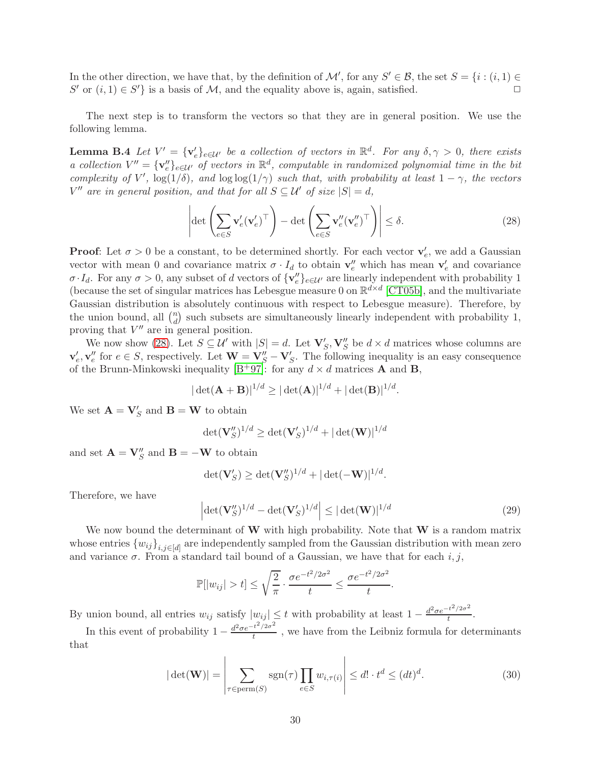In the other direction, we have that, by the definition of  $\mathcal{M}'$ , for any  $S' \in \mathcal{B}$ , the set  $S = \{i : (i, 1) \in \mathcal{A}\}$  $S'$  or  $(i,1) \in S'$  is a basis of M, and the equality above is, again, satisfied.  $\Box$ 

<span id="page-30-3"></span>The next step is to transform the vectors so that they are in general position. We use the following lemma.

**Lemma B.4** Let  $V' = \{v'_e\}_{e \in \mathcal{U}'}$  be a collection of vectors in  $\mathbb{R}^d$ . For any  $\delta, \gamma > 0$ , there exists a collection  $V'' = \{v''_e\}_{e \in \mathcal{U}'}$  of vectors in  $\mathbb{R}^d$ , computable in randomized polynomial time in the bit complexity of V',  $\log(1/\delta)$ , and  $\log \log(1/\gamma)$  such that, with probability at least  $1 - \gamma$ , the vectors  $V''$  are in general position, and that for all  $S \subseteq \mathcal{U}'$  of size  $|S| = d$ ,

<span id="page-30-0"></span>
$$
\left| \det \left( \sum_{e \in S} \mathbf{v}'_e (\mathbf{v}'_e)^\top \right) - \det \left( \sum_{e \in S} \mathbf{v}''_e (\mathbf{v}''_e)^\top \right) \right| \le \delta. \tag{28}
$$

**Proof:** Let  $\sigma > 0$  be a constant, to be determined shortly. For each vector  $\mathbf{v}'_e$ , we add a Gaussian vector with mean 0 and covariance matrix  $\sigma \cdot I_d$  to obtain  $\mathbf{v}_e^{\prime\prime}$  which has mean  $\mathbf{v}_e^{\prime}$  and covariance  $\sigma \cdot I_d$ . For any  $\sigma > 0$ , any subset of d vectors of  $\{v''_e\}_{e \in \mathcal{U}'}$  are linearly independent with probability 1 (because the set of singular matrices has Lebesgue measure 0 on  $\mathbb{R}^{d \times d}$  [\[CT05b\]](#page-20-13), and the multivariate Gaussian distribution is absolutely continuous with respect to Lebesgue measure). Therefore, by the union bound, all  $\binom{n}{d}$  $\binom{n}{d}$  such subsets are simultaneously linearly independent with probability 1, proving that  $V''$  are in general position.

We now show [\(28\)](#page-30-0). Let  $S \subseteq \mathcal{U}'$  with  $|S| = d$ . Let  $\mathbf{V}'_S, \mathbf{V}''_S$  be  $d \times d$  matrices whose columns are  $\mathbf{v}'_e, \mathbf{v}''_e$  for  $e \in S$ , respectively. Let  $\mathbf{W} = \mathbf{V}''_S - \mathbf{V}'_S$ . The following inequality is an easy consequence of the Brunn-Minkowski inequality [B<sup>+</sup>[97\]](#page-18-12): for any  $d \times d$  matrices **A** and **B**,

$$
|\det(\mathbf{A} + \mathbf{B})|^{1/d} \ge |\det(\mathbf{A})|^{1/d} + |\det(\mathbf{B})|^{1/d}.
$$

We set  $\mathbf{A} = \mathbf{V}'_S$  and  $\mathbf{B} = \mathbf{W}$  to obtain

$$
\det(\mathbf{V}_S'')^{1/d} \geq \det(\mathbf{V}_S')^{1/d} + |\det(\mathbf{W})|^{1/d}
$$

and set  $\mathbf{A} = \mathbf{V}_S''$  and  $\mathbf{B} = -\mathbf{W}$  to obtain

$$
\det(\mathbf{V}'_S) \ge \det(\mathbf{V}''_S)^{1/d} + |\det(-\mathbf{W})|^{1/d}.
$$

Therefore, we have

<span id="page-30-1"></span>
$$
\left| \det(\mathbf{V}_S'')^{1/d} - \det(\mathbf{V}_S')^{1/d} \right| \leq |\det(\mathbf{W})|^{1/d} \tag{29}
$$

We now bound the determinant of  $W$  with high probability. Note that  $W$  is a random matrix whose entries  ${w_{ij}}_{i,j\in[d]}$  are independently sampled from the Gaussian distribution with mean zero and variance  $\sigma$ . From a standard tail bound of a Gaussian, we have that for each  $i, j$ ,

<span id="page-30-2"></span>
$$
\mathbb{P}[|w_{ij}| > t] \le \sqrt{\frac{2}{\pi}} \cdot \frac{\sigma e^{-t^2/2\sigma^2}}{t} \le \frac{\sigma e^{-t^2/2\sigma^2}}{t}.
$$

By union bound, all entries  $w_{ij}$  satisfy  $|w_{ij}| \leq t$  with probability at least  $1 - \frac{d^2 \sigma e^{-t^2/2\sigma^2}}{t}$  $\frac{t}{t}$ .

In this event of probability  $1 - \frac{d^2 \sigma e^{-t^2/2\sigma^2}}{t}$  $t^{\frac{1}{20}}$ , we have from the Leibniz formula for determinants that

$$
|\det(\mathbf{W})| = \left| \sum_{\tau \in \text{perm}(S)} \text{sgn}(\tau) \prod_{e \in S} w_{i,\tau(i)} \right| \le d! \cdot t^d \le (dt)^d. \tag{30}
$$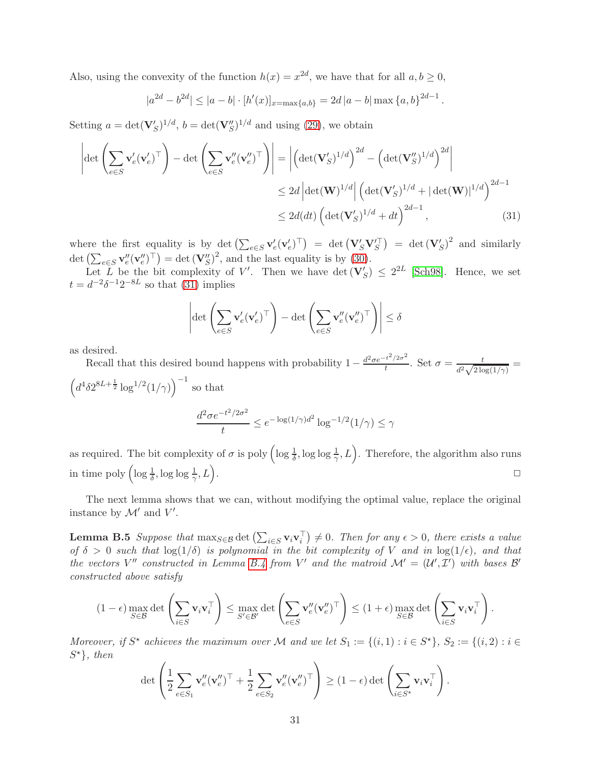Also, using the convexity of the function  $h(x) = x^{2d}$ , we have that for all  $a, b \ge 0$ ,

$$
|a^{2d} - b^{2d}| \le |a - b| \cdot [h'(x)]_{x = \max\{a, b\}} = 2d |a - b| \max\{a, b\}^{2d - 1}.
$$

Setting  $a = \det(\mathbf{V}'_S)^{1/d}$ ,  $b = \det(\mathbf{V}''_S)^{1/d}$  and using [\(29\)](#page-30-1), we obtain

$$
\left| \det \left( \sum_{e \in S} \mathbf{v}'_e(\mathbf{v}'_e)^\top \right) - \det \left( \sum_{e \in S} \mathbf{v}''_e(\mathbf{v}''_e)^\top \right) \right| = \left| \left( \det(\mathbf{V}'_S)^{1/d} \right)^{2d} - \left( \det(\mathbf{V}''_S)^{1/d} \right)^{2d} \right|
$$
  

$$
\leq 2d \left| \det(\mathbf{W})^{1/d} \right| \left( \det(\mathbf{V}'_S)^{1/d} + |\det(\mathbf{W})|^{1/d} \right)^{2d-1}
$$
  

$$
\leq 2d(dt) \left( \det(\mathbf{V}'_S)^{1/d} + dt \right)^{2d-1}, \tag{31}
$$

where the first equality is by  $\det \left( \sum_{e \in S} \mathbf{v}'_e(\mathbf{v}'_e)^\top \right) = \det \left( \mathbf{V}'_S \mathbf{V}'_S^\top \right) = \det \left( \mathbf{V}'_S \right)^2$  and similarly where the liftst equality is by det  $(\sum_{e \in S} \mathbf{v}_e(\mathbf{v}_e))$  = det  $(\mathbf{v}_S \mathbf{v}_S)$  = det  $(\mathbf{v}_S \mathbf{v}_S)$ <br>det  $(\sum_{e \in S} \mathbf{v}_e''(\mathbf{v}_e'')^\top)$  = det  $(\mathbf{V}_S'')^2$ , and the last equality is by [\(30\)](#page-30-2).

Let L be the bit complexity of V'. Then we have  $\det(\mathbf{V}'_S) \leq 2^{2L}$  [\[Sch98\]](#page-21-14). Hence, we set  $t = d^{-2}\delta^{-1}2^{-8L}$  so that [\(31\)](#page-31-0) implies

<span id="page-31-0"></span>
$$
\left|\det\left(\sum_{e\in S}\mathbf{v}'_e(\mathbf{v}'_e)^\top\right)-\det\left(\sum_{e\in S}\mathbf{v}''_e(\mathbf{v}''_e)^\top\right)\right|\leq \delta
$$

as desired.

Recall that this desired bound happens with probability  $1 - \frac{d^2 \sigma e^{-t^2/2\sigma^2}}{t}$  $\frac{t^{2}/2\sigma^{2}}{t}$ . Set  $\sigma = \frac{t}{d^{2}\sqrt{2\log t}}$  $\frac{t}{d^2\sqrt{2\log(1/\gamma)}}=$  $\left(d^4\delta 2^{8L+\frac{1}{2}}\log^{1/2}(1/\gamma)\right)^{-1}$  so that

$$
\frac{d^2\sigma e^{-t^2/2\sigma^2}}{t} \le e^{-\log(1/\gamma)d^2} \log^{-1/2}(1/\gamma) \le \gamma
$$

as required. The bit complexity of  $\sigma$  is poly  $\left(\log \frac{1}{\delta}, \log \log \frac{1}{\gamma}, L\right)$ . Therefore, the algorithm also runs in time poly  $\left(\log \frac{1}{\delta}, \log \log \frac{1}{\gamma}, L\right)$ . ✷

<span id="page-31-1"></span>The next lemma shows that we can, without modifying the optimal value, replace the original instance by  $\mathcal{M}'$  and  $V'$ .

**Lemma B.5** Suppose that  $\max_{S \in \mathcal{B}} \det \left( \sum_{i \in S} \mathbf{v}_i \mathbf{v}_i^{\top} \right) \neq 0$ . Then for any  $\epsilon > 0$ , there exists a value of  $\delta > 0$  such that  $\log(1/\delta)$  is polynomial in the bit complexity of V and in  $\log(1/\epsilon)$ , and that the vectors V'' constructed in Lemma [B.4](#page-30-3) from V' and the matroid  $\mathcal{M}' = (\mathcal{U}', \mathcal{I}')$  with bases  $\mathcal{B}'$ constructed above satisfy

$$
(1-\epsilon)\max_{S\in\mathcal{B}}\det\left(\sum_{i\in S}\mathbf{v}_i\mathbf{v}_i^\top\right)\leq \max_{S'\in\mathcal{B}'}\det\left(\sum_{e\in S}\mathbf{v}_e''(\mathbf{v}_e'')^\top\right)\leq (1+\epsilon)\max_{S\in\mathcal{B}}\det\left(\sum_{i\in S}\mathbf{v}_i\mathbf{v}_i^\top\right).
$$

Moreover, if  $S^*$  achieves the maximum over M and we let  $S_1 := \{(i,1) : i \in S^*\}, S_2 := \{(i,2) : i \in S^*\}$  $S^{\star}\},\, then$ 

$$
\det\left(\frac{1}{2}\sum_{e\in S_1} \mathbf{v}_e''(\mathbf{v}_e'')^\top + \frac{1}{2}\sum_{e\in S_2} \mathbf{v}_e''(\mathbf{v}_e'')^\top\right) \ge (1-\epsilon)\det\left(\sum_{i\in S^\star} \mathbf{v}_i \mathbf{v}_i^\top\right).
$$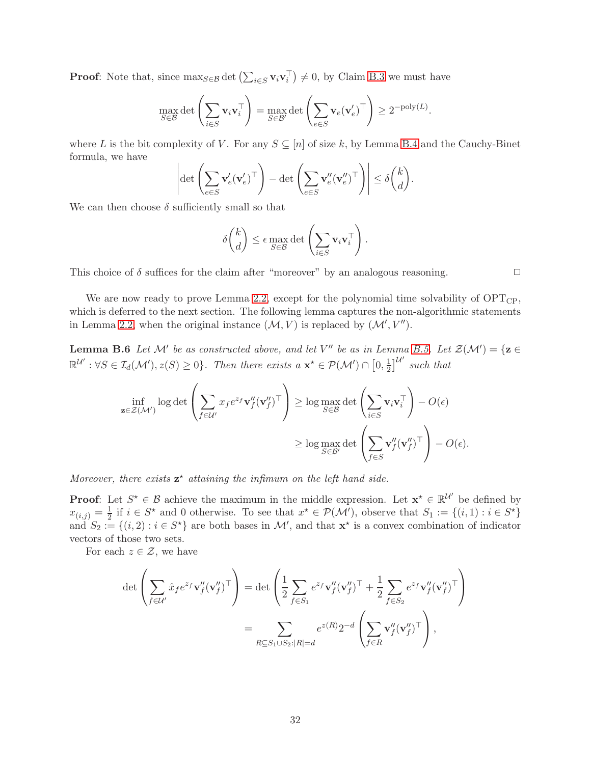**Proof:** Note that, since  $\max_{S \in \mathcal{B}} \det \left( \sum_{i \in S} \mathbf{v}_i \mathbf{v}_i^{\top} \right) \neq 0$ , by Claim [B.3](#page-29-1) we must have

$$
\max_{S \in \mathcal{B}} \det \left( \sum_{i \in S} \mathbf{v}_i \mathbf{v}_i^\top \right) = \max_{S \in \mathcal{B}'} \det \left( \sum_{e \in S} \mathbf{v}_e (\mathbf{v}'_e)^\top \right) \ge 2^{-\text{poly}(L)}.
$$

where L is the bit complexity of V. For any  $S \subseteq [n]$  of size k, by Lemma [B.4](#page-30-3) and the Cauchy-Binet formula, we have

$$
\left|\det\left(\sum_{e\in S}\mathbf{v}'_e(\mathbf{v}'_e)^\top\right)-\det\left(\sum_{e\in S}\mathbf{v}''_e(\mathbf{v}''_e)^\top\right)\right|\leq \delta\binom{k}{d}.
$$

We can then choose  $\delta$  sufficiently small so that

$$
\delta \binom{k}{d} \leq \epsilon \max_{S \in \mathcal{B}} \det \left( \sum_{i \in S} \mathbf{v}_i \mathbf{v}_i^\top \right).
$$

This choice of  $\delta$  suffices for the claim after "moreover" by an analogous reasoning.

We are now ready to prove Lemma [2.2,](#page-8-3) except for the polynomial time solvability of  $\text{OPT}_{\text{CP}}$ , which is deferred to the next section. The following lemma captures the non-algorithmic statements in Lemma [2.2,](#page-8-3) when the original instance  $(M, V)$  is replaced by  $(M', V'')$ .

<span id="page-32-0"></span>**Lemma B.6** Let  $\mathcal{M}'$  be as constructed above, and let  $V''$  be as in Lemma [B.5.](#page-31-1) Let  $\mathcal{Z}(\mathcal{M}') = \{z \in$  $\mathbb{R}^{\mathcal{U}'} : \forall S \in \mathcal{I}_d(\mathcal{M}'), z(S) \geq 0\}$ . Then there exists  $a \mathbf{x}^* \in \mathcal{P}(\mathcal{M}') \cap [0, \frac{1}{2}]^{\mathcal{U}'}$  such that

$$
\inf_{\mathbf{z}\in\mathcal{Z}(\mathcal{M}')} \log \det \left( \sum_{f\in\mathcal{U}'} x_f e^{z_f} \mathbf{v}_f''(\mathbf{v}_f'')^\top \right) \ge \log \max_{S\in\mathcal{B}'} \det \left( \sum_{i\in S} \mathbf{v}_i \mathbf{v}_i^\top \right) - O(\epsilon)
$$

$$
\ge \log \max_{S\in\mathcal{B}'} \det \left( \sum_{f\in S} \mathbf{v}_f''(\mathbf{v}_f'')^\top \right) - O(\epsilon).
$$

Moreover, there exists  $z^*$  attaining the infimum on the left hand side.

**Proof:** Let  $S^* \in \mathcal{B}$  achieve the maximum in the middle expression. Let  $\mathbf{x}^* \in \mathbb{R}^{\mathcal{U}'}$  be defined by  $x_{(i,j)} = \frac{1}{2}$  $\frac{1}{2}$  if  $i \in S^*$  and 0 otherwise. To see that  $x^* \in \mathcal{P}(\mathcal{M}')$ , observe that  $S_1 := \{(i,1) : i \in S^*\}$ and  $S_2 := \{(i, 2) : i \in S^*\}$  are both bases in  $\mathcal{M}'$ , and that  $\mathbf{x}^*$  is a convex combination of indicator vectors of those two sets.

For each  $z \in \mathcal{Z}$ , we have

$$
\det \left( \sum_{f \in \mathcal{U}'} \hat{x}_f e^{z_f} \mathbf{v}''_f(\mathbf{v}''_f)^\top \right) = \det \left( \frac{1}{2} \sum_{f \in S_1} e^{z_f} \mathbf{v}''_f(\mathbf{v}''_f)^\top + \frac{1}{2} \sum_{f \in S_2} e^{z_f} \mathbf{v}''_f(\mathbf{v}''_f)^\top \right)
$$
  

$$
= \sum_{R \subseteq S_1 \cup S_2 : |R| = d} e^{z(R)} 2^{-d} \left( \sum_{f \in R} \mathbf{v}''_f(\mathbf{v}''_f)^\top \right),
$$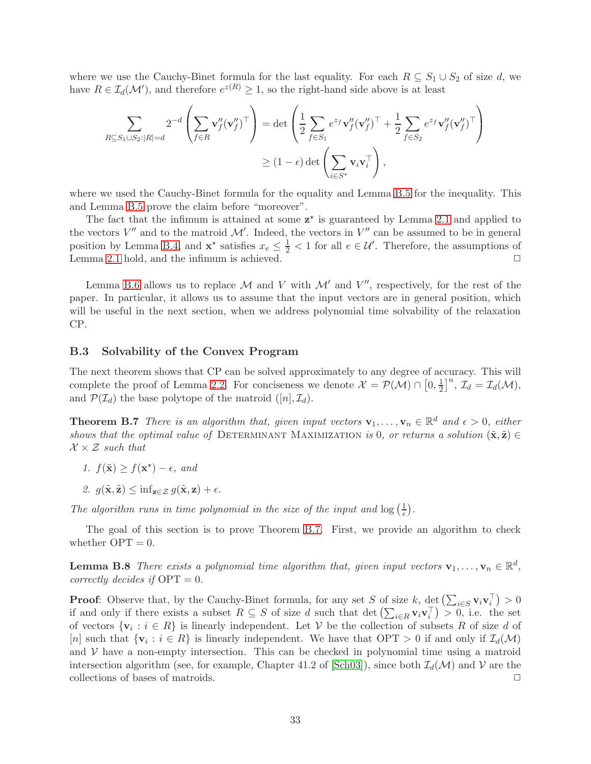where we use the Cauchy-Binet formula for the last equality. For each  $R \subseteq S_1 \cup S_2$  of size d, we have  $R \in \mathcal{I}_d(\mathcal{M}')$ , and therefore  $e^{z(R)} \geq 1$ , so the right-hand side above is at least

$$
\sum_{R \subseteq S_1 \cup S_2 : |R| = d} 2^{-d} \left( \sum_{f \in R} \mathbf{v}_f''(\mathbf{v}_f'')^\top \right) = \det \left( \frac{1}{2} \sum_{f \in S_1} e^{z_f} \mathbf{v}_f''(\mathbf{v}_f'')^\top + \frac{1}{2} \sum_{f \in S_2} e^{z_f} \mathbf{v}_f''(\mathbf{v}_f'')^\top \right)
$$
  

$$
\geq (1 - \epsilon) \det \left( \sum_{i \in S^\star} \mathbf{v}_i \mathbf{v}_i^\top \right),
$$

where we used the Cauchy-Binet formula for the equality and Lemma [B.5](#page-31-1) for the inequality. This and Lemma [B.5](#page-31-1) prove the claim before "moreover".

The fact that the infimum is attained at some  $z^*$  is guaranteed by Lemma [2.1](#page-8-4) and applied to the vectors  $V''$  and to the matroid  $\mathcal{M}'$ . Indeed, the vectors in  $V''$  can be assumed to be in general position by Lemma [B.4,](#page-30-3) and  $\mathbf{x}^*$  satisfies  $x_e \leq \frac{1}{2} < 1$  for all  $e \in \mathcal{U}'$ . Therefore, the assumptions of Lemma [2.1](#page-8-4) hold, and the infimum is achieved.  $\Box$ 

Lemma [B.6](#page-32-0) allows us to replace  $\mathcal M$  and  $V$  with  $\mathcal M'$  and  $V''$ , respectively, for the rest of the paper. In particular, it allows us to assume that the input vectors are in general position, which will be useful in the next section, when we address polynomial time solvability of the relaxation CP.

### B.3 Solvability of the Convex Program

The next theorem shows that CP can be solved approximately to any degree of accuracy. This will complete the proof of Lemma [2.2.](#page-8-3) For conciseness we denote  $\mathcal{X} = \mathcal{P}(\mathcal{M}) \cap [0, \frac{1}{2}]^n$ ,  $\mathcal{I}_d = \mathcal{I}_d(\mathcal{M})$ , and  $\mathcal{P}(\mathcal{I}_d)$  the base polytope of the matroid  $([n], \mathcal{I}_d)$ .

**Theorem B.7** There is an algorithm that, given input vectors  $\mathbf{v}_1, \ldots, \mathbf{v}_n \in \mathbb{R}^d$  and  $\epsilon > 0$ , either shows that the optimal value of DETERMINANT MAXIMIZATION is 0, or returns a solution  $(\tilde{\mathbf{x}}, \tilde{\mathbf{z}}) \in$  $\mathcal{X} \times \mathcal{Z}$  such that

- <span id="page-33-0"></span>1.  $f(\tilde{\mathbf{x}}) \ge f(\mathbf{x}^*) - \epsilon$ , and
- 2.  $q(\tilde{\mathbf{x}}, \tilde{\mathbf{z}}) \leq \inf_{\mathbf{z} \in \mathcal{Z}} q(\tilde{\mathbf{x}}, \mathbf{z}) + \epsilon.$

The algorithm runs in time polynomial in the size of the input and  $\log(\frac{1}{\epsilon})$  $\frac{1}{\epsilon}$ .

<span id="page-33-1"></span>The goal of this section is to prove Theorem [B.7.](#page-33-0) First, we provide an algorithm to check whether  $OPT = 0$ .

**Lemma B.8** There exists a polynomial time algorithm that, given input vectors  $\mathbf{v}_1, \ldots, \mathbf{v}_n \in \mathbb{R}^d$ , correctly decides if  $OPT = 0$ .

**Proof:** Observe that, by the Cauchy-Binet formula, for any set S of size k,  $\det \left( \sum_{i \in S} \mathbf{v}_i \mathbf{v}_i^\top \right) > 0$ if and only if there exists a subset  $R \subseteq S$  of size d such that  $\det \left( \sum_{i \in R} \mathbf{v}_i \mathbf{v}_i^\top \right) > 0$ , i.e. the set of vectors  $\{v_i : i \in R\}$  is linearly independent. Let V be the collection of subsets R of size d of [n] such that  $\{v_i : i \in R\}$  is linearly independent. We have that  $\text{OPT} > 0$  if and only if  $\mathcal{I}_d(\mathcal{M})$ and  $V$  have a non-empty intersection. This can be checked in polynomial time using a matroid intersection algorithm (see, for example, Chapter 41.2 of [\[Sch03\]](#page-21-12)), since both  $\mathcal{I}_d(\mathcal{M})$  and V are the collections of bases of matroids.  $\Box$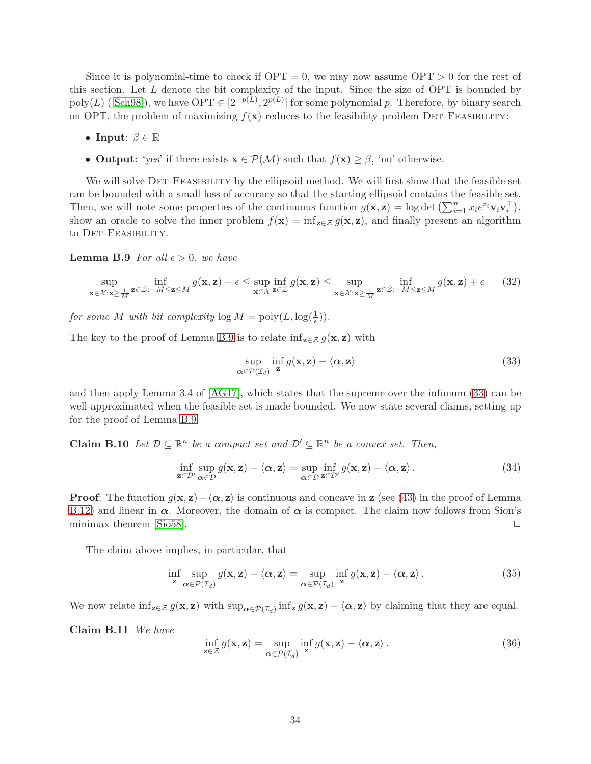Since it is polynomial-time to check if  $OPT = 0$ , we may now assume  $OPT > 0$  for the rest of this section. Let  $L$  denote the bit complexity of the input. Since the size of OPT is bounded by poly $(L)$  ([\[Sch98\]](#page-21-14)), we have  $\text{OPT} \in [2^{-p(L)}, 2^{p(L)}]$  for some polynomial  $p$ . Therefore, by binary search on OPT, the problem of maximizing  $f(\mathbf{x})$  reduces to the feasibility problem DET-FEASIBILITY:

- Input:  $\beta \in \mathbb{R}$
- Output: 'yes' if there exists  $\mathbf{x} \in \mathcal{P}(\mathcal{M})$  such that  $f(\mathbf{x}) \geq \beta$ , 'no' otherwise.

We will solve DET-FEASIBILITY by the ellipsoid method. We will first show that the feasible set can be bounded with a small loss of accuracy so that the starting ellipsoid contains the feasible set. Then, we will note some properties of the continuous function  $g(\mathbf{x}, \mathbf{z}) = \log \det \left( \sum_{i=1}^n x_i e^{z_i} \mathbf{v}_i \mathbf{v}_i^{\top} \right)$ , show an oracle to solve the inner problem  $f(\mathbf{x}) = \inf_{\mathbf{z} \in \mathcal{Z}} g(\mathbf{x}, \mathbf{z})$ , and finally present an algorithm to DET-FEASIBILITY.

<span id="page-34-0"></span>**Lemma B.9** For all  $\epsilon > 0$ , we have

$$
\sup_{\mathbf{x}\in\mathcal{X}:\mathbf{x}\geq\frac{1}{M}}\inf_{\mathbf{z}\in\mathcal{Z}:\ -M\leq\mathbf{z}\leq M}g(\mathbf{x},\mathbf{z})-\epsilon \leq \sup_{\mathbf{x}\in\mathcal{X}}\inf_{\mathbf{z}\in\mathcal{Z}}g(\mathbf{x},\mathbf{z})\leq \sup_{\mathbf{x}\in\mathcal{X}:\mathbf{x}\geq\frac{1}{M}}\inf_{\mathbf{z}\in\mathcal{Z}:\ -M\leq\mathbf{z}\leq M}g(\mathbf{x},\mathbf{z})+\epsilon \qquad (32)
$$

for some M with bit complexity  $\log M = \text{poly}(L, \log(\frac{1}{\epsilon}))$ .

The key to the proof of Lemma [B.9](#page-34-0) is to relate  $\inf_{z \in \mathcal{Z}} g(x, z)$  with

<span id="page-34-1"></span>
$$
\sup_{\mathbf{\alpha} \in \mathcal{P}(\mathcal{I}_d)} \inf_{\mathbf{z}} g(\mathbf{x}, \mathbf{z}) - \langle \mathbf{\alpha}, \mathbf{z} \rangle \tag{33}
$$

and then apply Lemma 3.4 of [\[AG17\]](#page-18-2), which states that the supreme over the infimum [\(33\)](#page-34-1) can be well-approximated when the feasible set is made bounded. We now state several claims, setting up for the proof of Lemma [B.9.](#page-34-0)

<span id="page-34-5"></span>**Claim B.10** Let  $D \subseteq \mathbb{R}^n$  be a compact set and  $D' \subseteq \mathbb{R}^n$  be a convex set. Then,

$$
\inf_{\mathbf{z}\in\mathcal{D}'}\sup_{\alpha\in\mathcal{D}}g(\mathbf{x},\mathbf{z}) - \langle\alpha,\mathbf{z}\rangle = \sup_{\alpha\in\mathcal{D}}\inf_{\mathbf{z}\in\mathcal{D}'}g(\mathbf{x},\mathbf{z}) - \langle\alpha,\mathbf{z}\rangle.
$$
\n(34)

**Proof:** The function  $g(x, z) - \langle \alpha, z \rangle$  is continuous and concave in z (see [\(43\)](#page-37-0) in the proof of Lemma [B.12\)](#page-36-0) and linear in  $\alpha$ . Moreover, the domain of  $\alpha$  is compact. The claim now follows from Sion's minimax theorem  $\text{[Sio58]}$ .

The claim above implies, in particular, that

<span id="page-34-2"></span>
$$
\inf_{\mathbf{z}} \sup_{\mathbf{\alpha} \in \mathcal{P}(\mathcal{I}_d)} g(\mathbf{x}, \mathbf{z}) - \langle \mathbf{\alpha}, \mathbf{z} \rangle = \sup_{\mathbf{\alpha} \in \mathcal{P}(\mathcal{I}_d)} \inf_{\mathbf{z}} g(\mathbf{x}, \mathbf{z}) - \langle \mathbf{\alpha}, \mathbf{z} \rangle.
$$
 (35)

We now relate  $\inf_{\mathbf{z}\in\mathcal{Z}} g(\mathbf{x}, \mathbf{z})$  with  $\sup_{\alpha\in\mathcal{P}(\mathcal{I}_d)} \inf_{\mathbf{z}} g(\mathbf{x}, \mathbf{z}) - \langle \alpha, \mathbf{z}\rangle$  by claiming that they are equal.

Claim B.11 We have

<span id="page-34-4"></span><span id="page-34-3"></span>
$$
\inf_{\mathbf{z}\in\mathcal{Z}} g(\mathbf{x}, \mathbf{z}) = \sup_{\mathbf{\alpha}\in\mathcal{P}(\mathcal{I}_d)} \inf_{\mathbf{z}} g(\mathbf{x}, \mathbf{z}) - \langle \mathbf{\alpha}, \mathbf{z} \rangle.
$$
\n(36)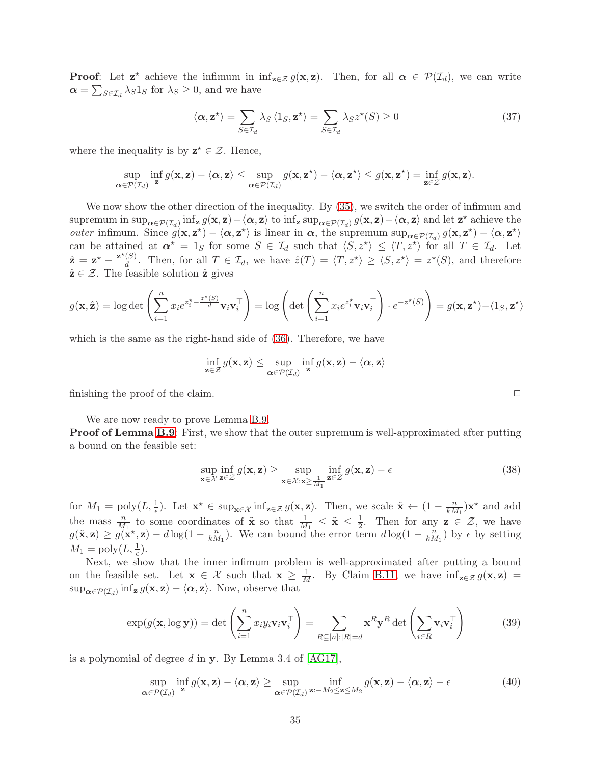**Proof:** Let  $z^*$  achieve the infimum in  $\inf_{z \in \mathcal{Z}} g(x, z)$ . Then, for all  $\alpha \in \mathcal{P}(\mathcal{I}_d)$ , we can write  $\alpha = \sum_{S \in \mathcal{I}_d} \lambda_S 1_S$  for  $\lambda_S \geq 0$ , and we have

$$
\langle \alpha, \mathbf{z}^{\star} \rangle = \sum_{S \in \mathcal{I}_d} \lambda_S \langle 1_S, \mathbf{z}^{\star} \rangle = \sum_{S \in \mathcal{I}_d} \lambda_S z^{\star}(S) \ge 0
$$
\n(37)

where the inequality is by  $z^* \in \mathcal{Z}$ . Hence,

$$
\sup_{\alpha \in \mathcal{P}(\mathcal{I}_d)} \inf_{\mathbf{z}} g(\mathbf{x}, \mathbf{z}) - \langle \alpha, \mathbf{z} \rangle \leq \sup_{\alpha \in \mathcal{P}(\mathcal{I}_d)} g(\mathbf{x}, \mathbf{z}^*) - \langle \alpha, \mathbf{z}^* \rangle \leq g(\mathbf{x}, \mathbf{z}^*) = \inf_{\mathbf{z} \in \mathcal{Z}} g(\mathbf{x}, \mathbf{z}).
$$

We now show the other direction of the inequality. By  $(35)$ , we switch the order of infimum and supremum in  $\sup_{\alpha \in \mathcal{P}(\mathcal{I}_d)} \inf_{\mathbf{z}} g(\mathbf{x}, \mathbf{z}) - \langle \alpha, \mathbf{z} \rangle$  to  $\inf_{\mathbf{z}} \sup_{\alpha \in \mathcal{P}(\mathcal{I}_d)} g(\mathbf{x}, \mathbf{z}) - \langle \alpha, \mathbf{z} \rangle$  and let  $\mathbf{z}^*$  achieve the *outer* infimum. Since  $g(\mathbf{x}, \mathbf{z}^*) - \langle \alpha, \mathbf{z}^* \rangle$  is linear in  $\alpha$ , the supremum  $\sup_{\alpha \in \mathcal{P}(\mathcal{I}_d)} g(\mathbf{x}, \mathbf{z}^*) - \langle \alpha, \mathbf{z}^* \rangle$ can be attained at  $\alpha^* = 1_S$  for some  $S \in \mathcal{I}_d$  such that  $\langle S, z^* \rangle \leq \langle T, z^* \rangle$  for all  $T \in \mathcal{I}_d$ . Let  $\hat{\mathbf{z}} = \mathbf{z}^{\star} - \frac{\mathbf{z}^{\star}(S)}{d}$  $\frac{d(S)}{d}$ . Then, for all  $T \in \mathcal{I}_d$ , we have  $\hat{z}(T) = \langle T, z^* \rangle \ge \langle S, z^* \rangle = z^*(S)$ , and therefore  $\hat{\mathbf{z}} \in \mathcal{Z}$ . The feasible solution  $\hat{\mathbf{z}}$  gives

$$
g(\mathbf{x}, \hat{\mathbf{z}}) = \log \det \left( \sum_{i=1}^{n} x_i e^{z_i^* - \frac{z^* \langle S \rangle}{d}} \mathbf{v}_i \mathbf{v}_i^\top \right) = \log \left( \det \left( \sum_{i=1}^{n} x_i e^{z_i^*} \mathbf{v}_i \mathbf{v}_i^\top \right) \cdot e^{-z^* \langle S \rangle} \right) = g(\mathbf{x}, \mathbf{z}^*) - \langle 1_S, \mathbf{z}^* \rangle
$$

which is the same as the right-hand side of [\(36\)](#page-34-3). Therefore, we have

$$
\inf_{\mathbf{z}\in\mathcal{Z}} g(\mathbf{x}, \mathbf{z}) \leq \sup_{\boldsymbol{\alpha}\in\mathcal{P}(\mathcal{I}_d)} \inf_{\mathbf{z}} g(\mathbf{x}, \mathbf{z}) - \langle \boldsymbol{\alpha}, \mathbf{z} \rangle
$$

finishing the proof of the claim.  $\Box$ 

We are now ready to prove Lemma [B.9.](#page-34-0)

**Proof of Lemma [B.9](#page-34-0):** First, we show that the outer supremum is well-approximated after putting a bound on the feasible set:

<span id="page-35-1"></span>
$$
\sup_{\mathbf{x}\in\mathcal{X}}\inf_{\mathbf{z}\in\mathcal{Z}}g(\mathbf{x},\mathbf{z}) \ge \sup_{\mathbf{x}\in\mathcal{X}:\mathbf{x}\ge \frac{1}{M_1}}\inf_{\mathbf{z}\in\mathcal{Z}}g(\mathbf{x},\mathbf{z}) - \epsilon
$$
\n(38)

for  $M_1 = \text{poly}(L, \frac{1}{\epsilon})$ <sup>1</sup>/<sub> $\epsilon$ </sub>). Let  $\mathbf{x}^* \in \sup_{\mathbf{x} \in \mathcal{X}} \inf_{\mathbf{z} \in \mathcal{Z}} g(\mathbf{x}, \mathbf{z})$ . Then, we scale  $\tilde{\mathbf{x}} \leftarrow (1 - \frac{n}{kM_1}) \mathbf{x}^*$  and add the mass  $\frac{n}{M_1}$  to some coordinates of  $\tilde{\mathbf{x}}$  so that  $\frac{1}{M_1} \leq \tilde{\mathbf{x}} \leq \frac{1}{2}$  $\frac{1}{2}$ . Then for any  $z \in \mathcal{Z}$ , we have  $g(\tilde{\mathbf{x}}, \mathbf{z}) \geq \tilde{g}(\mathbf{x}^*, \mathbf{z}) - d \log(1 - \frac{n}{kM})$  $\frac{n}{kM_1}$ ). We can bound the error term  $d\log(1-\frac{n}{kM_1})$  $\frac{n}{kM_1}$ ) by  $\epsilon$  by setting  $M_1 = \text{poly}(L, \frac{1}{\epsilon})$  $(\frac{1}{\epsilon}).$ 

Next, we show that the inner infimum problem is well-approximated after putting a bound on the feasible set. Let  $\mathbf{x} \in \mathcal{X}$  such that  $\mathbf{x} \geq \frac{1}{M}$ . By Claim [B.11,](#page-34-4) we have  $\inf_{\mathbf{z} \in \mathcal{Z}} g(\mathbf{x}, \mathbf{z}) =$  $\sup_{\alpha \in \mathcal{P}(\mathcal{I}_d)} \inf_{\mathbf{z}} g(\mathbf{x}, \mathbf{z}) - \langle \alpha, \mathbf{z} \rangle$ . Now, observe that

$$
\exp(g(\mathbf{x}, \log \mathbf{y})) = \det \left( \sum_{i=1}^{n} x_i y_i \mathbf{v}_i \mathbf{v}_i^{\top} \right) = \sum_{R \subseteq [n]: |R| = d} \mathbf{x}^R \mathbf{y}^R \det \left( \sum_{i \in R} \mathbf{v}_i \mathbf{v}_i^{\top} \right) \tag{39}
$$

is a polynomial of degree d in y. By Lemma 3.4 of  $[AG17]$ ,

<span id="page-35-0"></span>
$$
\sup_{\alpha \in \mathcal{P}(\mathcal{I}_d)} \inf_{\mathbf{z}} g(\mathbf{x}, \mathbf{z}) - \langle \alpha, \mathbf{z} \rangle \ge \sup_{\alpha \in \mathcal{P}(\mathcal{I}_d)} \inf_{\mathbf{z} : -M_2 \le \mathbf{z} \le M_2} g(\mathbf{x}, \mathbf{z}) - \langle \alpha, \mathbf{z} \rangle - \epsilon \tag{40}
$$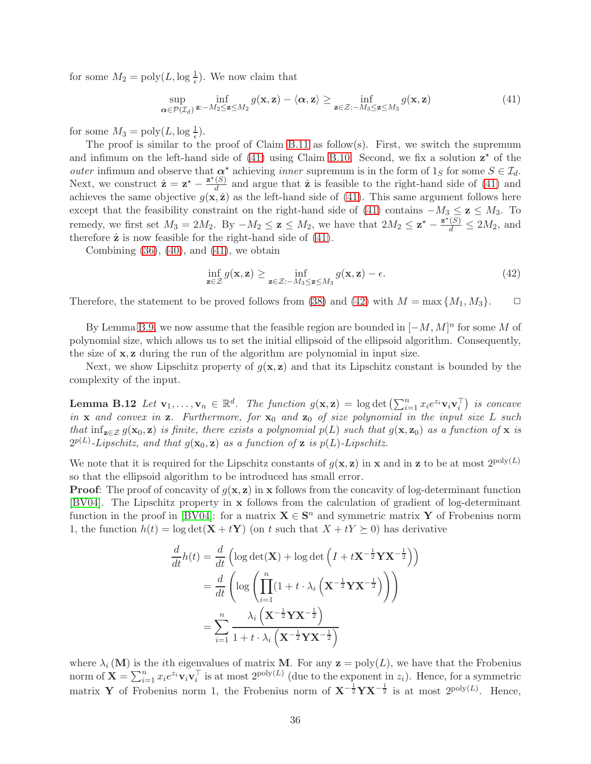for some  $M_2 = \text{poly}(L, \log \frac{1}{\epsilon})$ . We now claim that

<span id="page-36-1"></span>
$$
\sup_{\mathbf{\alpha} \in \mathcal{P}(\mathcal{I}_d)} \inf_{\mathbf{z}: -M_2 \leq \mathbf{z} \leq M_2} g(\mathbf{x}, \mathbf{z}) - \langle \mathbf{\alpha}, \mathbf{z} \rangle \geq \inf_{\mathbf{z} \in \mathcal{Z}: -M_3 \leq \mathbf{z} \leq M_3} g(\mathbf{x}, \mathbf{z})
$$
\n(41)

for some  $M_3 = \text{poly}(L, \log \frac{1}{\epsilon}).$ 

The proof is similar to the proof of Claim [B.11](#page-34-4) as follow(s). First, we switch the supremum and infimum on the left-hand side of  $(41)$  using Claim [B.10.](#page-34-5) Second, we fix a solution  $z^*$  of the *outer* infimum and observe that  $\alpha^*$  achieving *inner* supremum is in the form of  $1_S$  for some  $S \in \mathcal{I}_d$ . Next, we construct  $\hat{\mathbf{z}} = \mathbf{z}^* - \frac{\mathbf{z}^*(S)}{d}$  $\frac{d^{(3)}}{d}$  and argue that  $\hat{\mathbf{z}}$  is feasible to the right-hand side of [\(41\)](#page-36-1) and achieves the same objective  $g(\mathbf{x}, \hat{\mathbf{z}})$  as the left-hand side of [\(41\)](#page-36-1). This same argument follows here except that the feasibility constraint on the right-hand side of [\(41\)](#page-36-1) contains  $-M_3 \le z \le M_3$ . To remedy, we first set  $M_3 = 2M_2$ . By  $-M_2 \leq z \leq M_2$ , we have that  $2M_2 \leq z^* - \frac{z^*(S)}{d} \leq 2M_2$ , and therefore  $\hat{z}$  is now feasible for the right-hand side of  $(41)$ .

Combining  $(36)$ ,  $(40)$ , and  $(41)$ , we obtain

<span id="page-36-2"></span><span id="page-36-0"></span>
$$
\inf_{\mathbf{z}\in\mathcal{Z}} g(\mathbf{x}, \mathbf{z}) \ge \inf_{\mathbf{z}\in\mathcal{Z}:\ -M_3 \le \mathbf{z} \le M_3} g(\mathbf{x}, \mathbf{z}) - \epsilon.
$$
\n(42)

Therefore, the statement to be proved follows from [\(38\)](#page-35-1) and [\(42\)](#page-36-2) with  $M = \max\{M_1, M_3\}$ .  $\Box$ 

By Lemma [B.9,](#page-34-0) we now assume that the feasible region are bounded in  $[-M, M]^n$  for some M of polynomial size, which allows us to set the initial ellipsoid of the ellipsoid algorithm. Consequently, the size of x, z during the run of the algorithm are polynomial in input size.

Next, we show Lipschitz property of  $q(x, z)$  and that its Lipschitz constant is bounded by the complexity of the input.

**Lemma B.12** Let  $\mathbf{v}_1, \ldots, \mathbf{v}_n \in \mathbb{R}^d$ . The function  $g(\mathbf{x}, \mathbf{z}) = \log \det \left( \sum_{i=1}^n x_i e^{z_i} \mathbf{v}_i \mathbf{v}_i^\top \right)$  is concave in  $x$  and convex in  $z$ . Furthermore, for  $x_0$  and  $z_0$  of size polynomial in the input size L such that inf<sub>z∈Z</sub>  $g(\mathbf{x}_0, \mathbf{z})$  is finite, there exists a polynomial  $p(L)$  such that  $g(\mathbf{x}, \mathbf{z}_0)$  as a function of  $\mathbf{x}$  is  $2^{p(L)}$ -Lipschitz, and that  $g(\mathbf{x}_0, \mathbf{z})$  as a function of  $\mathbf{z}$  is  $p(L)$ -Lipschitz.

We note that it is required for the Lipschitz constants of  $g(\mathbf{x}, \mathbf{z})$  in x and in z to be at most  $2^{poly(L)}$ so that the ellipsoid algorithm to be introduced has small error.

**Proof:** The proof of concavity of  $g(x, z)$  in x follows from the concavity of log-determinant function [\[BV04\]](#page-19-12). The Lipschitz property in x follows from the calculation of gradient of log-determinant function in the proof in [\[BV04\]](#page-19-12): for a matrix  $X \in S^n$  and symmetric matrix Y of Frobenius norm 1, the function  $h(t) = \log \det(\mathbf{X} + t\mathbf{Y})$  (on t such that  $X + tY \succeq 0$ ) has derivative

$$
\frac{d}{dt}h(t) = \frac{d}{dt}\left(\log \det(\mathbf{X}) + \log \det\left(I + t\mathbf{X}^{-\frac{1}{2}}\mathbf{Y}\mathbf{X}^{-\frac{1}{2}}\right)\right)
$$

$$
= \frac{d}{dt}\left(\log \left(\prod_{i=1}^{n} (1 + t \cdot \lambda_i \left(\mathbf{X}^{-\frac{1}{2}}\mathbf{Y}\mathbf{X}^{-\frac{1}{2}}\right)\right)\right)
$$

$$
= \sum_{i=1}^{n} \frac{\lambda_i \left(\mathbf{X}^{-\frac{1}{2}}\mathbf{Y}\mathbf{X}^{-\frac{1}{2}}\right)}{1 + t \cdot \lambda_i \left(\mathbf{X}^{-\frac{1}{2}}\mathbf{Y}\mathbf{X}^{-\frac{1}{2}}\right)}
$$

where  $\lambda_i(\mathbf{M})$  is the *i*th eigenvalues of matrix **M**. For any  $\mathbf{z} = \text{poly}(L)$ , we have that the Frobenius norm of  $\mathbf{X} = \sum_{i=1}^{n} x_i e^{z_i} \mathbf{v}_i \mathbf{v}_i^\top$  is at most  $2^{\text{poly}(L)}$  (due to the exponent in  $z_i$ ). Hence, for a symmetric matrix Y of Frobenius norm 1, the Frobenius norm of  $X^{-\frac{1}{2}}YX^{-\frac{1}{2}}$  is at most  $2^{\text{poly}(L)}$ . Hence,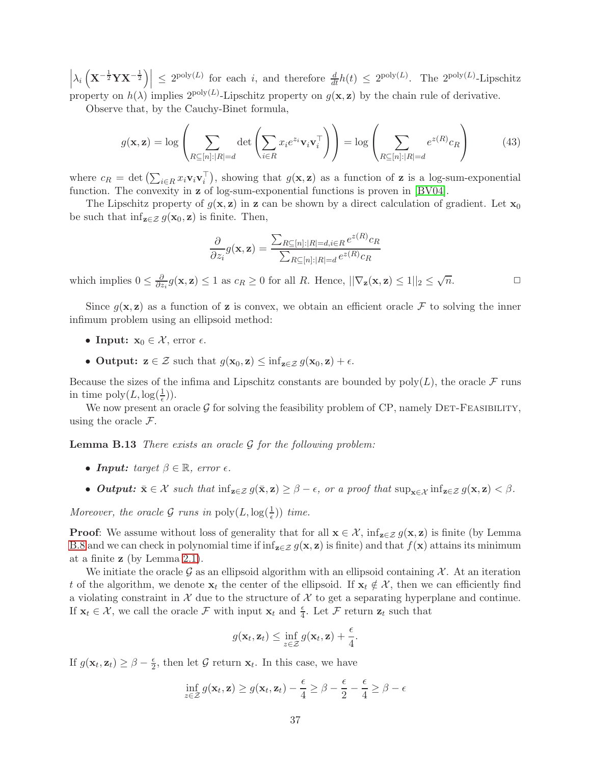$\left|\lambda_i\left(\mathbf{X}^{-\frac{1}{2}}\mathbf{Y}\mathbf{X}^{-\frac{1}{2}}\right)\right| \leq 2^{\text{poly}(L)}$  for each i, and therefore  $\frac{d}{dt}h(t) \leq 2^{\text{poly}(L)}$ . The  $2^{\text{poly}(L)}$ -Lipschitz property on  $h(\lambda)$  implies  $2^{poly(L)}$ -Lipschitz property on  $g(\mathbf{x}, \mathbf{z})$  by the chain rule of derivative.

Observe that, by the Cauchy-Binet formula,

<span id="page-37-0"></span>
$$
g(\mathbf{x}, \mathbf{z}) = \log \left( \sum_{R \subseteq [n]:|R|=d} \det \left( \sum_{i \in R} x_i e^{z_i} \mathbf{v}_i \mathbf{v}_i^\top \right) \right) = \log \left( \sum_{R \subseteq [n]:|R|=d} e^{z(R)} c_R \right) \tag{43}
$$

where  $c_R = \det \left( \sum_{i \in R} x_i \mathbf{v}_i \mathbf{v}_i^\top \right)$ , showing that  $g(\mathbf{x}, \mathbf{z})$  as a function of **z** is a log-sum-exponential function. The convexity in z of log-sum-exponential functions is proven in [\[BV04\]](#page-19-12).

The Lipschitz property of  $g(x, z)$  in z can be shown by a direct calculation of gradient. Let  $x_0$ be such that  $\inf_{\mathbf{z}\in\mathcal{Z}} g(\mathbf{x}_0, \mathbf{z})$  is finite. Then,

$$
\frac{\partial}{\partial z_i} g(\mathbf{x}, \mathbf{z}) = \frac{\sum_{R \subseteq [n]:|R| = d, i \in R} e^{z(R)} c_R}{\sum_{R \subseteq [n]:|R| = d} e^{z(R)} c_R}
$$

which implies  $0 \leq \frac{\partial}{\partial z}$  $\frac{\partial}{\partial z_i} g(\mathbf{x}, \mathbf{z}) \leq 1$  as  $c_R \geq 0$  for all R. Hence,  $||\nabla_{\mathbf{z}}(\mathbf{x}, \mathbf{z}) \leq 1||_2 \leq \sqrt{n}$ .

Since  $g(x, z)$  as a function of z is convex, we obtain an efficient oracle F to solving the inner infimum problem using an ellipsoid method:

- Input:  $x_0 \in \mathcal{X}$ , error  $\epsilon$ .
- Output:  $z \in \mathcal{Z}$  such that  $g(x_0, z) \leq \inf_{z \in \mathcal{Z}} g(x_0, z) + \epsilon$ .

Because the sizes of the infima and Lipschitz constants are bounded by  $poly(L)$ , the oracle F runs in time  $\text{poly}(L, \log(\frac{1}{\epsilon}))$ .

We now present an oracle  $\mathcal G$  for solving the feasibility problem of CP, namely DET-FEASIBILITY, using the oracle  $\mathcal{F}.$ 

**Lemma B.13** There exists an oracle  $\mathcal G$  for the following problem:

- Input: target  $\beta \in \mathbb{R}$ , error  $\epsilon$ .
- **Output:**  $\bar{\mathbf{x}} \in \mathcal{X}$  such that  $\inf_{\mathbf{z} \in \mathcal{Z}} g(\bar{\mathbf{x}}, \mathbf{z}) \geq \beta \epsilon$ , or a proof that  $\sup_{\mathbf{x} \in \mathcal{X}} \inf_{\mathbf{z} \in \mathcal{Z}} g(\mathbf{x}, \mathbf{z}) < \beta$ .

Moreover, the oracle  $\mathcal G$  runs in  $\text{poly}(L, \log(\frac{1}{\epsilon}))$  time.

**Proof:** We assume without loss of generality that for all  $\mathbf{x} \in \mathcal{X}$ ,  $\inf_{\mathbf{z} \in \mathcal{Z}} g(\mathbf{x}, \mathbf{z})$  is finite (by Lemma [B.8](#page-33-1) and we can check in polynomial time if  $\inf_{z \in \mathcal{Z}} g(x, z)$  is finite) and that  $f(x)$  attains its minimum at a finite z (by Lemma [2.1\)](#page-8-4).

We initiate the oracle G as an ellipsoid algorithm with an ellipsoid containing  $\mathcal{X}$ . At an iteration t of the algorithm, we denote  $x_t$  the center of the ellipsoid. If  $x_t \notin \mathcal{X}$ , then we can efficiently find a violating constraint in X due to the structure of X to get a separating hyperplane and continue. If  $\mathbf{x}_t \in \mathcal{X}$ , we call the oracle  $\mathcal{F}$  with input  $\mathbf{x}_t$  and  $\frac{\epsilon}{4}$ . Let  $\mathcal{F}$  return  $\mathbf{z}_t$  such that

$$
g(\mathbf{x}_t, \mathbf{z}_t) \leq \inf_{z \in \mathcal{Z}} g(\mathbf{x}_t, \mathbf{z}) + \frac{\epsilon}{4}.
$$

If  $g(\mathbf{x}_t, \mathbf{z}_t) \geq \beta - \frac{\epsilon}{2}$  $\frac{\epsilon}{2}$ , then let G return  $\mathbf{x}_t$ . In this case, we have

$$
\inf_{z \in \mathcal{Z}} g(\mathbf{x}_t, \mathbf{z}) \ge g(\mathbf{x}_t, \mathbf{z}_t) - \frac{\epsilon}{4} \ge \beta - \frac{\epsilon}{2} - \frac{\epsilon}{4} \ge \beta - \epsilon
$$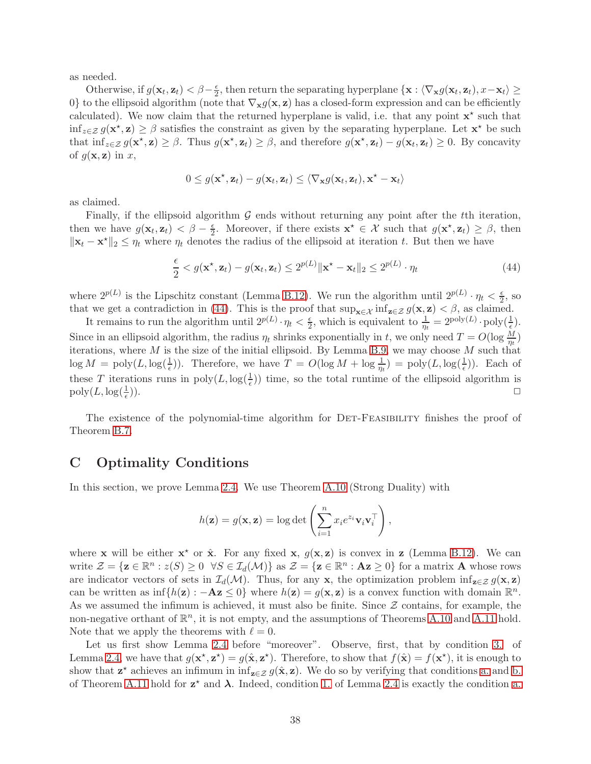as needed.

Otherwise, if  $g(\mathbf{x}_t, \mathbf{z}_t) < \beta - \frac{\epsilon}{2}$  $\frac{\epsilon}{2}$ , then return the separating hyperplane { $\mathbf{x}$  :  $\langle \nabla_{\mathbf{x}} g(\mathbf{x}_t, \mathbf{z}_t), x - \mathbf{x}_t \rangle \ge$ 0} to the ellipsoid algorithm (note that  $\nabla_{\mathbf{x}} g(\mathbf{x}, \mathbf{z})$ ) has a closed-form expression and can be efficiently calculated). We now claim that the returned hyperplane is valid, i.e. that any point  $x^*$  such that  $\inf_{z\in\mathcal{Z}} g(\mathbf{x}^*, \mathbf{z}) \geq \beta$  satisfies the constraint as given by the separating hyperplane. Let  $\mathbf{x}^*$  be such that  $\inf_{z \in \mathcal{Z}} g(\mathbf{x}^*, \mathbf{z}) \geq \beta$ . Thus  $g(\mathbf{x}^*, \mathbf{z}_t) \geq \beta$ , and therefore  $g(\mathbf{x}^*, \mathbf{z}_t) - g(\mathbf{x}_t, \mathbf{z}_t) \geq 0$ . By concavity of  $q(\mathbf{x}, \mathbf{z})$  in x,

<span id="page-38-1"></span>
$$
0 \leq g(\mathbf{x}^*, \mathbf{z}_t) - g(\mathbf{x}_t, \mathbf{z}_t) \leq \langle \nabla_{\mathbf{x}} g(\mathbf{x}_t, \mathbf{z}_t), \mathbf{x}^* - \mathbf{x}_t \rangle
$$

as claimed.

Finally, if the ellipsoid algorithm  $\mathcal G$  ends without returning any point after the tth iteration, then we have  $g(\mathbf{x}_t, \mathbf{z}_t) < \beta - \frac{\epsilon}{2}$  $\frac{\epsilon}{2}$ . Moreover, if there exists  $\mathbf{x}^* \in \mathcal{X}$  such that  $g(\mathbf{x}^*, \mathbf{z}_t) \geq \beta$ , then  $\|\mathbf{x}_t - \mathbf{x}^*\|_2 \leq \eta_t$  where  $\eta_t$  denotes the radius of the ellipsoid at iteration t. But then we have

$$
\frac{\epsilon}{2} < g(\mathbf{x}^*, \mathbf{z}_t) - g(\mathbf{x}_t, \mathbf{z}_t) \le 2^{p(L)} \|\mathbf{x}^* - \mathbf{x}_t\|_2 \le 2^{p(L)} \cdot \eta_t \tag{44}
$$

where  $2^{p(L)}$  is the Lipschitz constant (Lemma [B.12\)](#page-36-0). We run the algorithm until  $2^{p(L)} \cdot \eta_t < \frac{\epsilon}{2}$  $\frac{\epsilon}{2}$ , so that we get a contradiction in [\(44\)](#page-38-1). This is the proof that  $\sup_{\mathbf{x}\in\mathcal{X}}\inf_{\mathbf{z}\in\mathcal{Z}} g(\mathbf{x}, \mathbf{z}) < \beta$ , as claimed.

It remains to run the algorithm until  $2^{p(L)} \cdot \eta_t < \frac{\epsilon}{2}$  $\frac{\epsilon}{2}$ , which is equivalent to  $\frac{1}{\eta_t} = 2^{\text{poly}(L)} \cdot \text{poly}(\frac{1}{\epsilon}).$ Since in an ellipsoid algorithm, the radius  $\eta_t$  shrinks exponentially in t, we only need  $T = O(\log \frac{M}{\eta_t})$ iterations, where  $M$  is the size of the initial ellipsoid. By Lemma [B.9,](#page-34-0) we may choose  $M$  such that  $\log M = \text{poly}(L, \log(\frac{1}{\epsilon}))$ . Therefore, we have  $T = O(\log M + \log \frac{1}{\eta_t}) = \text{poly}(L, \log(\frac{1}{\epsilon}))$ . Each of these T iterations runs in  $poly(L, \log(\frac{1}{\epsilon}))$  time, so the total runtime of the ellipsoid algorithm is  $poly(L, \log(\frac{1}{\epsilon}))$ )).  $\Box$ 

The existence of the polynomial-time algorithm for DET-FEASIBILITY finishes the proof of Theorem [B.7.](#page-33-0)

# <span id="page-38-0"></span>C Optimality Conditions

In this section, we prove Lemma [2.4.](#page-9-2) We use Theorem [A.10](#page-24-0) (Strong Duality) with

$$
h(\mathbf{z}) = g(\mathbf{x}, \mathbf{z}) = \log \det \left( \sum_{i=1}^{n} x_i e^{z_i} \mathbf{v}_i \mathbf{v}_i^\top \right),
$$

where **x** will be either  $x^*$  or  $\hat{x}$ . For any fixed **x**,  $g(x, z)$  is convex in **z** (Lemma [B.12\)](#page-36-0). We can write  $\mathcal{Z} = {\mathbf{z} \in \mathbb{R}^n : z(S) \ge 0 \quad \forall S \in \mathcal{I}_d(\mathcal{M})\}$  as  $\mathcal{Z} = {\mathbf{z} \in \mathbb{R}^n : \mathbf{Az} \ge 0}$  for a matrix **A** whose rows are indicator vectors of sets in  $\mathcal{I}_d(\mathcal{M})$ . Thus, for any x, the optimization problem inf<sub>z∈Z</sub> g(x, z) can be written as  $\inf\{h(\mathbf{z}) : -\mathbf{A}\mathbf{z} \leq 0\}$  where  $h(\mathbf{z}) = g(\mathbf{x}, \mathbf{z})$  is a convex function with domain  $\mathbb{R}^n$ . As we assumed the infimum is achieved, it must also be finite. Since  $\mathcal Z$  contains, for example, the non-negative orthant of  $\mathbb{R}^n$ , it is not empty, and the assumptions of Theorems [A.10](#page-24-0) and [A.11](#page-24-1) hold. Note that we apply the theorems with  $\ell = 0$ .

Let us first show Lemma [2.4](#page-9-2) before "moreover". Observe, first, that by condition [3.](#page-9-4) of Lemma [2.4,](#page-9-2) we have that  $g(\mathbf{x}^*, \mathbf{z}^*) = g(\hat{\mathbf{x}}, \mathbf{z}^*)$ . Therefore, to show that  $f(\hat{\mathbf{x}}) = f(\mathbf{x}^*)$ , it is enough to show that  $z^*$  achieves an infimum in  $\inf_{z \in \mathcal{Z}} g(\hat{x}, z)$ . We do so by verifying that conditions [a.](#page-24-2) and [b.](#page-24-3) of Theorem [A.11](#page-24-1) hold for  $z^*$  and  $\lambda$ . Indeed, condition [1.](#page-9-5) of Lemma [2.4](#page-9-2) is exactly the condition [a.](#page-24-2)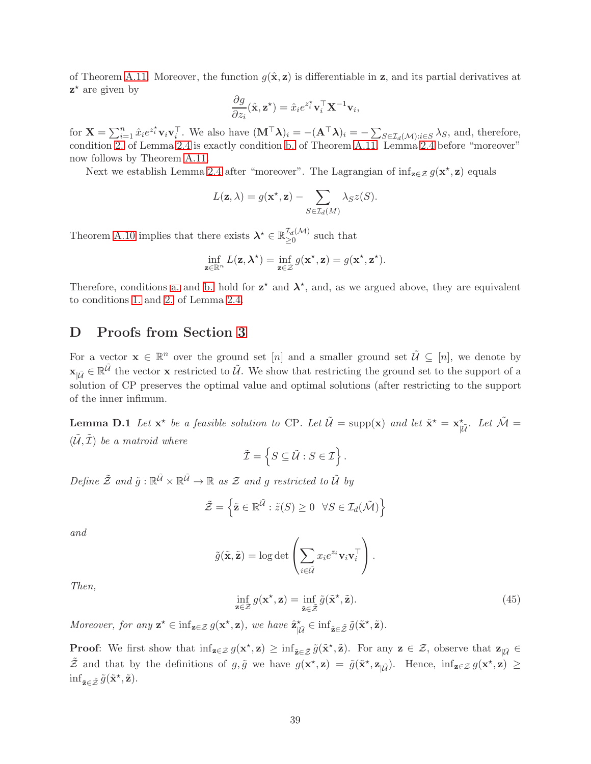of Theorem [A.11.](#page-24-1) Moreover, the function  $g(\hat{\mathbf{x}}, \mathbf{z})$  is differentiable in  $\mathbf{z}$ , and its partial derivatives at  $z^*$  are given by

$$
\frac{\partial g}{\partial z_i}(\hat{\mathbf{x}}, \mathbf{z}^{\star}) = \hat{x}_i e^{z_i^{\star}} \mathbf{v}_i^{\top} \mathbf{X}^{-1} \mathbf{v}_i,
$$

for  $\mathbf{X} = \sum_{i=1}^n \hat{x}_i e^{z_i^*} \mathbf{v}_i \mathbf{v}_i^\top$ . We also have  $(\mathbf{M}^\top \boldsymbol{\lambda})_i = -(\mathbf{A}^\top \boldsymbol{\lambda})_i = -\sum_{S \in \mathcal{I}_d(\mathcal{M}): i \in S} \lambda_S$ , and, therefore, condition [2.](#page-9-6) of Lemma [2.4](#page-9-2) is exactly condition [b.](#page-24-3) of Theorem [A.11.](#page-24-1) Lemma [2.4](#page-9-2) before "moreover" now follows by Theorem [A.11.](#page-24-1)

Next we establish Lemma [2.4](#page-9-2) after "moreover". The Lagrangian of  $\inf_{\mathbf{z}\in\mathcal{Z}} g(\mathbf{x}^*, \mathbf{z})$  equals

$$
L(\mathbf{z}, \lambda) = g(\mathbf{x}^*, \mathbf{z}) - \sum_{S \in \mathcal{I}_d(M)} \lambda_S z(S).
$$

Theorem [A.10](#page-24-0) implies that there exists  $\lambda^* \in \mathbb{R}_{\geq 0}^{\mathcal{I}_d(\mathcal{M})}$  $\geq 0$  such that

$$
\inf_{\mathbf{z}\in\mathbb{R}^n} L(\mathbf{z},\boldsymbol{\lambda}^\star)=\inf_{\mathbf{z}\in\mathcal{Z}} g(\mathbf{x}^\star,\mathbf{z})=g(\mathbf{x}^\star,\mathbf{z}^\star).
$$

Therefore, conditions [a.](#page-24-2) and [b.](#page-24-3) hold for  $z^*$  and  $\lambda^*$ , and, as we argued above, they are equivalent to conditions [1.](#page-9-5) and [2.](#page-9-6) of Lemma [2.4.](#page-9-2)

# <span id="page-39-0"></span>D Proofs from Section [3](#page-10-0)

For a vector  $\mathbf{x} \in \mathbb{R}^n$  over the ground set  $[n]$  and a smaller ground set  $\tilde{\mathcal{U}} \subseteq [n]$ , we denote by  $\mathbf{x}_{\vert \tilde{U}} \in \mathbb{R}^{\tilde{U}}$  the vector x restricted to  $\tilde{U}$ . We show that restricting the ground set to the support of a solution of CP preserves the optimal value and optimal solutions (after restricting to the support of the inner infimum.

**Lemma D.1** Let  $\mathbf{x}^*$  be a feasible solution to CP. Let  $\tilde{\mathcal{U}} = \text{supp}(\mathbf{x})$  and let  $\tilde{\mathbf{x}}^* = \mathbf{x}_{|\tilde{\mathcal{U}}}^*$ . Let  $\tilde{\mathcal{M}} =$  $(\tilde{U}, \tilde{T})$  be a matroid where

<span id="page-39-1"></span>
$$
\tilde{\mathcal{I}} = \left\{ S \subseteq \tilde{\mathcal{U}} : S \in \mathcal{I} \right\}.
$$

Define  $\tilde{Z}$  and  $\tilde{g}: \mathbb{R}^{\tilde{\mathcal{U}}} \times \mathbb{R}^{\tilde{\mathcal{U}}} \to \mathbb{R}$  as Z and g restricted to  $\tilde{\mathcal{U}}$  by

$$
\tilde{\mathcal{Z}} = \left\{ \tilde{\mathbf{z}} \in \mathbb{R}^{\tilde{\mathcal{U}}} : \tilde{z}(S) \ge 0 \quad \forall S \in \mathcal{I}_d(\tilde{\mathcal{M}}) \right\}
$$

and

$$
\tilde{g}(\tilde{\mathbf{x}}, \tilde{\mathbf{z}}) = \log \det \left( \sum_{i \in \tilde{\mathcal{U}}} x_i e^{z_i} \mathbf{v}_i \mathbf{v}_i^\top \right).
$$

Then,

$$
\inf_{\mathbf{z}\in\mathcal{Z}} g(\mathbf{x}^*, \mathbf{z}) = \inf_{\tilde{\mathbf{z}}\in\tilde{\mathcal{Z}}} \tilde{g}(\tilde{\mathbf{x}}^*, \tilde{\mathbf{z}}).
$$
\n(45)

Moreover, for any  $z^* \in \inf_{z \in \mathcal{Z}} g(x^*, z)$ , we have  $\hat{z}^*_{|\tilde{\mathcal{U}}} \in \inf_{\tilde{z} \in \tilde{\mathcal{Z}}} \tilde{g}(\tilde{x}^*, \tilde{z})$ .

**Proof:** We first show that  $\inf_{\mathbf{z}\in\mathcal{Z}} g(\mathbf{x}^*, \mathbf{z}) \geq \inf_{\tilde{\mathbf{z}}\in\tilde{\mathcal{Z}}} \tilde{g}(\tilde{\mathbf{x}}^*, \tilde{\mathbf{z}})$ . For any  $\mathbf{z}\in\mathcal{Z}$ , observe that  $\mathbf{z}_{|\tilde{U}} \in$  $\tilde{\mathcal{Z}}$  and that by the definitions of  $g, \tilde{g}$  we have  $g(\mathbf{x}^*, \mathbf{z}) = \tilde{g}(\tilde{\mathbf{x}}^*, \mathbf{z}_{|\tilde{\mathcal{U}}})$ . Hence,  $\inf_{\mathbf{z} \in \mathcal{Z}} g(\mathbf{x}^*, \mathbf{z}) \ge$  $\inf_{\tilde{\mathbf{z}} \in \tilde{\mathcal{Z}}} \tilde{g}(\tilde{\mathbf{x}}^{\star}, \tilde{\mathbf{z}}).$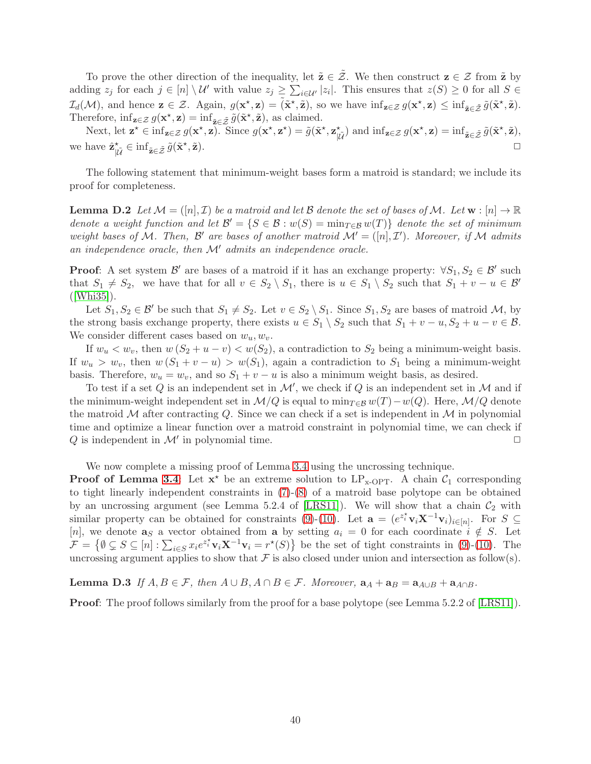To prove the other direction of the inequality, let  $\tilde{\mathbf{z}} \in \tilde{\mathcal{Z}}$ . We then construct  $\mathbf{z} \in \tilde{\mathcal{Z}}$  from  $\tilde{\mathbf{z}}$  by adding  $z_j$  for each  $j \in [n] \setminus \mathcal{U}'$  with value  $z_j \geq \sum_{i \in \mathcal{U}'} |z_i|$ . This ensures that  $z(S) \geq 0$  for all  $S \in$  $\mathcal{I}_d(\mathcal{M})$ , and hence  $\mathbf{z} \in \mathcal{Z}$ . Again,  $g(\mathbf{x}^*, \mathbf{z}) = (\tilde{\mathbf{x}}^*, \tilde{\mathbf{z}})$ , so we have  $\inf_{\mathbf{z} \in \mathcal{Z}} g(\mathbf{x}^*, \mathbf{z}) \leq \inf_{\tilde{\mathbf{z}} \in \tilde{\mathcal{Z}}} \tilde{g}(\tilde{\mathbf{x}}^*, \tilde{\mathbf{z}})$ . Therefore,  $\inf_{\mathbf{z}\in\mathcal{Z}} g(\mathbf{x}^*, \mathbf{z}) = \inf_{\tilde{\mathbf{z}}\in\tilde{\mathcal{Z}}} \tilde{g}(\tilde{\mathbf{x}}^*, \tilde{\mathbf{z}})$ , as claimed.

Next, let  $\mathbf{z}^* \in \inf_{\mathbf{z} \in \mathcal{Z}} g(\mathbf{x}^*, \mathbf{z})$ . Since  $g(\mathbf{x}^*, \mathbf{z}^*) = \tilde{g}(\tilde{\mathbf{x}}^*, \mathbf{z}^*_{|\tilde{\mathcal{U}}})$  and  $\inf_{\mathbf{z} \in \mathcal{Z}} g(\mathbf{x}^*, \mathbf{z}) = \inf_{\tilde{\mathbf{z}} \in \tilde{\mathcal{Z}}} \tilde{g}(\tilde{\mathbf{x}}^*, \tilde{\mathbf{z}})$ , we have  $\hat{\mathbf{z}}_{|\tilde{\mathcal{U}}}\in \inf_{\tilde{\mathbf{z}} \in \tilde{\mathcal{Z}}} \tilde{g}(\tilde{\mathbf{x}}^{\star})$  $,\tilde{\mathbf{z}}$ ).

<span id="page-40-0"></span>The following statement that minimum-weight bases form a matroid is standard; we include its proof for completeness.

**Lemma D.2** Let  $\mathcal{M} = ([n], \mathcal{I})$  be a matroid and let  $\mathcal{B}$  denote the set of bases of  $\mathcal{M}$ . Let  $\mathbf{w} : [n] \to \mathbb{R}$ denote a weight function and let  $\mathcal{B}' = \{S \in \mathcal{B} : w(S) = \min_{T \in \mathcal{B}} w(T)\}\$  denote the set of minimum weight bases of M. Then,  $\mathcal{B}'$  are bases of another matroid  $\mathcal{M}' = ([n], \mathcal{I}')$ . Moreover, if M admits an independence oracle, then <sup>M</sup>′ admits an independence oracle.

**Proof:** A set system  $\mathcal{B}'$  are bases of a matroid if it has an exchange property:  $\forall S_1, S_2 \in \mathcal{B}'$  such that  $S_1 \neq S_2$ , we have that for all  $v \in S_2 \setminus S_1$ , there is  $u \in S_1 \setminus S_2$  such that  $S_1 + v - u \in \mathcal{B}'$ ([\[Whi35\]](#page-22-6)).

Let  $S_1, S_2 \in \mathcal{B}'$  be such that  $S_1 \neq S_2$ . Let  $v \in S_2 \setminus S_1$ . Since  $S_1, S_2$  are bases of matroid M, by the strong basis exchange property, there exists  $u \in S_1 \setminus S_2$  such that  $S_1 + v - u, S_2 + u - v \in \mathcal{B}$ . We consider different cases based on  $w_u, w_v$ .

If  $w_u < w_v$ , then  $w(S_2 + u - v) < w(S_2)$ , a contradiction to  $S_2$  being a minimum-weight basis. If  $w_u > w_v$ , then  $w(S_1 + v - u) > w(S_1)$ , again a contradiction to  $S_1$  being a minimum-weight basis. Therefore,  $w_u = w_v$ , and so  $S_1 + v - u$  is also a minimum weight basis, as desired.

To test if a set Q is an independent set in  $\mathcal{M}'$ , we check if Q is an independent set in  $\mathcal M$  and if the minimum-weight independent set in  $\mathcal{M}/Q$  is equal to min<sub> $\tau \in \mathcal{B}$ </sub> w(T) – w(Q). Here,  $\mathcal{M}/Q$  denote the matroid  $\mathcal M$  after contracting Q. Since we can check if a set is independent in  $\mathcal M$  in polynomial time and optimize a linear function over a matroid constraint in polynomial time, we can check if  $Q$  is independent in  $\mathcal{M}'$  in polynomial time.

We now complete a missing proof of Lemma [3.4](#page-11-6) using the uncrossing technique.

**Proof of Lemma [3.4](#page-11-6)**: Let  $x^*$  be an extreme solution to  $LP_{x\text{-}OPT}$ . A chain  $C_1$  corresponding to tight linearly independent constraints in [\(7\)](#page-11-1)-[\(8\)](#page-11-2) of a matroid base polytope can be obtained by an uncrossing argument (see Lemma 5.2.4 of [\[LRS11\]](#page-21-11)). We will show that a chain  $C_2$  with similar property can be obtained for constraints [\(9\)](#page-11-3)-[\(10\)](#page-11-4). Let  $\mathbf{a} = (e^{z_i^*} \mathbf{v}_i \mathbf{X}^{-1} \mathbf{v}_i)_{i \in [n]}$ . For  $S \subseteq$ [n], we denote  $a_S$  a vector obtained from a by setting  $a_i = 0$  for each coordinate  $i \notin S$ . Let  $\mathcal{F} = \{ \emptyset \subsetneq S \subseteq [n] : \sum_{i \in S} x_i e^{z_i^*} \mathbf{v}_i \mathbf{X}^{-1} \mathbf{v}_i = r^*(S) \}$  be the set of tight constraints in [\(9\)](#page-11-3)-[\(10\)](#page-11-4). The uncrossing argument applies to show that  $\mathcal F$  is also closed under union and intersection as follow(s).

**Lemma D.3** If  $A, B \in \mathcal{F}$ , then  $A \cup B, A \cap B \in \mathcal{F}$ . Moreover,  $a_A + a_B = a_{A \cup B} + a_{A \cap B}$ .

**Proof:** The proof follows similarly from the proof for a base polytope (see Lemma 5.2.2 of [\[LRS11\]](#page-21-11)).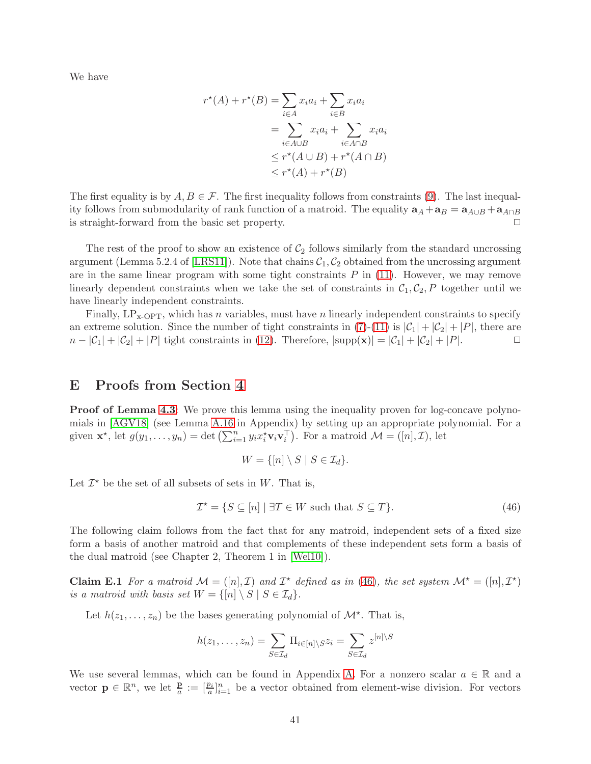We have

$$
r^{\star}(A) + r^{\star}(B) = \sum_{i \in A} x_i a_i + \sum_{i \in B} x_i a_i
$$

$$
= \sum_{i \in A \cup B} x_i a_i + \sum_{i \in A \cap B} x_i a_i
$$

$$
\leq r^{\star}(A \cup B) + r^{\star}(A \cap B)
$$

$$
\leq r^{\star}(A) + r^{\star}(B)
$$

The first equality is by  $A, B \in \mathcal{F}$ . The first inequality follows from constraints [\(9\)](#page-11-3). The last inequality follows from submodularity of rank function of a matroid. The equality  $a_A + a_B = a_{A\cup B} + a_{A\cap B}$ is straight-forward from the basic set property.  $\Box$ 

The rest of the proof to show an existence of  $C_2$  follows similarly from the standard uncrossing argument (Lemma 5.2.4 of [\[LRS11\]](#page-21-11)). Note that chains  $C_1, C_2$  obtained from the uncrossing argument are in the same linear program with some tight constraints  $P$  in [\(11\)](#page-11-5). However, we may remove linearly dependent constraints when we take the set of constraints in  $C_1, C_2, P$  together until we have linearly independent constraints.

Finally,  $LP_{x-OPT}$ , which has n variables, must have n linearly independent constraints to specify an extreme solution. Since the number of tight constraints in  $(7)-(11)$  $(7)-(11)$  is  $|\mathcal{C}_1| + |\mathcal{C}_2| + |P|$ , there are  $n - |\mathcal{C}_1| + |\mathcal{C}_2| + |P|$  tight constraints in [\(12\)](#page-11-7). Therefore,  $|\text{supp}(\mathbf{x})| = |\mathcal{C}_1| + |\mathcal{C}_2| + |P|$ .

## <span id="page-41-0"></span>E Proofs from Section [4](#page-12-0)

**Proof of Lemma [4.3](#page-13-0):** We prove this lemma using the inequality proven for log-concave polynomials in [\[AGV18\]](#page-18-0) (see Lemma [A.16](#page-25-1) in Appendix) by setting up an appropriate polynomial. For a given  $\mathbf{x}^*$ , let  $g(y_1,\ldots,y_n) = \det\left(\sum_{i=1}^n y_i x_i^* \mathbf{v}_i \mathbf{v}_i^\top\right)$ . For a matroid  $\mathcal{M} = ([n], \mathcal{I})$ , let

$$
W = \{ [n] \setminus S \mid S \in \mathcal{I}_d \}.
$$

Let  $\mathcal{I}^*$  be the set of all subsets of sets in W. That is,

<span id="page-41-1"></span>
$$
\mathcal{I}^* = \{ S \subseteq [n] \mid \exists T \in W \text{ such that } S \subseteq T \}. \tag{46}
$$

The following claim follows from the fact that for any matroid, independent sets of a fixed size form a basis of another matroid and that complements of these independent sets form a basis of the dual matroid (see Chapter 2, Theorem 1 in [\[Wel10\]](#page-22-7)).

**Claim E.1** For a matroid  $M = ([n], \mathcal{I})$  and  $\mathcal{I}^*$  defined as in [\(46\)](#page-41-1), the set system  $\mathcal{M}^* = ([n], \mathcal{I}^*)$ is a matroid with basis set  $W = \{ [n] \setminus S \mid S \in \mathcal{I}_d \}.$ 

Let  $h(z_1,...,z_n)$  be the bases generating polynomial of  $\mathcal{M}^*$ . That is,

$$
h(z_1,\ldots,z_n)=\sum_{S\in\mathcal{I}_d}\Pi_{i\in[n]\setminus S}z_i=\sum_{S\in\mathcal{I}_d}z^{[n]\setminus S}
$$

We use several lemmas, which can be found in Appendix [A.](#page-22-4) For a nonzero scalar  $a \in \mathbb{R}$  and a vector  $\mathbf{p} \in \mathbb{R}^n$ , we let  $\frac{\mathbf{p}}{a} := \left[\frac{p_i}{a}\right]_{i=1}^n$  be a vector obtained from element-wise division. For vectors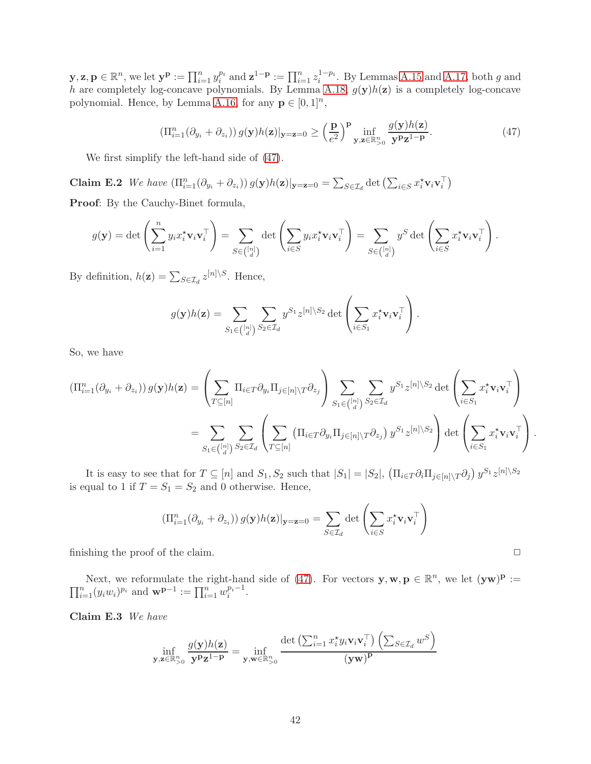$\mathbf{y}, \mathbf{z}, \mathbf{p} \in \mathbb{R}^n$ , we let  $\mathbf{y}^{\mathbf{p}} := \prod_{i=1}^n y_i^{p_i}$  and  $\mathbf{z}^{1-\mathbf{p}} := \prod_{i=1}^n z_i^{1-p_i}$ . By Lemmas [A.15](#page-25-2) and [A.17,](#page-25-3) both g and h are completely log-concave polynomials. By Lemma [A.18,](#page-25-4)  $g(y)h(z)$  is a completely log-concave polynomial. Hence, by Lemma [A.16,](#page-25-1) for any  $\mathbf{p} \in [0,1]^n$ ,

<span id="page-42-0"></span>
$$
\left(\Pi_{i=1}^n(\partial_{y_i} + \partial_{z_i})\right)g(\mathbf{y})h(\mathbf{z})|_{\mathbf{y} = \mathbf{z} = 0} \ge \left(\frac{\mathbf{p}}{e^2}\right)^{\mathbf{p}} \inf_{\mathbf{y},\mathbf{z} \in \mathbb{R}_{\ge 0}^n} \frac{g(\mathbf{y})h(\mathbf{z})}{\mathbf{y}^{\mathbf{p}} \mathbf{z}^{1-\mathbf{p}}}.\tag{47}
$$

 $\lambda$ 

We first simplify the left-hand side of [\(47\)](#page-42-0).

Claim E.2 We have  $(\Pi_{i=1}^n (\partial_{y_i} + \partial_{z_i})) g(y) h(z)|_{y=z=0} = \sum_{S \in \mathcal{I}_d} \det \left( \sum_{i \in S} x_i^* \mathbf{v}_i \mathbf{v}_i^\top \right)$ 

Proof: By the Cauchy-Binet formula,

$$
g(\mathbf{y}) = \det \left( \sum_{i=1}^n y_i x_i^{\star} \mathbf{v}_i \mathbf{v}_i^{\top} \right) = \sum_{S \in \binom{[n]}{d}} \det \left( \sum_{i \in S} y_i x_i^{\star} \mathbf{v}_i \mathbf{v}_i^{\top} \right) = \sum_{S \in \binom{[n]}{d}} y^S \det \left( \sum_{i \in S} x_i^{\star} \mathbf{v}_i \mathbf{v}_i^{\top} \right).
$$

By definition,  $h(\mathbf{z}) = \sum_{S \in \mathcal{I}_d} z^{[n] \setminus S}$ . Hence,

$$
g(\mathbf{y})h(\mathbf{z}) = \sum_{S_1 \in \binom{[n]}{d}} \sum_{S_2 \in \mathcal{I}_d} y^{S_1} z^{[n] \setminus S_2} \det \left( \sum_{i \in S_1} x_i^{\star} \mathbf{v}_i \mathbf{v}_i^{\top} \right).
$$

So, we have

$$
\left(\Pi_{i=1}^{n}(\partial_{y_{i}}+\partial_{z_{i}})\right)g(\mathbf{y})h(\mathbf{z})=\left(\sum_{T\subseteq[n]}\Pi_{i\in T}\partial_{y_{i}}\Pi_{j\in[n]\backslash T}\partial_{z_{j}}\right)\sum_{S_{1}\in\binom{[n]}{d}}\sum_{S_{2}\in\mathcal{I}_{d}}y^{S_{1}}z^{[n]\backslash S_{2}}\det\left(\sum_{i\in S_{1}}x_{i}^{*}\mathbf{v}_{i}\mathbf{v}_{i}^{\top}\right)
$$

$$
=\sum_{S_{1}\in\binom{[n]}{d}}\sum_{S_{2}\in\mathcal{I}_{d}}\left(\sum_{T\subseteq[n]}\left(\Pi_{i\in T}\partial_{y_{i}}\Pi_{j\in[n]\backslash T}\partial_{z_{j}}\right)y^{S_{1}}z^{[n]\backslash S_{2}}\right)\det\left(\sum_{i\in S_{1}}x_{i}^{*}\mathbf{v}_{i}\mathbf{v}_{i}^{\top}\right).
$$

It is easy to see that for  $T \subseteq [n]$  and  $S_1, S_2$  such that  $|S_1| = |S_2|$ ,  $\left(\prod_{i \in T} \partial_i \Pi_{j \in [n] \setminus T} \partial_j\right) y^{S_1} z^{[n] \setminus S_2}$ is equal to 1 if  $T = S_1 = S_2$  and 0 otherwise. Hence,

$$
\left(\Pi_{i=1}^n(\partial_{y_i} + \partial_{z_i})\right)g(\mathbf{y})h(\mathbf{z})|_{\mathbf{y} = \mathbf{z} = 0} = \sum_{S \in \mathcal{I}_d} \det \left(\sum_{i \in S} x_i^* \mathbf{v}_i \mathbf{v}_i^\top\right)
$$

finishing the proof of the claim.  $\Box$ 

Next, we reformulate the right-hand side of [\(47\)](#page-42-0). For vectors  $\mathbf{y}, \mathbf{w}, \mathbf{p} \in \mathbb{R}^n$ , we let  $(\mathbf{y}\mathbf{w})^{\mathbf{p}} :=$  $\prod_{i=1}^n (y_i w_i)^{p_i}$  and  $\mathbf{w}^{\mathbf{p}-1} := \prod_{i=1}^n w_i^{p_i-1}$ .

Claim E.3 We have

$$
\inf_{\mathbf{y},\mathbf{z}\in\mathbb{R}_{>0}^n}\frac{g(\mathbf{y})h(\mathbf{z})}{\mathbf{y}^{\mathbf{p}}\mathbf{z}^{1-\mathbf{p}}}=\inf_{\mathbf{y},\mathbf{w}\in\mathbb{R}_{>0}^n}\frac{\det\left(\sum_{i=1}^nx_i^{\star}y_i\mathbf{v}_i\mathbf{v}_i^{\top}\right)\left(\sum_{S\in\mathcal{I}_d}w^S\right)}{(\mathbf{y}\mathbf{w})^{\mathbf{p}}}
$$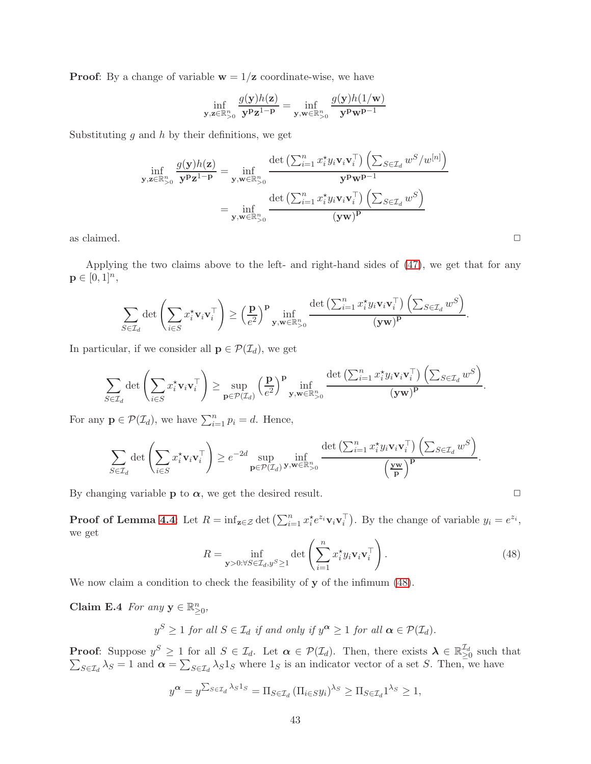**Proof:** By a change of variable  $w = 1/z$  coordinate-wise, we have

$$
\inf_{\mathbf{y},\mathbf{z}\in\mathbb{R}_{>0}^n}\frac{g(\mathbf{y})h(\mathbf{z})}{\mathbf{y}\mathbf{p}\mathbf{z}^{1-\mathbf{p}}}=\inf_{\mathbf{y},\mathbf{w}\in\mathbb{R}_{>0}^n}\frac{g(\mathbf{y})h(1/\mathbf{w})}{\mathbf{y}\mathbf{p}\mathbf{w}\mathbf{p}^{-1}}
$$

Substituting  $g$  and  $h$  by their definitions, we get

$$
\inf_{\mathbf{y},\mathbf{z}\in\mathbb{R}_{>0}^{n}}\frac{g(\mathbf{y})h(\mathbf{z})}{\mathbf{y}^{\mathbf{p}}\mathbf{z}^{1-\mathbf{p}}} = \inf_{\mathbf{y},\mathbf{w}\in\mathbb{R}_{>0}^{n}}\frac{\det\left(\sum_{i=1}^{n}x_{i}^{*}y_{i}\mathbf{v}_{i}\mathbf{v}_{i}^{\top}\right)\left(\sum_{S\in\mathcal{I}_{d}}w^{S}/w^{[n]}\right)}{\mathbf{y}^{\mathbf{p}}\mathbf{w}^{\mathbf{p}-1}}
$$
\n
$$
= \inf_{\mathbf{y},\mathbf{w}\in\mathbb{R}_{>0}^{n}}\frac{\det\left(\sum_{i=1}^{n}x_{i}^{*}y_{i}\mathbf{v}_{i}\mathbf{v}_{i}^{\top}\right)\left(\sum_{S\in\mathcal{I}_{d}}w^{S}\right)}{(\mathbf{y}\mathbf{w})^{\mathbf{p}}}
$$

as claimed.  $\Box$ 

Applying the two claims above to the left- and right-hand sides of [\(47\)](#page-42-0), we get that for any  ${\bf p} \in [0,1]^n,$ 

$$
\sum_{S\in\mathcal{I}_d}\det\left(\sum_{i\in S}x_i^{\star}\mathbf{v}_i\mathbf{v}_i^{\top}\right)\geq \left(\frac{\mathbf{p}}{e^2}\right)^{\mathbf{p}}\inf_{\mathbf{y},\mathbf{w}\in\mathbb{R}_{>0}^n}\frac{\det\left(\sum_{i=1}^nx_i^{\star}y_i\mathbf{v}_i\mathbf{v}_i^{\top}\right)\left(\sum_{S\in\mathcal{I}_d}w^S\right)}{(\mathbf{y}\mathbf{w})^{\mathbf{p}}}.
$$

In particular, if we consider all  $\mathbf{p} \in \mathcal{P}(\mathcal{I}_d)$ , we get

$$
\sum_{S\in\mathcal{I}_d}\det\left(\sum_{i\in S}x_i^{\star}\mathbf{v}_i\mathbf{v}_i^{\top}\right)\geq\sup_{\mathbf{p}\in\mathcal{P}(\mathcal{I}_d)}\left(\frac{\mathbf{p}}{e^2}\right)^{\mathbf{p}}\inf_{\mathbf{y},\mathbf{w}\in\mathbb{R}_{>0}^n}\frac{\det\left(\sum_{i=1}^nx_i^{\star}y_i\mathbf{v}_i\mathbf{v}_i^{\top}\right)\left(\sum_{S\in\mathcal{I}_d}w^S\right)}{(\mathbf{y}\mathbf{w})^{\mathbf{p}}}.
$$

For any  $\mathbf{p} \in \mathcal{P}(\mathcal{I}_d)$ , we have  $\sum_{i=1}^n p_i = d$ . Hence,

$$
\sum_{S\in\mathcal{I}_d}\det\left(\sum_{i\in S}x_i^\star\mathbf{v}_i\mathbf{v}_i^\top\right)\geq e^{-2d}\sup_{\mathbf{p}\in\mathcal{P}(\mathcal{I}_d)}\inf_{\mathbf{y},\mathbf{w}\in\mathbb{R}_{>0}^n}\frac{\det\left(\sum_{i=1}^nx_i^\star y_i\mathbf{v}_i\mathbf{v}_i^\top\right)\left(\sum_{S\in\mathcal{I}_d}w^S\right)}{\left(\frac{\mathbf{y}\mathbf{w}}{\mathbf{p}}\right)^{\mathbf{p}}}.
$$

By changing variable **p** to  $\alpha$ , we get the desired result.  $\Box$ 

**Proof of Lemma [4.4](#page-13-2)**: Let  $R = \inf_{\mathbf{z} \in \mathcal{Z}} \det \left( \sum_{i=1}^n x_i^* e^{z_i} \mathbf{v}_i \mathbf{v}_i^\top \right)$ . By the change of variable  $y_i = e^{z_i}$ , we get

<span id="page-43-0"></span>
$$
R = \inf_{\mathbf{y} > 0: \forall S \in \mathcal{I}_d, \mathbf{y}^S \ge 1} \det \left( \sum_{i=1}^n x_i^{\star} y_i \mathbf{v}_i \mathbf{v}_i^{\top} \right). \tag{48}
$$

We now claim a condition to check the feasibility of y of the infimum  $(48)$ .

Claim E.4 For any  $y \in \mathbb{R}^n_{\geq 0}$ ,

 $y^S \geq 1$  for all  $S \in \mathcal{I}_d$  if and only if  $y^{\alpha} \geq 1$  for all  $\alpha \in \mathcal{P}(\mathcal{I}_d)$ .

**Proof:** Suppose  $y^S \ge 1$  for all  $S \in \mathcal{I}_d$ . Let  $\alpha \in \mathcal{P}(\mathcal{I}_d)$ . Then, there exists  $\lambda \in \mathbb{R}_{\geq 0}^{\mathcal{I}_d}$ <br> $\sum_{S \subset \mathcal{I}} \lambda_S = 1$  and  $\alpha = \sum_{S \subset \mathcal{I}} \lambda_S 1_S$  where  $1_S$  is an indicator vector of a set S. Then such that  $S \in \mathcal{I}_d$   $\lambda_S = 1$  and  $\boldsymbol{\alpha} = \sum_{S \in \mathcal{I}_d} \lambda_S 1_S$  where  $1_S$  is an indicator vector of a set S. Then, we have

$$
y^{\alpha} = y^{\sum_{S \in \mathcal{I}_d} \lambda_S 1_S} = \Pi_{S \in \mathcal{I}_d} (\Pi_{i \in S} y_i)^{\lambda_S} \ge \Pi_{S \in \mathcal{I}_d} 1^{\lambda_S} \ge 1,
$$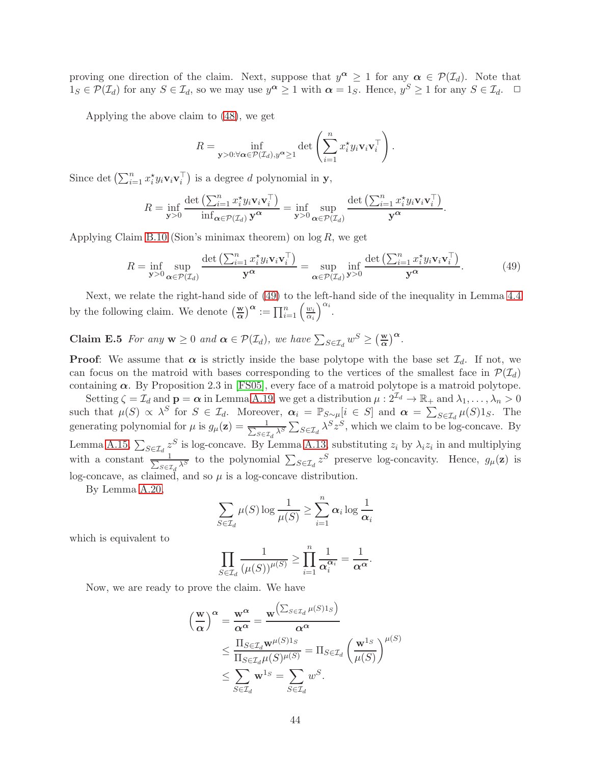proving one direction of the claim. Next, suppose that  $y^{\alpha} \geq 1$  for any  $\alpha \in \mathcal{P}(\mathcal{I}_d)$ . Note that  $1_S \in \mathcal{P}(\mathcal{I}_d)$  for any  $S \in \mathcal{I}_d$ , so we may use  $y^{\alpha} \geq 1$  with  $\alpha = 1_S$ . Hence,  $y^S \geq 1$  for any  $S \in \mathcal{I}_d$ .  $\Box$ 

Applying the above claim to [\(48\)](#page-43-0), we get

<span id="page-44-0"></span>
$$
R = \inf_{\mathbf{y} > 0: \forall \alpha \in \mathcal{P}(\mathcal{I}_d), y^{\alpha} \ge 1} \det \left( \sum_{i=1}^n x_i^* y_i \mathbf{v}_i \mathbf{v}_i^\top \right).
$$

Since det  $\left(\sum_{i=1}^n x_i^* y_i \mathbf{v}_i \mathbf{v}_i^\top\right)$  is a degree d polynomial in y,

$$
R = \inf_{\mathbf{y}>0} \frac{\det\left(\sum_{i=1}^n x_i^* y_i \mathbf{v}_i \mathbf{v}_i^\top\right)}{\inf_{\alpha \in \mathcal{P}(\mathcal{I}_d)} \mathbf{y}^{\alpha}} = \inf_{\mathbf{y}>0} \sup_{\alpha \in \mathcal{P}(\mathcal{I}_d)} \frac{\det\left(\sum_{i=1}^n x_i^* y_i \mathbf{v}_i \mathbf{v}_i^\top\right)}{\mathbf{y}^{\alpha}}.
$$

Applying Claim [B.10](#page-34-5) (Sion's minimax theorem) on  $log R$ , we get

<span id="page-44-1"></span>
$$
R = \inf_{\mathbf{y} > 0} \sup_{\alpha \in \mathcal{P}(\mathcal{I}_d)} \frac{\det \left( \sum_{i=1}^n x_i^* y_i \mathbf{v}_i \mathbf{v}_i^\top \right)}{\mathbf{y}^\alpha} = \sup_{\alpha \in \mathcal{P}(\mathcal{I}_d)} \inf_{\mathbf{y} > 0} \frac{\det \left( \sum_{i=1}^n x_i^* y_i \mathbf{v}_i \mathbf{v}_i^\top \right)}{\mathbf{y}^\alpha}.
$$
(49)

Next, we relate the right-hand side of [\(49\)](#page-44-0) to the left-hand side of the inequality in Lemma [4.4](#page-13-2) by the following claim. We denote  $\left(\frac{\mathbf{w}}{\alpha}\right)^{\alpha} := \prod_{i=1}^{n} \left(\frac{w_i}{\alpha_i}\right)^{\alpha}$ αi  $\Big)^{\alpha_i}.$ 

**Claim E.5** For any  $\mathbf{w} \geq 0$  and  $\boldsymbol{\alpha} \in \mathcal{P}(\mathcal{I}_d)$ , we have  $\sum_{S \in \mathcal{I}_d} w^S \geq \left(\frac{\mathbf{w}}{\boldsymbol{\alpha}}\right)^{\boldsymbol{\alpha}}$ .

**Proof:** We assume that  $\alpha$  is strictly inside the base polytope with the base set  $\mathcal{I}_d$ . If not, we can focus on the matroid with bases corresponding to the vertices of the smallest face in  $\mathcal{P}(\mathcal{I}_d)$ containing  $\alpha$ . By Proposition 2.3 in [\[FS05\]](#page-20-14), every face of a matroid polytope is a matroid polytope.

Setting  $\zeta = \mathcal{I}_d$  and  $\mathbf{p} = \boldsymbol{\alpha}$  in Lemma [A.19,](#page-25-5) we get a distribution  $\mu : 2^{\mathcal{I}_d} \to \mathbb{R}_+$  and  $\lambda_1, \ldots, \lambda_n > 0$ such that  $\mu(S) \propto \lambda^S$  for  $S \in \mathcal{I}_d$ . Moreover,  $\alpha_i = \mathbb{P}_{S \sim \mu}[i \in S]$  and  $\alpha = \sum_{S \in \mathcal{I}_d} \mu(S)1_S$ . The generating polynomial for  $\mu$  is  $g_{\mu}(\mathbf{z}) = \frac{1}{\sum_{S \in \mathcal{I}}}$  $\frac{1}{s \in \mathcal{I}_d} \lambda^S \sum_{S \in \mathcal{I}_d} \lambda^S z^S$ , which we claim to be log-concave. By Lemma [A.15,](#page-25-2)  $\sum_{S\in\mathcal{I}_d} z^S$  is log-concave. By Lemma [A.13,](#page-24-4) substituting  $z_i$  by  $\lambda_i z_i$  in and multiplying with a constant  $\frac{1}{\sum_{S \in \mathcal{I}}}$  $\frac{1}{s \in \mathcal{I}_d}$  to the polynomial  $\sum_{S \in \mathcal{I}_d} z^S$  preserve log-concavity. Hence,  $g_\mu(z)$  is log-concave, as claimed, and so  $\mu$  is a log-concave distribution.

By Lemma [A.20,](#page-25-6)

$$
\sum_{S \in \mathcal{I}_d} \mu(S) \log \frac{1}{\mu(S)} \ge \sum_{i=1}^n \alpha_i \log \frac{1}{\alpha_i}
$$

which is equivalent to

$$
\prod_{S\in\mathcal{I}_d}\frac{1}{(\mu(S))^{\mu(S)}}\geq \prod_{i=1}^n\frac{1}{\alpha_i^{\alpha_i}}=\frac{1}{\alpha^{\alpha}}.
$$

Now, we are ready to prove the claim. We have

$$
\left(\frac{\mathbf{w}}{\alpha}\right)^{\alpha} = \frac{\mathbf{w}^{\alpha}}{\alpha^{\alpha}} = \frac{\mathbf{w}^{\left(\sum_{S \in \mathcal{I}_d} \mu(S)1_S\right)}}{\alpha^{\alpha}}
$$
\n
$$
\leq \frac{\Pi_{S \in \mathcal{I}_d} \mathbf{w}^{\mu(S)1_S}}{\Pi_{S \in \mathcal{I}_d} \mu(S)^{\mu(S)}} = \Pi_{S \in \mathcal{I}_d} \left(\frac{\mathbf{w}^{1_S}}{\mu(S)}\right)^{\mu(S)}
$$
\n
$$
\leq \sum_{S \in \mathcal{I}_d} \mathbf{w}^{1_S} = \sum_{S \in \mathcal{I}_d} w^S.
$$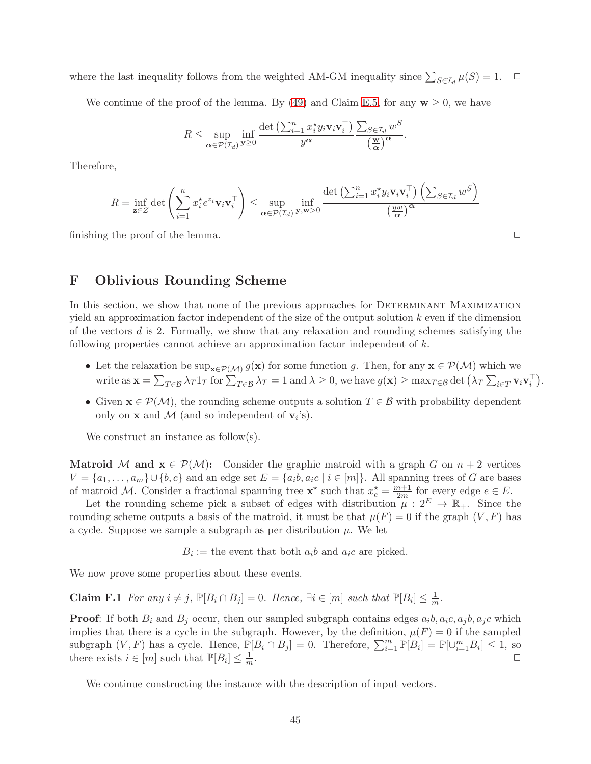where the last inequality follows from the weighted AM-GM inequality since  $\sum_{S\in\mathcal{I}_d}\mu(S) = 1$ .  $\Box$ 

We continue of the proof of the lemma. By [\(49\)](#page-44-0) and Claim [E.5,](#page-44-1) for any  $w \ge 0$ , we have

$$
R \leq \sup_{\alpha \in \mathcal{P}(\mathcal{I}_d)} \inf_{\mathbf{y} \geq 0} \frac{\det \left( \sum_{i=1}^n x_i^* y_i \mathbf{v}_i \mathbf{v}_i^\top \right)}{y^{\alpha}} \frac{\sum_{S \in \mathcal{I}_d} w^S}{\left( \frac{\mathbf{w}}{\alpha} \right)^{\alpha}}.
$$

Therefore,

$$
R = \inf_{\mathbf{z} \in \mathcal{Z}} \det \left( \sum_{i=1}^n x_i^{\star} e^{z_i} \mathbf{v}_i \mathbf{v}_i^{\top} \right) \le \sup_{\mathbf{\alpha} \in \mathcal{P}(\mathcal{I}_d)} \inf_{\mathbf{y}, \mathbf{w} > 0} \frac{\det \left( \sum_{i=1}^n x_i^{\star} y_i \mathbf{v}_i \mathbf{v}_i^{\top} \right) \left( \sum_{S \in \mathcal{I}_d} w^S \right)}{\left( \frac{yw}{\mathbf{\alpha}} \right)^{\mathbf{\alpha}}}
$$

finishing the proof of the lemma.  $\Box$ 

# <span id="page-45-0"></span>F Oblivious Rounding Scheme

In this section, we show that none of the previous approaches for DETERMINANT MAXIMIZATION yield an approximation factor independent of the size of the output solution  $k$  even if the dimension of the vectors  $d$  is 2. Formally, we show that any relaxation and rounding schemes satisfying the following properties cannot achieve an approximation factor independent of k.

- Let the relaxation be  $\sup_{\mathbf{x}\in\mathcal{P}(\mathcal{M})} g(\mathbf{x})$  for some function g. Then, for any  $\mathbf{x}\in\mathcal{P}(\mathcal{M})$  which we write as  $\mathbf{x} = \sum_{T \in \mathcal{B}} \lambda_T 1_T$  for  $\sum_{T \in \mathcal{B}} \lambda_T = 1$  and  $\lambda \geq 0$ , we have  $g(\mathbf{x}) \geq \max_{T \in \mathcal{B}} \det (\lambda_T \sum_{i \in T} \mathbf{v}_i \mathbf{v}_i^{\top}).$
- Given  $\mathbf{x} \in \mathcal{P}(\mathcal{M})$ , the rounding scheme outputs a solution  $T \in \mathcal{B}$  with probability dependent only on  $\mathbf x$  and  $\mathcal M$  (and so independent of  $\mathbf{v}_i$ 's).

We construct an instance as follow(s).

Matroid M and  $x \in \mathcal{P}(\mathcal{M})$ : Consider the graphic matroid with a graph G on  $n+2$  vertices  $V = \{a_1, \ldots, a_m\} \cup \{b, c\}$  and an edge set  $E = \{a_i, a_i c \mid i \in [m]\}.$  All spanning trees of G are bases of matroid M. Consider a fractional spanning tree  $\mathbf{x}^*$  such that  $x_e^* = \frac{m+1}{2m}$  for every edge  $e \in E$ .

Let the rounding scheme pick a subset of edges with distribution  $\mu : 2^E \to \mathbb{R}_+$ . Since the rounding scheme outputs a basis of the matroid, it must be that  $\mu(F) = 0$  if the graph  $(V, F)$  has a cycle. Suppose we sample a subgraph as per distribution  $\mu$ . We let

 $B_i :=$  the event that both  $a_i b$  and  $a_i c$  are picked.

We now prove some properties about these events.

**Claim F.1** For any  $i \neq j$ ,  $\mathbb{P}[B_i \cap B_j] = 0$ . Hence,  $\exists i \in [m]$  such that  $\mathbb{P}[B_i] \leq \frac{1}{m}$ .

**Proof:** If both  $B_i$  and  $B_j$  occur, then our sampled subgraph contains edges  $a_i b, a_i c, a_j b, a_j c$  which implies that there is a cycle in the subgraph. However, by the definition,  $\mu(F) = 0$  if the sampled subgraph  $(V, F)$  has a cycle. Hence,  $\mathbb{P}[B_i \cap B_j] = 0$ . Therefore,  $\sum_{i=1}^m \mathbb{P}[B_i] = \mathbb{P}[\cup_{i=1}^m B_i] \leq 1$ , so there exists  $i \in [m]$  such that  $\mathbb{P}[B_i] \leq \frac{1}{m}$ .

We continue constructing the instance with the description of input vectors.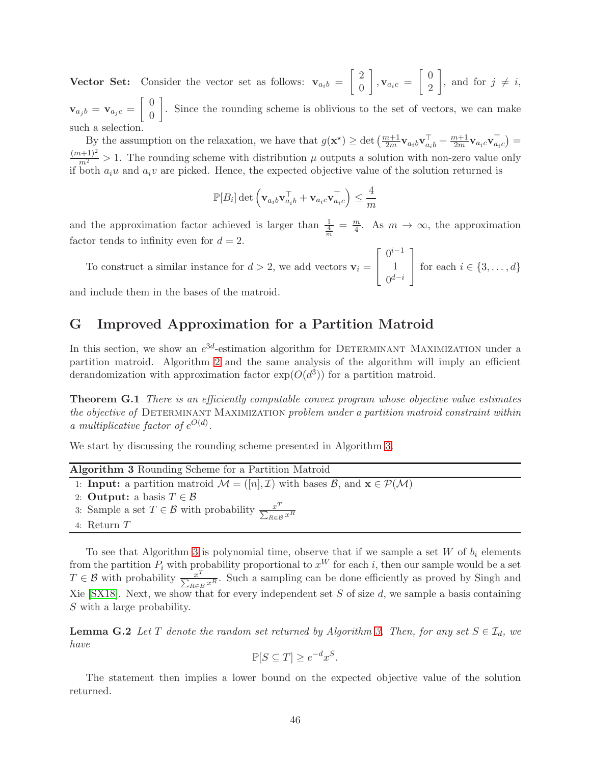Vector Set: Consider the vector set as follows:  $v_{a_i b}$  =  $\lceil 2$  $\theta$ 1  $, \mathbf{v}_{a_i c} =$  $\begin{bmatrix} 0 \\ 0 \end{bmatrix}$ 2 1 , and for  $j \neq i$ ,  ${\bf v}_{a_j b} = {\bf v}_{a_j c} =$  $\begin{bmatrix} 0 \\ 0 \end{bmatrix}$  $\theta$ 1 . Since the rounding scheme is oblivious to the set of vectors, we can make such a selection.

By the assumption on the relaxation, we have that  $g(\mathbf{x}^*) \geq \det \left( \frac{m+1}{2m} \mathbf{v}_{a_i b} \mathbf{v}_{a_i b}^\top + \frac{m+1}{2m} \right)$  $\frac{n+1}{2m}\mathbf{v}_{a_ic}\mathbf{v}_{a_ic}^\top\big) =$  $\frac{(m+1)^2}{m^2} > 1$ . The rounding scheme with distribution  $\mu$  outputs a solution with non-zero value only if both  $a_iu$  and  $a_iv$  are picked. Hence, the expected objective value of the solution returned is

<span id="page-46-0"></span>
$$
\mathbb{P}[B_i] \det \left(\mathbf{v}_{a_i b} \mathbf{v}_{a_i b}^{\top} + \mathbf{v}_{a_i c} \mathbf{v}_{a_i c}^{\top}\right) \le \frac{4}{m}
$$

and the approximation factor achieved is larger than  $\frac{1}{\frac{4}{m}} = \frac{m}{4}$  $\frac{m}{4}$ . As  $m \to \infty$ , the approximation factor tends to infinity even for  $d = 2$ .

To construct a similar instance for  $d > 2$ , we add vectors  $v_i =$  $\sqrt{ }$  $\overline{1}$  $0^{i-1}$ 1  $0^{d-i}$ 1 for each  $i \in \{3, \ldots, d\}$ 

<span id="page-46-1"></span>and include them in the bases of the matroid.

# G Improved Approximation for a Partition Matroid

In this section, we show an  $e^{3d}$ -estimation algorithm for DETERMINANT MAXIMIZATION under a partition matroid. Algorithm [2](#page-17-1) and the same analysis of the algorithm will imply an efficient derandomization with approximation factor  $\exp(O(d^3))$  for a partition matroid.

**Theorem G.1** There is an efficiently computable convex program whose objective value estimates the objective of DETERMINANT MAXIMIZATION problem under a partition matroid constraint within a multiplicative factor of  $e^{O(d)}$ .

We start by discussing the rounding scheme presented in Algorithm [3.](#page-46-2)

<span id="page-46-2"></span>

| <b>Algorithm 3</b> Rounding Scheme for a Partition Matroid |  |  |  |  |
|------------------------------------------------------------|--|--|--|--|
|                                                            |  |  |  |  |

- 1: **Input:** a partition matroid  $\mathcal{M} = ([n], \mathcal{I})$  with bases  $\overline{\mathcal{B}}$ , and  $\mathbf{x} \in \mathcal{P}(\mathcal{M})$
- 2: **Output:** a basis  $T \in \mathcal{B}$
- 3: Sample a set  $T \in \mathcal{B}$  with probability  $\frac{x^T}{\sum_{B \in \mathcal{B}}}$  $\sum_{R\in\mathcal{B}}x^R$
- 4: Return T

To see that Algorithm [3](#page-46-2) is polynomial time, observe that if we sample a set  $W$  of  $b_i$  elements from the partition  $P_i$  with probability proportional to  $x^W$  for each i, then our sample would be a set  $T \in \mathcal{B}$  with probability  $\frac{x^T}{\sum_{B \in \mathcal{B}}}$  $\frac{x^2}{\sum_{R\in B}x^R}$ . Such a sampling can be done efficiently as proved by Singh and Xie [\[SX18\]](#page-22-3). Next, we show that for every independent set  $S$  of size  $d$ , we sample a basis containing S with a large probability.

**Lemma G.2** Let T denote the random set returned by Algorithm [3.](#page-46-2) Then, for any set  $S \in \mathcal{I}_d$ , we have

<span id="page-46-4"></span>
$$
\mathbb{P}[S \subseteq T] \ge e^{-d}x^S.
$$

<span id="page-46-3"></span>The statement then implies a lower bound on the expected objective value of the solution returned.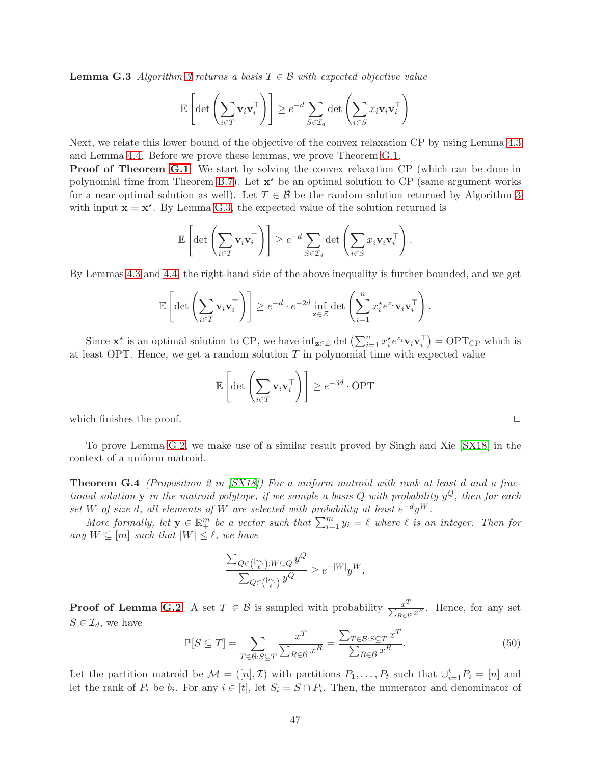**Lemma G.3** Algorithm [3](#page-46-2) returns a basis  $T \in \mathcal{B}$  with expected objective value

$$
\mathbb{E}\left[\det\left(\sum_{i\in T} \mathbf{v}_i \mathbf{v}_i^\top\right)\right] \ge e^{-d} \sum_{S\in\mathcal{I}_d} \det\left(\sum_{i\in S} x_i \mathbf{v}_i \mathbf{v}_i^\top\right)
$$

Next, we relate this lower bound of the objective of the convex relaxation CP by using Lemma [4.3](#page-13-0) and Lemma [4.4.](#page-13-2) Before we prove these lemmas, we prove Theorem [G.1.](#page-46-0)

**Proof of Theorem [G.1](#page-46-0):** We start by solving the convex relaxation CP (which can be done in polynomial time from Theorem [B.7\)](#page-33-0). Let  $\mathbf{x}^*$  be an optimal solution to CP (same argument works for a near optimal solution as well). Let  $T \in \mathcal{B}$  be the random solution returned by Algorithm [3](#page-46-2) with input  $\mathbf{x} = \mathbf{x}^*$ . By Lemma [G.3,](#page-46-3) the expected value of the solution returned is

$$
\mathbb{E}\left[\det\left(\sum_{i\in T} \mathbf{v}_i \mathbf{v}_i^\top\right)\right] \geq e^{-d} \sum_{S\in\mathcal{I}_d} \det\left(\sum_{i\in S} x_i \mathbf{v}_i \mathbf{v}_i^\top\right).
$$

By Lemmas [4.3](#page-13-0) and [4.4,](#page-13-2) the right-hand side of the above inequality is further bounded, and we get

$$
\mathbb{E}\left[\det\left(\sum_{i\in T} \mathbf{v}_i \mathbf{v}_i^\top\right)\right] \geq e^{-d}\cdot e^{-2d}\inf_{\mathbf{z}\in\mathcal{Z}}\det\left(\sum_{i=1}^n x_i^{\star} e^{z_i} \mathbf{v}_i \mathbf{v}_i^\top\right).
$$

Since  $\mathbf{x}^*$  is an optimal solution to CP, we have  $\inf_{\mathbf{z}\in\mathcal{Z}}\det\left(\sum_{i=1}^nx_i^*e^{z_i}\mathbf{v}_i\mathbf{v}_i^\top\right)=\text{OPT}_{\text{CP}}$  which is at least OPT. Hence, we get a random solution T in polynomial time with expected value

$$
\mathbb{E}\left[\det\left(\sum_{i\in T} \mathbf{v}_i \mathbf{v}_i^\top\right)\right] \geq e^{-3d} \cdot \text{OPT}
$$

which finishes the proof.  $\Box$ 

<span id="page-47-1"></span>To prove Lemma [G.2,](#page-46-4) we make use of a similar result proved by Singh and Xie [\[SX18\]](#page-22-3) in the context of a uniform matroid.

**Theorem G.4** (Proposition 2 in  $|SX18\rangle$ ) For a uniform matroid with rank at least d and a fractional solution **y** in the matroid polytope, if we sample a basis Q with probability  $y^{Q}$ , then for each set W of size d, all elements of W are selected with probability at least  $e^{-d}y^W$ .

More formally, let  $y \in \mathbb{R}^m_+$  be a vector such that  $\sum_{i=1}^m y_i = \ell$  where  $\ell$  is an integer. Then for any  $W \subseteq [m]$  such that  $|W| \leq \ell$ , we have

$$
\frac{\sum_{Q\in\binom{[m]}{\ell}:W\subseteq Q}y^Q}{\sum_{Q\in\binom{[m]}{\ell}}y^Q}\geq e^{-|W|}y^W.
$$

**Proof of Lemma [G.2](#page-46-4):** A set  $T \in \mathcal{B}$  is sampled with probability  $\frac{x^T}{\sum_{B \subseteq \mathcal{B}}}$  $\frac{x^2}{\sum_{R\in\mathcal{B}}x^R}$ . Hence, for any set  $S \in \mathcal{I}_d$ , we have

<span id="page-47-0"></span>
$$
\mathbb{P}[S \subseteq T] = \sum_{T \in \mathcal{B}: S \subseteq T} \frac{x^T}{\sum_{R \in \mathcal{B}} x^R} = \frac{\sum_{T \in \mathcal{B}: S \subseteq T} x^T}{\sum_{R \in \mathcal{B}} x^R}.
$$
(50)

Let the partition matroid be  $\mathcal{M} = ([n], \mathcal{I})$  with partitions  $P_1, \ldots, P_t$  such that  $\cup_{i=1}^t P_i = [n]$  and let the rank of  $P_i$  be  $b_i$ . For any  $i \in [t]$ , let  $S_i = S \cap P_i$ . Then, the numerator and denominator of